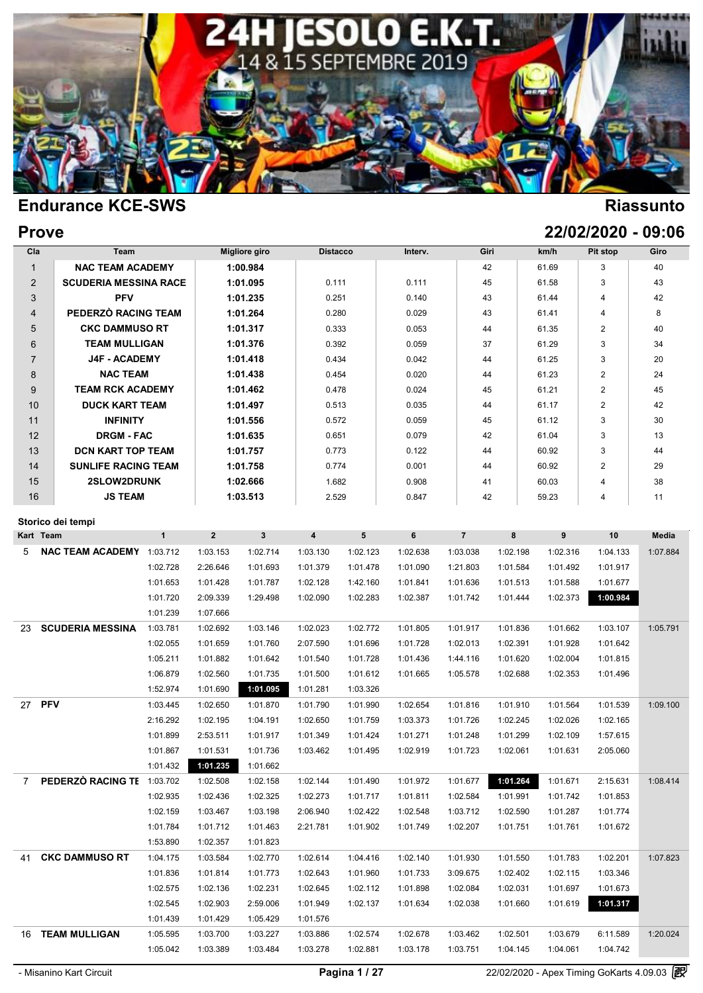

| <b>Prove</b> | 22/02/2020 - 09:06 |
|--------------|--------------------|
|              |                    |

| <b>NAC TEAM ACADEMY</b><br><b>SCUDERIA MESSINA RACE</b><br><b>PFV</b><br>PEDERZÒ RACING TEAM<br><b>CKC DAMMUSO RT</b><br><b>TEAM MULLIGAN</b><br><b>J4F - ACADEMY</b><br>NAC TEAM<br><b>TEAM RCK ACADEMY</b><br><b>DUCK KART TEAM</b><br><b>INFINITY</b> |                                              |                                                                                                                                                                                                      | 1:00.984<br>1:01.095<br>1:01.235<br>1:01.264<br>1:01.317<br>1:01.376 | 0.111<br>0.251<br>0.280<br>0.333<br>0.392                                                    |                      | 0.111<br>0.140<br>0.029                                                       | 43                               | 42<br>45<br>43                                    | 61.69<br>61.58<br>61.44                            | 3<br>3<br>$\overline{4}$ | 40<br>43<br>42                                                                             |
|----------------------------------------------------------------------------------------------------------------------------------------------------------------------------------------------------------------------------------------------------------|----------------------------------------------|------------------------------------------------------------------------------------------------------------------------------------------------------------------------------------------------------|----------------------------------------------------------------------|----------------------------------------------------------------------------------------------|----------------------|-------------------------------------------------------------------------------|----------------------------------|---------------------------------------------------|----------------------------------------------------|--------------------------|--------------------------------------------------------------------------------------------|
|                                                                                                                                                                                                                                                          |                                              |                                                                                                                                                                                                      |                                                                      |                                                                                              |                      |                                                                               |                                  |                                                   |                                                    |                          |                                                                                            |
|                                                                                                                                                                                                                                                          |                                              |                                                                                                                                                                                                      |                                                                      |                                                                                              |                      |                                                                               |                                  |                                                   |                                                    |                          |                                                                                            |
|                                                                                                                                                                                                                                                          |                                              |                                                                                                                                                                                                      |                                                                      |                                                                                              |                      |                                                                               |                                  |                                                   |                                                    |                          |                                                                                            |
|                                                                                                                                                                                                                                                          |                                              |                                                                                                                                                                                                      |                                                                      |                                                                                              |                      |                                                                               |                                  |                                                   | 61.41                                              | 4                        | 8                                                                                          |
|                                                                                                                                                                                                                                                          |                                              |                                                                                                                                                                                                      |                                                                      |                                                                                              |                      | 0.053                                                                         |                                  | 44                                                | 61.35                                              | $\overline{2}$           | 40                                                                                         |
|                                                                                                                                                                                                                                                          |                                              |                                                                                                                                                                                                      |                                                                      |                                                                                              |                      | 0.059                                                                         |                                  | 37                                                | 61.29                                              | 3                        | 34                                                                                         |
|                                                                                                                                                                                                                                                          |                                              |                                                                                                                                                                                                      | 1:01.418                                                             | 0.434                                                                                        |                      | 0.042                                                                         |                                  | 44                                                | 61.25                                              | 3                        | 20                                                                                         |
|                                                                                                                                                                                                                                                          |                                              |                                                                                                                                                                                                      | 1:01.438                                                             | 0.454                                                                                        |                      | 0.020                                                                         |                                  | 44                                                | 61.23                                              | $\overline{2}$           | 24                                                                                         |
|                                                                                                                                                                                                                                                          |                                              |                                                                                                                                                                                                      | 1:01.462                                                             | 0.478                                                                                        |                      | 0.024                                                                         |                                  | 45                                                | 61.21                                              | $\overline{2}$           | 45                                                                                         |
|                                                                                                                                                                                                                                                          |                                              |                                                                                                                                                                                                      | 1:01.497                                                             | 0.513                                                                                        |                      | 0.035                                                                         |                                  | 44                                                | 61.17                                              | $\overline{2}$           | 42                                                                                         |
|                                                                                                                                                                                                                                                          |                                              |                                                                                                                                                                                                      | 1:01.556                                                             | 0.572                                                                                        |                      | 0.059                                                                         |                                  | 45                                                | 61.12                                              | 3                        | 30                                                                                         |
|                                                                                                                                                                                                                                                          |                                              |                                                                                                                                                                                                      |                                                                      |                                                                                              |                      | 0.079                                                                         |                                  |                                                   | 61.04                                              | 3                        | 13                                                                                         |
|                                                                                                                                                                                                                                                          |                                              |                                                                                                                                                                                                      |                                                                      |                                                                                              |                      | 0.122                                                                         |                                  |                                                   | 60.92                                              | 3                        | 44                                                                                         |
|                                                                                                                                                                                                                                                          |                                              |                                                                                                                                                                                                      |                                                                      |                                                                                              |                      | 0.001                                                                         |                                  |                                                   | 60.92                                              | $\overline{2}$           | 29                                                                                         |
|                                                                                                                                                                                                                                                          |                                              |                                                                                                                                                                                                      |                                                                      |                                                                                              |                      | 0.908                                                                         |                                  |                                                   | 60.03                                              | $\overline{4}$           | 38                                                                                         |
|                                                                                                                                                                                                                                                          |                                              |                                                                                                                                                                                                      |                                                                      |                                                                                              |                      | 0.847                                                                         |                                  |                                                   | 59.23                                              | 4                        | 11                                                                                         |
|                                                                                                                                                                                                                                                          |                                              |                                                                                                                                                                                                      |                                                                      |                                                                                              |                      |                                                                               |                                  |                                                   |                                                    |                          |                                                                                            |
|                                                                                                                                                                                                                                                          | $\mathbf{1}$                                 | $\overline{2}$                                                                                                                                                                                       | $\mathbf{3}$                                                         | $\overline{4}$                                                                               | 5                    | 6                                                                             | $\overline{7}$                   | 8                                                 | 9                                                  | 10                       | <b>Media</b>                                                                               |
|                                                                                                                                                                                                                                                          |                                              |                                                                                                                                                                                                      |                                                                      | 1:03.130                                                                                     |                      |                                                                               |                                  | 1:02.198                                          |                                                    |                          | 1:07.884                                                                                   |
|                                                                                                                                                                                                                                                          | 1:02.728                                     | 2:26.646                                                                                                                                                                                             | 1:01.693                                                             | 1:01.379                                                                                     | 1:01.478             | 1:01.090                                                                      | 1:21.803                         | 1:01.584                                          | 1:01.492                                           | 1:01.917                 |                                                                                            |
|                                                                                                                                                                                                                                                          |                                              |                                                                                                                                                                                                      |                                                                      |                                                                                              |                      |                                                                               |                                  |                                                   |                                                    |                          |                                                                                            |
|                                                                                                                                                                                                                                                          | 1:01.720                                     |                                                                                                                                                                                                      |                                                                      |                                                                                              |                      |                                                                               |                                  |                                                   |                                                    |                          |                                                                                            |
|                                                                                                                                                                                                                                                          | 1:01.239                                     | 1:07.666                                                                                                                                                                                             |                                                                      |                                                                                              |                      |                                                                               |                                  |                                                   |                                                    |                          |                                                                                            |
| <b>SCUDERIA MESSINA</b>                                                                                                                                                                                                                                  | 1:03.781                                     | 1:02.692                                                                                                                                                                                             | 1:03.146                                                             | 1:02.023                                                                                     | 1:02.772             | 1:01.805                                                                      | 1:01.917                         | 1:01.836                                          | 1:01.662                                           | 1:03.107                 | 1:05.791                                                                                   |
|                                                                                                                                                                                                                                                          | 1:02.055                                     | 1:01.659                                                                                                                                                                                             | 1:01.760                                                             | 2:07.590                                                                                     | 1:01.696             | 1:01.728                                                                      | 1:02.013                         | 1:02.391                                          | 1:01.928                                           | 1:01.642                 |                                                                                            |
|                                                                                                                                                                                                                                                          | 1:05.211                                     | 1:01.882                                                                                                                                                                                             | 1:01.642                                                             | 1:01.540                                                                                     | 1:01.728             | 1:01.436                                                                      | 1:44.116                         | 1:01.620                                          | 1:02.004                                           | 1:01.815                 |                                                                                            |
|                                                                                                                                                                                                                                                          | 1:06.879                                     | 1:02.560                                                                                                                                                                                             | 1:01.735                                                             | 1:01.500                                                                                     | 1:01.612             | 1:01.665                                                                      | 1:05.578                         | 1:02.688                                          | 1:02.353                                           | 1:01.496                 |                                                                                            |
|                                                                                                                                                                                                                                                          | 1:52.974                                     | 1:01.690                                                                                                                                                                                             | 1:01.095                                                             | 1:01.281                                                                                     | 1:03.326             |                                                                               |                                  |                                                   |                                                    |                          |                                                                                            |
|                                                                                                                                                                                                                                                          | 1:03.445                                     | 1:02.650                                                                                                                                                                                             | 1:01.870                                                             | 1:01.790                                                                                     | 1:01.990             | 1:02.654                                                                      | 1:01.816                         | 1:01.910                                          | 1:01.564                                           | 1:01.539                 | 1:09.100                                                                                   |
|                                                                                                                                                                                                                                                          | 2:16.292                                     | 1:02.195                                                                                                                                                                                             | 1:04.191                                                             | 1:02.650                                                                                     | 1:01.759             | 1:03.373                                                                      | 1:01.726                         | 1:02.245                                          | 1:02.026                                           | 1:02.165                 |                                                                                            |
|                                                                                                                                                                                                                                                          | 1:01.899                                     | 2:53.511                                                                                                                                                                                             | 1:01.917                                                             | 1:01.349                                                                                     | 1:01.424             | 1:01.271                                                                      | 1:01.248                         | 1:01.299                                          | 1:02.109                                           | 1:57.615                 |                                                                                            |
|                                                                                                                                                                                                                                                          | 1:01.867                                     | 1:01.531                                                                                                                                                                                             | 1:01.736                                                             | 1:03.462                                                                                     | 1:01.495             | 1:02.919                                                                      | 1:01.723                         | 1:02.061                                          | 1:01.631                                           | 2:05.060                 |                                                                                            |
|                                                                                                                                                                                                                                                          | 1:01.432                                     | 1:01.235                                                                                                                                                                                             | 1:01.662                                                             |                                                                                              |                      |                                                                               |                                  |                                                   |                                                    |                          |                                                                                            |
|                                                                                                                                                                                                                                                          |                                              | 1:02.508                                                                                                                                                                                             | 1:02.158                                                             | 1:02.144                                                                                     | 1:01.490             | 1:01.972                                                                      | 1:01.677                         | 1:01.264                                          | 1:01.671                                           | 2:15.631                 | 1:08.414                                                                                   |
|                                                                                                                                                                                                                                                          | 1:02.935                                     | 1:02.436                                                                                                                                                                                             | 1:02.325                                                             | 1:02.273                                                                                     | 1:01.717             | 1:01.811                                                                      | 1:02.584                         | 1:01.991                                          | 1:01.742                                           | 1:01.853                 |                                                                                            |
|                                                                                                                                                                                                                                                          | 1:02.159                                     | 1:03.467                                                                                                                                                                                             | 1:03.198                                                             | 2:06.940                                                                                     | 1:02.422             | 1:02.548                                                                      | 1:03.712                         | 1:02.590                                          | 1:01.287                                           | 1:01.774                 |                                                                                            |
|                                                                                                                                                                                                                                                          | 1:01.784                                     | 1:01.712                                                                                                                                                                                             | 1:01.463                                                             | 2:21.781                                                                                     | 1:01.902             | 1:01.749                                                                      | 1:02.207                         | 1:01.751                                          | 1:01.761                                           | 1:01.672                 |                                                                                            |
|                                                                                                                                                                                                                                                          | 1:53.890                                     | 1:02.357                                                                                                                                                                                             | 1:01.823                                                             |                                                                                              |                      |                                                                               |                                  |                                                   |                                                    |                          |                                                                                            |
| <b>CKC DAMMUSO RT</b>                                                                                                                                                                                                                                    | 1:04.175                                     | 1:03.584                                                                                                                                                                                             | 1:02.770                                                             | 1:02.614                                                                                     | 1:04.416             | 1:02.140                                                                      | 1:01.930                         | 1:01.550                                          | 1:01.783                                           | 1:02.201                 | 1:07.823                                                                                   |
|                                                                                                                                                                                                                                                          | 1:01.836                                     | 1:01.814                                                                                                                                                                                             | 1:01.773                                                             | 1:02.643                                                                                     | 1:01.960             | 1:01.733                                                                      | 3:09.675                         | 1:02.402                                          | 1:02.115                                           | 1:03.346                 |                                                                                            |
|                                                                                                                                                                                                                                                          | 1:02.575                                     | 1:02.136                                                                                                                                                                                             | 1:02.231                                                             | 1:02.645                                                                                     | 1:02.112             | 1:01.898                                                                      | 1:02.084                         | 1:02.031                                          | 1:01.697                                           | 1:01.673                 |                                                                                            |
|                                                                                                                                                                                                                                                          | 1:02.545                                     | 1:02.903                                                                                                                                                                                             | 2:59.006                                                             | 1:01.949                                                                                     | 1:02.137             | 1:01.634                                                                      | 1:02.038                         | 1:01.660                                          | 1:01.619                                           | 1:01.317                 |                                                                                            |
|                                                                                                                                                                                                                                                          | 1:01.439                                     | 1:01.429                                                                                                                                                                                             | 1:05.429                                                             | 1:01.576                                                                                     |                      |                                                                               |                                  |                                                   |                                                    |                          |                                                                                            |
| 16 TEAM MULLIGAN                                                                                                                                                                                                                                         | 1:05.595                                     | 1:03.700                                                                                                                                                                                             | 1:03.227                                                             | 1:03.886                                                                                     | 1:02.574             | 1:02.678                                                                      | 1:03.462                         | 1:02.501                                          | 1:03.679                                           | 6:11.589                 | 1:20.024                                                                                   |
|                                                                                                                                                                                                                                                          | 1:05.042                                     | 1:03.389                                                                                                                                                                                             | 1:03.484                                                             | 1:03.278                                                                                     | 1:02.881             | 1:03.178                                                                      | 1:03.751                         | 1:04.145                                          | 1:04.061                                           | 1:04.742                 |                                                                                            |
|                                                                                                                                                                                                                                                          |                                              |                                                                                                                                                                                                      |                                                                      |                                                                                              |                      |                                                                               |                                  |                                                   |                                                    |                          |                                                                                            |
|                                                                                                                                                                                                                                                          | Storico dei tempi<br><b>NAC TEAM ACADEMY</b> | <b>DRGM - FAC</b><br><b>DCN KART TOP TEAM</b><br><b>SUNLIFE RACING TEAM</b><br><b>2SLOW2DRUNK</b><br><b>JS TEAM</b><br>1:03.712<br>1:01.653<br>PEDERZO RACING TE 1:03.702<br>- Misanino Kart Circuit | 1:03.153<br>1:01.428<br>2:09.339                                     | 1:01.635<br>1:01.757<br>1:01.758<br>1:02.666<br>1:03.513<br>1:02.714<br>1:01.787<br>1:29.498 | 1:02.128<br>1:02.090 | 0.651<br>0.773<br>0.774<br>1.682<br>2.529<br>1:02.123<br>1:42.160<br>1:02.283 | 1:02.638<br>1:01.841<br>1:02.387 | 1:03.038<br>1:01.636<br>1:01.742<br>Pagina 1 / 27 | 42<br>44<br>44<br>41<br>42<br>1:01.513<br>1:01.444 | 1:02.316<br>1:01.588     | 1:04.133<br>1:01.677<br>1:00.984<br>1:02.373<br>22/02/2020 - Apex Timing GoKarts 4.09.03 2 |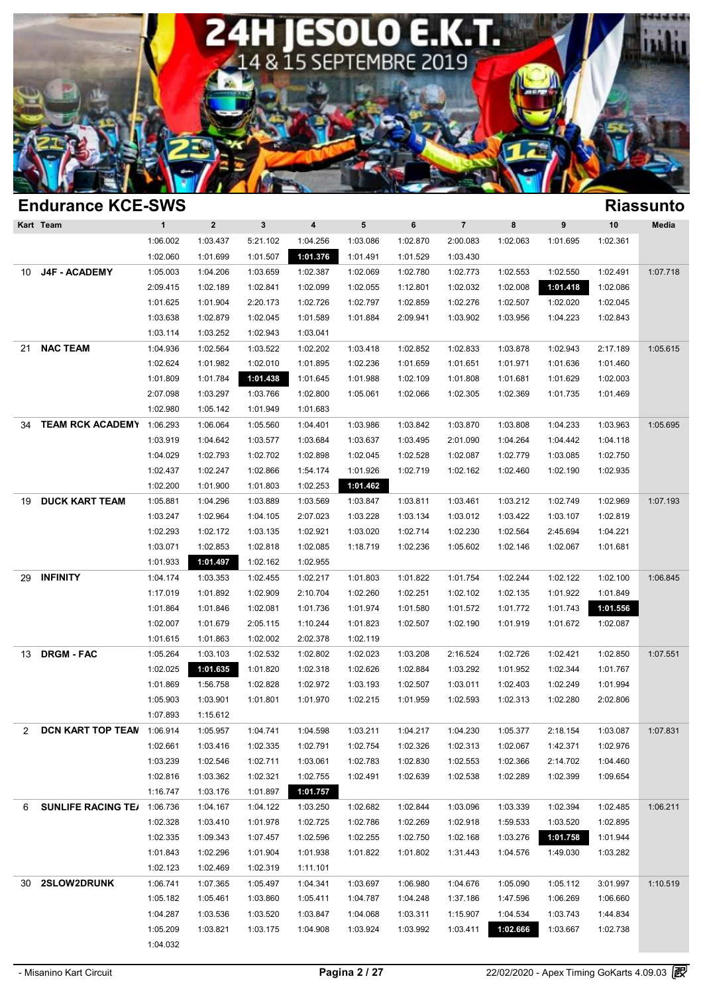

| <b>Endurance KCE-SWS</b>           |              |              |             |                         |                      |          |                |          |          |                      | <b>Riassunto</b> |
|------------------------------------|--------------|--------------|-------------|-------------------------|----------------------|----------|----------------|----------|----------|----------------------|------------------|
| Kart Team                          | $\mathbf{1}$ | $\mathbf{2}$ | $\mathbf 3$ | $\overline{\mathbf{4}}$ | ${\bf 5}$            | 6        | $\overline{7}$ | 8        | 9        | 10                   | Media            |
|                                    | 1:06.002     | 1:03.437     | 5:21.102    | 1:04.256                | 1:03.086             | 1:02.870 | 2:00.083       | 1:02.063 | 1:01.695 | 1:02.361             |                  |
|                                    | 1:02.060     | 1:01.699     | 1:01.507    | 1:01.376                | 1:01.491             | 1:01.529 | 1:03.430       |          |          |                      |                  |
| <b>J4F - ACADEMY</b><br>10         | 1:05.003     | 1:04.206     | 1:03.659    | 1:02.387                | 1:02.069             | 1:02.780 | 1:02.773       | 1:02.553 | 1:02.550 | 1:02.491             | 1:07.718         |
|                                    | 2:09.415     | 1:02.189     | 1:02.841    | 1:02.099                | 1:02.055             | 1:12.801 | 1:02.032       | 1:02.008 | 1:01.418 | 1:02.086             |                  |
|                                    | 1:01.625     | 1:01.904     | 2:20.173    | 1:02.726                | 1:02.797             | 1:02.859 | 1:02.276       | 1:02.507 | 1:02.020 | 1:02.045             |                  |
|                                    | 1:03.638     | 1:02.879     | 1:02.045    | 1:01.589                | 1:01.884             | 2:09.941 | 1:03.902       | 1:03.956 | 1:04.223 | 1:02.843             |                  |
|                                    | 1:03.114     | 1:03.252     | 1:02.943    | 1:03.041                |                      |          |                |          |          |                      |                  |
| <b>NAC TEAM</b><br>21              | 1:04.936     | 1:02.564     | 1:03.522    | 1:02.202                | 1:03.418             | 1:02.852 | 1:02.833       | 1:03.878 | 1:02.943 | 2:17.189             | 1:05.615         |
|                                    | 1:02.624     | 1:01.982     | 1:02.010    | 1:01.895                | 1:02.236             | 1:01.659 | 1:01.651       | 1:01.971 | 1:01.636 | 1:01.460             |                  |
|                                    | 1:01.809     | 1:01.784     | 1:01.438    | 1:01.645                | 1:01.988             | 1:02.109 | 1:01.808       | 1:01.681 | 1:01.629 | 1:02.003             |                  |
|                                    | 2:07.098     | 1:03.297     | 1:03.766    | 1:02.800                | 1:05.061             | 1:02.066 | 1:02.305       | 1:02.369 | 1:01.735 | 1:01.469             |                  |
|                                    | 1:02.980     | 1:05.142     | 1:01.949    | 1:01.683                |                      |          |                |          |          |                      |                  |
| <b>TEAM RCK ACADEMY</b><br>34      | 1:06.293     | 1:06.064     | 1:05.560    | 1:04.401                | 1:03.986             | 1:03.842 | 1:03.870       | 1:03.808 | 1:04.233 | 1:03.963             | 1:05.695         |
|                                    | 1:03.919     | 1:04.642     | 1:03.577    | 1:03.684                | 1:03.637             | 1:03.495 | 2:01.090       | 1:04.264 | 1:04.442 | 1:04.118             |                  |
|                                    | 1:04.029     | 1:02.793     | 1:02.702    | 1:02.898                | 1:02.045             | 1:02.528 | 1:02.087       | 1:02.779 | 1:03.085 | 1:02.750             |                  |
|                                    | 1:02.437     | 1:02.247     | 1:02.866    | 1:54.174                | 1:01.926             | 1:02.719 | 1:02.162       | 1:02.460 | 1:02.190 | 1:02.935             |                  |
|                                    | 1:02.200     | 1:01.900     | 1:01.803    | 1:02.253                | 1:01.462             |          |                |          |          |                      |                  |
| <b>DUCK KART TEAM</b><br>19        | 1:05.881     | 1:04.296     | 1:03.889    | 1:03.569                | 1:03.847             | 1:03.811 | 1:03.461       | 1:03.212 | 1:02.749 | 1:02.969             | 1:07.193         |
|                                    | 1:03.247     | 1:02.964     | 1:04.105    | 2:07.023                | 1:03.228             | 1:03.134 | 1:03.012       | 1:03.422 | 1:03.107 | 1:02.819             |                  |
|                                    | 1:02.293     | 1:02.172     | 1:03.135    | 1:02.921                | 1:03.020             | 1:02.714 | 1:02.230       | 1:02.564 | 2:45.694 | 1:04.221             |                  |
|                                    | 1:03.071     | 1:02.853     | 1:02.818    | 1:02.085                | 1:18.719             | 1:02.236 | 1:05.602       | 1:02.146 | 1:02.067 | 1:01.681             |                  |
|                                    | 1:01.933     | 1:01.497     | 1:02.162    | 1:02.955                |                      |          |                |          |          |                      |                  |
| <b>INFINITY</b><br>29              | 1:04.174     | 1:03.353     | 1:02.455    | 1:02.217                | 1:01.803             | 1:01.822 | 1:01.754       | 1:02.244 | 1:02.122 | 1:02.100             | 1:06.845         |
|                                    | 1:17.019     | 1:01.892     | 1:02.909    | 2:10.704                | 1:02.260             | 1:02.251 | 1:02.102       | 1:02.135 | 1:01.922 | 1:01.849             |                  |
|                                    | 1:01.864     | 1:01.846     | 1:02.081    | 1:01.736                | 1:01.974             | 1:01.580 | 1:01.572       | 1:01.772 | 1:01.743 | 1:01.556             |                  |
|                                    | 1:02.007     | 1:01.679     | 2:05.115    | 1:10.244                | 1:01.823             | 1:02.507 | 1:02.190       | 1:01.919 | 1:01.672 | 1:02.087             |                  |
|                                    | 1:01.615     | 1:01.863     | 1:02.002    | 2:02.378                | 1:02.119             |          |                |          |          |                      |                  |
| <b>DRGM - FAC</b><br>13            | 1:05.264     | 1:03.103     | 1:02.532    | 1:02.802                | 1:02.023             | 1:03.208 | 2:16.524       | 1:02.726 | 1:02.421 | 1:02.850             | 1:07.551         |
|                                    | 1:02.025     | 1:01.635     | 1:01.820    | 1:02.318                | 1:02.626             | 1:02.884 | 1:03.292       | 1:01.952 | 1:02.344 | 1:01.767             |                  |
|                                    | 1:01.869     | 1:56.758     | 1:02.828    | 1:02.972                | 1:03.193             | 1:02.507 | 1:03.011       | 1:02.403 | 1:02.249 | 1:01.994             |                  |
|                                    | 1:05.903     | 1:03.901     | 1:01.801    | 1:01.970                | 1:02.215             | 1:01.959 | 1:02.593       | 1:02.313 | 1:02.280 | 2:02.806             |                  |
|                                    | 1:07.893     | 1:15.612     |             |                         |                      |          |                |          |          |                      |                  |
| DCN KART TOP TEAN 1:06.914<br>2    |              | 1:05.957     | 1:04.741    | 1:04.598                | 1:03.211             | 1:04.217 | 1:04.230       | 1:05.377 | 2:18.154 | 1:03.087             | 1:07.831         |
|                                    | 1:02.661     | 1:03.416     | 1:02.335    | 1:02.791                | 1:02.754             | 1:02.326 | 1:02.313       | 1:02.067 | 1:42.371 | 1:02.976             |                  |
|                                    | 1:03.239     | 1:02.546     | 1:02.711    | 1:03.061                | 1:02.783             | 1:02.830 | 1:02.553       | 1:02.366 | 2:14.702 | 1:04.460             |                  |
|                                    | 1:02.816     | 1:03.362     | 1:02.321    | 1:02.755                | 1:02.491             | 1:02.639 | 1:02.538       | 1:02.289 | 1:02.399 | 1:09.654             |                  |
|                                    | 1:16.747     | 1:03.176     | 1:01.897    | 1:01.757                |                      |          |                |          |          |                      |                  |
| <b>SUNLIFE RACING TE/ 1:06.736</b> |              | 1:04.167     |             |                         |                      |          |                | 1:03.339 |          |                      | 1:06.211         |
| 6                                  | 1:02.328     |              | 1:04.122    | 1:03.250                | 1:02.682<br>1:02.786 | 1:02.844 | 1:03.096       | 1:59.533 | 1:02.394 | 1:02.485<br>1:02.895 |                  |
|                                    |              | 1:03.410     | 1:01.978    | 1:02.725                |                      | 1:02.269 | 1:02.918       |          | 1:03.520 |                      |                  |
|                                    | 1:02.335     | 1:09.343     | 1:07.457    | 1:02.596                | 1:02.255             | 1:02.750 | 1:02.168       | 1:03.276 | 1:01.758 | 1:01.944             |                  |
|                                    | 1:01.843     | 1:02.296     | 1:01.904    | 1:01.938                | 1:01.822             | 1:01.802 | 1:31.443       | 1:04.576 | 1:49.030 | 1:03.282             |                  |
|                                    | 1:02.123     | 1:02.469     | 1:02.319    | 1:11.101                |                      |          |                |          |          |                      |                  |
| 2SLOW2DRUNK<br>30                  | 1:06.741     | 1:07.365     | 1:05.497    | 1:04.341                | 1:03.697             | 1:06.980 | 1:04.676       | 1:05.090 | 1:05.112 | 3:01.997             | 1:10.519         |
|                                    | 1:05.182     | 1:05.461     | 1:03.860    | 1:05.411                | 1:04.787             | 1:04.248 | 1:37.186       | 1:47.596 | 1:06.269 | 1:06.660             |                  |
|                                    | 1:04.287     | 1:03.536     | 1:03.520    | 1:03.847                | 1:04.068             | 1:03.311 | 1:15.907       | 1:04.534 | 1:03.743 | 1:44.834             |                  |
|                                    | 1:05.209     | 1:03.821     | 1:03.175    | 1:04.908                | 1:03.924             | 1:03.992 | 1:03.411       | 1:02.666 | 1:03.667 | 1:02.738             |                  |
|                                    | 1:04.032     |              |             |                         |                      |          |                |          |          |                      |                  |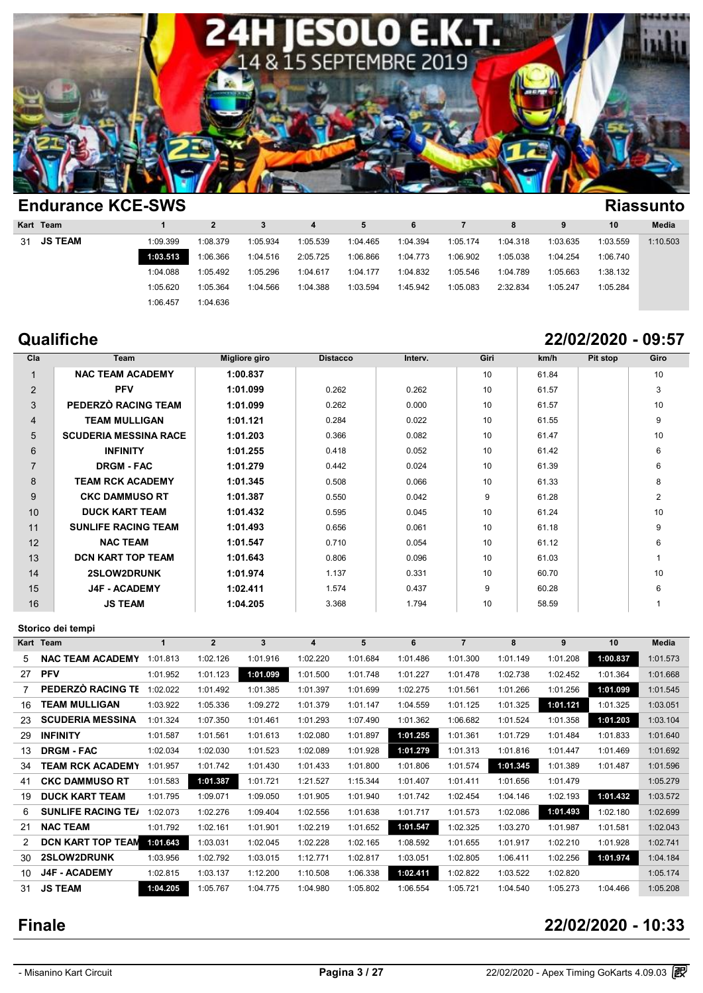

|                             |                   |          |          |          |          |          |          |          |          | <b>Riassunto</b> |
|-----------------------------|-------------------|----------|----------|----------|----------|----------|----------|----------|----------|------------------|
|                             | $\mathbf{2}$      |          | 4        | 5        | 6        |          | 8        |          | 10       | <b>Media</b>     |
| 1:09.399                    | 1:08.379          | 1:05.934 | 1:05.539 | 1:04.465 | 1:04.394 | 1:05.174 | 1:04.318 | 1:03.635 | 1:03.559 | 1:10.503         |
| 1:03.513                    | 1:06.366          | 1:04.516 | 2:05.725 | 1:06.866 | 1:04.773 | 1:06.902 | 1:05.038 | 1:04.254 | 1:06.740 |                  |
| 1:04.088                    | 1:05.492          | 1:05.296 | 1:04.617 | 1:04.177 | 1:04.832 | 1:05.546 | 1:04.789 | 1:05.663 | 1:38.132 |                  |
| 1:05.620                    | 1:05.364          | 1:04.566 | 1:04.388 | 1:03.594 | 1:45.942 | 1:05.083 | 2:32.834 | 1:05.247 | 1:05.284 |                  |
| 1:06.457                    | 1:04.636          |          |          |          |          |          |          |          |          |                  |
| Kart Team<br><b>JS TEAM</b> | Endurance NUE-SWS |          |          |          |          |          |          |          |          |                  |

# **Qualifiche 22/02/2020 - 09:57**

| Cla            | Team                         | Migliore giro | <b>Distacco</b> | Interv. | Giri | km/h  | Pit stop | Giro           |
|----------------|------------------------------|---------------|-----------------|---------|------|-------|----------|----------------|
|                | <b>NAC TEAM ACADEMY</b>      | 1:00.837      |                 |         | 10   | 61.84 |          | 10             |
| $\overline{2}$ | <b>PFV</b>                   | 1:01.099      | 0.262           | 0.262   | 10   | 61.57 |          | 3              |
| 3              | PEDERZÒ RACING TEAM          | 1:01.099      | 0.262           | 0.000   | 10   | 61.57 |          | 10             |
| 4              | <b>TEAM MULLIGAN</b>         | 1:01.121      | 0.284           | 0.022   | 10   | 61.55 |          | 9              |
| 5              | <b>SCUDERIA MESSINA RACE</b> | 1:01.203      | 0.366           | 0.082   | 10   | 61.47 |          | 10             |
| 6              | <b>INFINITY</b>              | 1:01.255      | 0.418           | 0.052   | 10   | 61.42 |          | 6              |
| $\overline{7}$ | <b>DRGM - FAC</b>            | 1:01.279      | 0.442           | 0.024   | 10   | 61.39 |          | 6              |
| 8              | <b>TEAM RCK ACADEMY</b>      | 1:01.345      | 0.508           | 0.066   | 10   | 61.33 |          | 8              |
| 9              | <b>CKC DAMMUSO RT</b>        | 1:01.387      | 0.550           | 0.042   | 9    | 61.28 |          | $\overline{2}$ |
| 10             | <b>DUCK KART TEAM</b>        | 1:01.432      | 0.595           | 0.045   | 10   | 61.24 |          | 10             |
| 11             | <b>SUNLIFE RACING TEAM</b>   | 1:01.493      | 0.656           | 0.061   | 10   | 61.18 |          | 9              |
| 12             | <b>NAC TEAM</b>              | 1:01.547      | 0.710           | 0.054   | 10   | 61.12 |          | 6              |
| 13             | <b>DCN KART TOP TEAM</b>     | 1:01.643      | 0.806           | 0.096   | 10   | 61.03 |          |                |
| 14             | <b>2SLOW2DRUNK</b>           | 1:01.974      | 1.137           | 0.331   | 10   | 60.70 |          | 10             |
| 15             | <b>J4F - ACADEMY</b>         | 1:02.411      | 1.574           | 0.437   | 9    | 60.28 |          | 6              |
| 16             | <b>JS TEAM</b>               | 1:04.205      | 3.368           | 1.794   | 10   | 58.59 |          |                |

### **Storico dei tempi**

| $\ddot{\ }$ |                           |          |                |          |          |          | .        |                |          |          |          |          |
|-------------|---------------------------|----------|----------------|----------|----------|----------|----------|----------------|----------|----------|----------|----------|
|             | Storico dei tempi         |          |                |          |          |          |          |                |          |          |          |          |
|             | Kart Team                 |          | $\overline{2}$ | 3        | 4        | 5        | 6        | $\overline{7}$ | 8        | 9        | 10       | Media    |
| 5           | <b>NAC TEAM ACADEMY</b>   | 1:01.813 | 1:02.126       | 1:01.916 | 1:02.220 | 1:01.684 | 1:01.486 | 1:01.300       | 1:01.149 | 1:01.208 | 1:00.837 | 1:01.573 |
| 27          | <b>PFV</b>                | 1:01.952 | 1:01.123       | 1:01.099 | 1:01.500 | 1:01.748 | 1:01.227 | 1:01.478       | 1:02.738 | 1:02.452 | 1:01.364 | 1:01.668 |
|             | PEDERZÒ RACING TE         | 1:02.022 | 1:01.492       | 1:01.385 | 1:01.397 | 1:01.699 | 1:02.275 | 1:01.561       | 1:01.266 | 1:01.256 | 1:01.099 | 1:01.545 |
| 16          | <b>TEAM MULLIGAN</b>      | 1:03.922 | 1:05.336       | 1:09.272 | 1:01.379 | 1:01.147 | 1:04.559 | 1:01.125       | 1:01.325 | 1:01.121 | 1:01.325 | 1:03.051 |
| 23          | <b>SCUDERIA MESSINA</b>   | 1:01.324 | 1:07.350       | 1:01.461 | 1:01.293 | 1:07.490 | 1:01.362 | 1:06.682       | 1:01.524 | 1:01.358 | 1:01.203 | 1:03.104 |
| 29          | <b>INFINITY</b>           | 1:01.587 | 1:01.561       | 1:01.613 | 1:02.080 | 1:01.897 | 1:01.255 | 1:01.361       | 1:01.729 | 1:01.484 | 1:01.833 | 1:01.640 |
| 13          | <b>DRGM - FAC</b>         | 1:02.034 | 1:02.030       | 1:01.523 | 1:02.089 | 1:01.928 | 1:01.279 | 1:01.313       | 1:01.816 | 1:01.447 | 1:01.469 | 1:01.692 |
| 34          | TEAM RCK ACADEMY          | 1:01.957 | 1:01.742       | 1:01.430 | 1:01.433 | 1:01.800 | 1:01.806 | 1:01.574       | 1:01.345 | 1:01.389 | 1:01.487 | 1:01.596 |
| 41          | <b>CKC DAMMUSO RT</b>     | 1:01.583 | 1:01.387       | 1:01.721 | 1:21.527 | 1:15.344 | 1:01.407 | 1:01.411       | 1:01.656 | 1:01.479 |          | 1:05.279 |
| 19          | <b>DUCK KART TEAM</b>     | 1:01.795 | 1:09.071       | 1:09.050 | 1:01.905 | 1:01.940 | 1:01.742 | 1:02.454       | 1:04.146 | 1:02.193 | 1:01.432 | 1:03.572 |
| 6           | <b>SUNLIFE RACING TE/</b> | 1:02.073 | 1:02.276       | 1:09.404 | 1:02.556 | 1:01.638 | 1:01.717 | 1:01.573       | 1:02.086 | 1:01.493 | 1:02.180 | 1:02.699 |
| 21          | <b>NAC TEAM</b>           | 1:01.792 | 1:02.161       | 1:01.901 | 1:02.219 | 1:01.652 | 1:01.547 | 1:02.325       | 1:03.270 | 1:01.987 | 1:01.581 | 1:02.043 |
|             | DCN KART TOP TEAN         | 1:01.643 | 1:03.031       | 1:02.045 | 1:02.228 | 1:02.165 | 1:08.592 | 1:01.655       | 1:01.917 | 1:02.210 | 1:01.928 | 1:02.741 |
| 30          | 2SLOW2DRUNK               | 1:03.956 | 1:02.792       | 1:03.015 | 1:12.771 | 1:02.817 | 1:03.051 | 1:02.805       | 1:06.411 | 1:02.256 | 1:01.974 | 1:04.184 |
| 10          | J4F - ACADEMY             | 1:02.815 | 1:03.137       | 1:12.200 | 1:10.508 | 1:06.338 | 1:02.411 | 1:02.822       | 1:03.522 | 1:02.820 |          | 1:05.174 |
| 31          | <b>JS TEAM</b>            | 1:04.205 | 1:05.767       | 1:04.775 | 1:04.980 | 1:05.802 | 1:06.554 | 1:05.721       | 1:04.540 | 1:05.273 | 1:04.466 | 1:05.208 |

### **Finale 22/02/2020 - 10:33**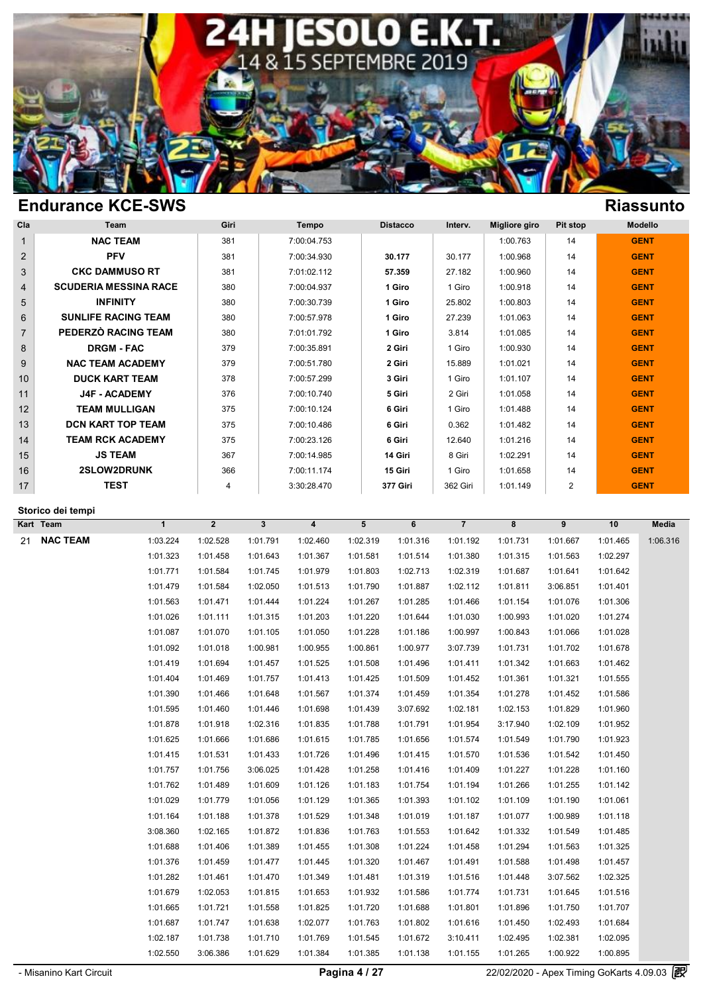

| Cla            | <b>Team</b>                  | Giri | <b>Tempo</b> | <b>Distacco</b> | Interv.  | Migliore giro | Pit stop | <b>Modello</b> |
|----------------|------------------------------|------|--------------|-----------------|----------|---------------|----------|----------------|
| $\mathbf 1$    | <b>NAC TEAM</b>              | 381  | 7:00:04.753  |                 |          | 1:00.763      | 14       | <b>GENT</b>    |
| $\overline{2}$ | <b>PFV</b>                   | 381  | 7:00:34.930  | 30.177          | 30.177   | 1:00.968      | 14       | <b>GENT</b>    |
| 3              | <b>CKC DAMMUSO RT</b>        | 381  | 7:01:02.112  | 57.359          | 27.182   | 1:00.960      | 14       | <b>GENT</b>    |
| $\overline{4}$ | <b>SCUDERIA MESSINA RACE</b> | 380  | 7:00:04.937  | 1 Giro          | 1 Giro   | 1:00.918      | 14       | <b>GENT</b>    |
| 5              | <b>INFINITY</b>              | 380  | 7:00:30.739  | 1 Giro          | 25.802   | 1:00.803      | 14       | <b>GENT</b>    |
| 6              | <b>SUNLIFE RACING TEAM</b>   | 380  | 7:00:57.978  | 1 Giro          | 27.239   | 1:01.063      | 14       | <b>GENT</b>    |
| $\overline{7}$ | PEDERZÒ RACING TEAM          | 380  | 7:01:01.792  | 1 Giro          | 3.814    | 1:01.085      | 14       | <b>GENT</b>    |
| 8              | <b>DRGM - FAC</b>            | 379  | 7:00:35.891  | 2 Giri          | 1 Giro   | 1:00.930      | 14       | <b>GENT</b>    |
| 9              | <b>NAC TEAM ACADEMY</b>      | 379  | 7:00:51.780  | 2 Giri          | 15.889   | 1:01.021      | 14       | <b>GENT</b>    |
| 10             | <b>DUCK KART TEAM</b>        | 378  | 7:00:57.299  | 3 Giri          | 1 Giro   | 1:01.107      | 14       | <b>GENT</b>    |
| 11             | <b>J4F - ACADEMY</b>         | 376  | 7:00:10.740  | 5 Giri          | 2 Giri   | 1:01.058      | 14       | <b>GENT</b>    |
| 12             | <b>TEAM MULLIGAN</b>         | 375  | 7:00:10.124  | 6 Giri          | 1 Giro   | 1:01.488      | 14       | <b>GENT</b>    |
| 13             | <b>DCN KART TOP TEAM</b>     | 375  | 7:00:10.486  | 6 Giri          | 0.362    | 1:01.482      | 14       | <b>GENT</b>    |
| 14             | <b>TEAM RCK ACADEMY</b>      | 375  | 7:00:23.126  | 6 Giri          | 12.640   | 1:01.216      | 14       | <b>GENT</b>    |
| 15             | <b>JS TEAM</b>               | 367  | 7:00:14.985  | 14 Giri         | 8 Giri   | 1:02.291      | 14       | <b>GENT</b>    |
| 16             | <b>2SLOW2DRUNK</b>           | 366  | 7:00:11.174  | 15 Giri         | 1 Giro   | 1:01.658      | 14       | <b>GENT</b>    |
| 17             | <b>TEST</b>                  | 4    | 3:30:28.470  | <b>377 Giri</b> | 362 Giri | 1:01.149      | 2        | <b>GENT</b>    |
|                | .                            |      |              |                 |          |               |          |                |

**Storico dei tempi**

**Kart Team 1 2 3 4 5 6 7 8 9 10 Media** 21 **NAC TEAM** 1:03.224 1:02.528 1:01.791 1:02.460 1:02.319 1:01.316 1:01.380 1:01.315 1:01.667 1:01.465 1:06.316<br>21 **NAC TEAM** 1:03.224 1:02.528 1:01.791 1:02.460 1:02.319 1:01.316 1:01.192 1:01.731 1:01.667 1:01.465 1:06. 1:03.224 1:02.528 1:01.791 1:02.460 1:02.319 1:01.316 1:01.192 1:01.731 1:01.667 1:01.465 1:06.<br>1:01.323 1:01.458 1:01.643 1:01.367 1:01.581 1:01.514 1:01.380 1:01.315 1:01.563 1:02.297<br>1:01.771 1:01.584 1:01.745 1:01.979 1:03.224 1:02.528 1:01.791 1:02.460 1:02.319 1:01.316 1:01.192 1:01.731 1:01.667 1:01.465 1:06.<br>1:01.323 1:01.458 1:01.643 1:01.367 1:01.581 1:01.514 1:01.380 1:01.315 1:01.563 1:02.297<br>1:01.771 1:01.584 1:01.745 1:01.979 1:03.224 1:02.528 1:01.791 1:02.460 1:02.319 1:01.316 1:01.192 1:01.731 1:01.667 1:01.465 1:06.<br>1:01.323 1:01.458 1:01.643 1:01.367 1:01.581 1:01.514 1:01.380 1:01.315 1:01.563 1:02.297<br>1:01.771 1:01.584 1:01.745 1:01.979 1:01.323 1:01.458 1:01.643 1:01.979 1:01.881 1:01.514 1:01.380 1:01.315 1:01.563 1:02.297<br>
1:01.771 1:01.584 1:01.745 1:01.979 1:01.803 1:02.713 1:02.319 1:01.687 1:01.641 1:01.642<br>
1:01.479 1:01.584 1:02.050 1:01.513 1:0 1:01.771 1:01.584 1:01.745 1:01.579 1:01.803 1:02.713 1:02.319 1:01.687 1:01.641 1:01.642<br>1:01.479 1:01.584 1:02.050 1:01.513 1:01.790 1:01.887 1:02.112 1:01.811 3:06.851 1:01.401<br>1:01.563 1:01.471 1:01.444 1:01.224 1:01.2 1:01.479 1:01.584 1:02.050 1:01.513 1:01.290 1:01.887 1:02.112 1:01.811 3:06.851 1:01.401<br>1:01.563 1:01.471 1:01.444 1:01.224 1:01.267 1:01.285 1:01.466 1:01.154 1:01.076 1:01.306<br>1:01.026 1:01.111 1:01.315 1:01.203 1:01.2 1:01.026 1:01.111 1:01.315 1:01.224 1:01.226 1:01.644 1:01.030 1:00.993 1:01.020 1:01.306<br>1:01.026 1:01.111 1:01.315 1:01.203 1:01.220 1:01.644 1:01.030 1:00.993 1:01.020 1:01.274<br>1:01.087 1:01.070 1:01.105 1:01.050 1:01.2 1:01.026 1:01.111 1:01.315 1:01.020 1:01.220 1:01.184 1:01.030 1:00.993 1:01.020 1:01.274<br>1:01.087 1:01.070 1:01.105 1:01.050 1:01.228 1:01.186 1:00.997 1:00.843 1:01.066 1:01.028<br>1:01.092 1:01.018 1:00.981 1:00.955 1:00. 1:01.087 1:01.070 1:01.105 1:01.650 1:01.228 1:01.186 1:00.997 1:00.843 1:01.066 1:01.028<br>1:01.092 1:01.018 1:00.981 1:00.955 1:00.861 1:00.977 3:07.739 1:01.731 1:01.702 1:01.678<br>1:01.419 1:01.694 1:01.457 1:01.525 1:01.5 1:01.419 1:01.694 1:01.457 1:01.525 1:01.508 1:01.496 1:01.411 1:01.342 1:01.663 1:01.462<br>1:01.419 1:01.694 1:01.457 1:01.525 1:01.508 1:01.496 1:01.411 1:01.342 1:01.663 1:01.462<br>1:01.404 1:01.469 1:01.757 1:01.413 1:01.4 1:01.419 1:01.694 1:01.457 1:01.525 1:01.508 1:01.496 1:01.411 1:01.342 1:01.663 1:01.462<br>1:01.404 1:01.469 1:01.757 1:01.413 1:01.425 1:01.509 1:01.452 1:01.361 1:01.321 1:01.555<br>1:01.390 1:01.466 1:01.648 1:01.567 1:01.3 1:01.404 1:01.469 1:01.557 1:01.567 1:01.374 1:01.459 1:01.354 1:01.361 1:01.321 1:01.555<br>1:01.390 1:01.466 1:01.648 1:01.567 1:01.374 1:01.459 1:01.354 1:01.278 1:01.452 1:01.586<br>1:01.595 1:01.460 1:01.446 1:01.698 1:01.4 1:01.590 1:01.466 1:01.648 1:01.667 1:01.374 1:01.459 1:01.354 1:01.278 1:01.452 1:01.586<br>1:01.595 1:01.460 1:01.446 1:01.698 1:01.439 3:07.692 1:02.181 1:02.153 1:01.829 1:01.960<br>1:01.878 1:01.918 1:02.316 1:01.835 1:01.7 1:01.595 1:01.460 1:01.446 1:01.698 1:01.785 1:01.791 1:02.181 1:02.153 1:01.829 1:01.960<br>1:01.878 1:01.918 1:02.316 1:01.835 1:01.788 1:01.791 1:01.954 3:17.940 1:02.109 1:01.952<br>1:01.625 1:01.666 1:01.686 1:01.615 1:01.7 1:01.878 1:01.918 1:02.316 1:01.835 1:01.788 1:01.791 1:01.954 3:17.940 1:02.109 1:01.952<br>1:01.625 1:01.666 1:01.686 1:01.615 1:01.785 1:01.656 1:01.574 1:01.549 1:01.790 1:01.923<br>1:01.415 1:01.531 1:01.433 1:01.726 1:01.4 1:01.625 1:01.666 1:01.433 1:01.726 1:01.496 1:01.415 1:01.574 1:01.549 1:01.790 1:01.923<br>1:01.415 1:01.531 1:01.433 1:01.726 1:01.496 1:01.415 1:01.570 1:01.536 1:01.542 1:01.450<br>1:01.757 1:01.756 3:06.025 1:01.428 1:01.2 1:01.415 1:01.531 1:01.433 1:01.726 1:01.496 1:01.415 1:01.570 1:01.536 1:01.542 1:01.450<br>1:01.757 1:01.756 3:06.025 1:01.428 1:01.258 1:01.416 1:01.409 1:01.227 1:01.228 1:01.160<br>1:01.762 1:01.489 1:01.609 1:01.126 1:01.1 1:01.757 1:01.756 3:06.025 1:01.128 1:01.258 1:01.754 1:01.1409 1:01.227 1:01.228 1:01.160<br>1:01.762 1:01.489 1:01.609 1:01.126 1:01.183 1:01.754 1:01.194 1:01.266 1:01.255 1:01.142<br>1:01.029 1:01.779 1:01.056 1:01.129 1:01. 3:08.360 1:01.406 1:01.380 1:01.455 1:01.455 1:01.388 1:01.455 1:01.468 1:01.406 1:01.406 1:01.406 1:01.42<br>1:01.164 1:01.168 1:01.378 1:01.529 1:01.348 1:01.019 1:01.187 1:01.077 1:00.989 1:01.118<br>1:01.164 1:02.165 1:01.37 1:01.029 1:01.779 1:01.378 1:01.529 1:01.348 1:01.019 1:01.102 1:01.010 1:01.190 1:01.061<br>1:01.164 1:01.188 1:01.378 1:01.529 1:01.348 1:01.019 1:01.187 1:01.077 1:00.989 1:01.118<br>3:08.360 1:02.165 1:01.872 1:01.836 1:01.7 1:01.164 1:01.188 1:01.378 1:01.829 1:01.348 1:01.553 1:01.187 1:01.322 1:01.549 1:01.485<br>
1:01.688 1:01.406 1:01.389 1:01.445 1:01.320 1:01.467 1:01.491 1:01.588 1:01.498 1:01.457<br>
1:01.376 1:01.459 1:01.477 1:01.445 1:01 1:01.688 1:01.406 1:01.389 1:01.455 1:01.308 1:01.224 1:01.458 1:01.332 1:01.563 1:01.485 1:01.688 1:01.406 1:01.389 1:01.455 1:01.308 1:01.224 1:01.458 1:01.294 1:01.563 1:01.325 1:01.325 1:01.326 1:01.325 1:01.325 1:01.3 1:01.688 1:01.406 1:01.477 1:01.445 1:01.308 1:01.467 1:01.458 1:01.294 1:01.563 1:01.325<br>1:01.376 1:01.459 1:01.477 1:01.445 1:01.320 1:01.467 1:01.491 1:01.588 1:01.498 1:01.457<br>1:01.282 1:01.461 1:01.470 1:01.349 1:01.4 1:01.376 1:01.459 1:01.477 1:01.349 1:01.481 1:01.319 1:01.491 1:01.588 1:01.498 1:01.457<br>1:01.282 1:01.461 1:01.470 1:01.349 1:01.481 1:01.319 1:01.516 1:01.448 3:07.562 1:02.325<br>1:01.679 1:02.053 1:01.815 1:01.653 1:01.9 1:01.282 1:01.461 1:01.815 1:01.849 1:01.848 1:01.516 1:01.448 3:07.562 1:02.325<br>1:01.679 1:02.053 1:01.815 1:01.653 1:01.932 1:01.586 1:01.774 1:01.731 1:01.645 1:01.516<br>1:01.665 1:01.721 1:01.558 1:01.825 1:01.720 1:01.6 1:01.679 1:02.053 1:01.815 1:01.853 1:01.720 1:01.886 1:01.774 1:01.896 1:01.731 1:01.645 1:01.516<br>1:01.665 1:01.721 1:01.558 1:01.825 1:01.720 1:01.688 1:01.801 1:01.896 1:01.750 1:01.707<br>1:01.687 1:01.747 1:01.638 1:02.0 1:01.665 1:01.721 1:01.558 1:01.825 1:01.720 1:01.888 1:01.801 1:01.896 1:01.750 1:01.707<br>1:01.687 1:01.747 1:01.638 1:02.077 1:01.763 1:01.802 1:01.616 1:01.450 1:02.493 1:01.684<br>1:02.187 1:01.738 1:01.710 1:01.769 1:01.5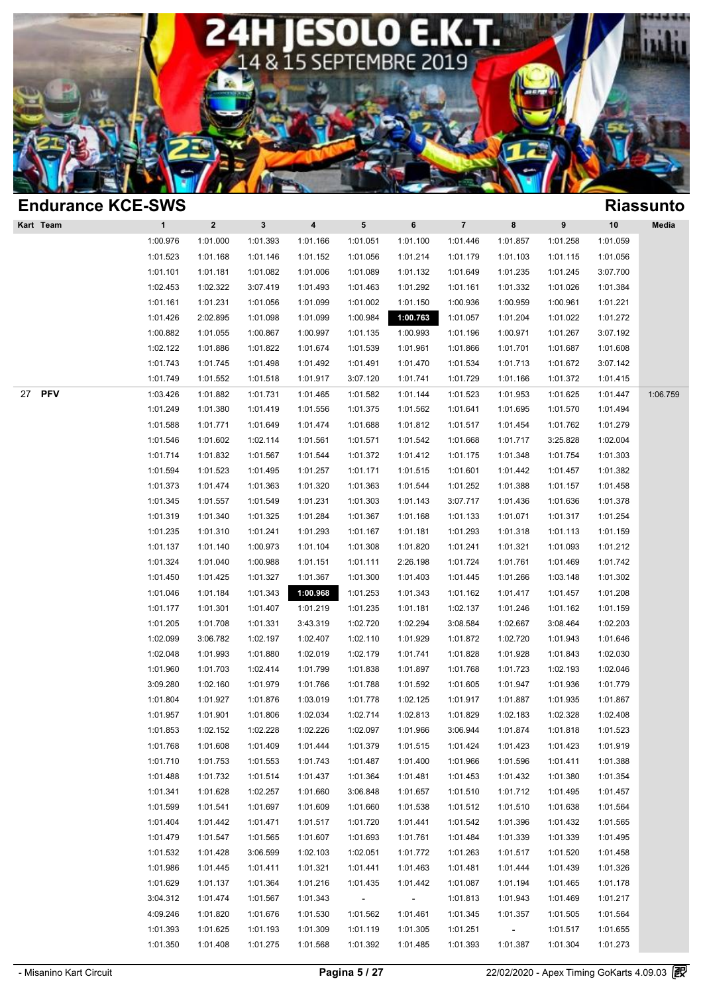

|          | <b>Riassunto</b>     |                      |                    |                         |                      |           |                      |                      |          |              | <b>Endurance KCE-SWS</b> |
|----------|----------------------|----------------------|--------------------|-------------------------|----------------------|-----------|----------------------|----------------------|----------|--------------|--------------------------|
| Media    | 10                   | 9                    | 8                  | $\overline{\mathbf{7}}$ | $\bf 6$              | ${\bf 5}$ | 4                    | $\mathbf{3}$         | $\bf{2}$ | $\mathbf{1}$ | Kart Team                |
|          | 1:01.059             | 1:01.258             | 1:01.857           | 1:01.446                | 1:01.100             | 1:01.051  | 1:01.166             | 1:01.393             | 1:01.000 | 1:00.976     |                          |
|          | 1:01.056             | 1:01.115             | 1:01.103           | 1:01.179                | 1:01.214             | 1:01.056  | 1:01.152             | 1:01.146             | 1:01.168 | 1:01.523     |                          |
|          | 3:07.700             | 1:01.245             | 1:01.235           | 1:01.649                | 1:01.132             | 1:01.089  | 1:01.006             | 1:01.082             | 1:01.181 | 1:01.101     |                          |
|          | 1:01.384             | 1:01.026             | 1:01.332           | 1:01.161                | 1:01.292             | 1:01.463  | 1:01.493             | 3:07.419             | 1:02.322 | 1:02.453     |                          |
|          | 1:01.221             | 1:00.961             | 1:00.959           | 1:00.936                | 1:01.150             | 1:01.002  | 1:01.099             | 1:01.056             | 1:01.231 | 1:01.161     |                          |
|          | 1:01.272             | 1:01.022             | 1:01.204           | 1:01.057                | 1:00.763             | 1:00.984  | 1:01.099             | 1:01.098             | 2:02.895 | 1:01.426     |                          |
|          | 3:07.192             | 1:01.267             | 1:00.971           | 1:01.196                | 1:00.993             | 1:01.135  | 1:00.997             | 1:00.867             | 1:01.055 | 1:00.882     |                          |
|          | 1:01.608             | 1:01.687             | 1:01.701           | 1:01.866                | 1:01.961             | 1:01.539  | 1:01.674             | 1:01.822             | 1:01.886 | 1:02.122     |                          |
|          | 3:07.142             | 1:01.672             | 1:01.713           | 1:01.534                | 1:01.470             | 1:01.491  | 1:01.492             | 1:01.498             | 1:01.745 | 1:01.743     |                          |
|          | 1:01.415             | 1:01.372             | 1:01.166           | 1:01.729                | 1:01.741             | 3:07.120  | 1:01.917             | 1:01.518             | 1:01.552 | 1:01.749     |                          |
| 1:06.759 | 1:01.447             | 1:01.625             | 1:01.953           | 1:01.523                | 1:01.144             | 1:01.582  | 1:01.465             | 1:01.731             | 1:01.882 | 1:03.426     | <b>PFV</b><br>27         |
|          | 1:01.494             | 1:01.570             | 1:01.695           | 1:01.641                | 1:01.562             | 1:01.375  | 1:01.556             | 1:01.419             | 1:01.380 | 1:01.249     |                          |
|          | 1:01.279             | 1:01.762             | 1:01.454           | 1:01.517                | 1:01.812             | 1:01.688  | 1:01.474             | 1:01.649             | 1:01.771 | 1:01.588     |                          |
|          | 1:02.004             | 3:25.828             | 1:01.717           | 1:01.668                | 1:01.542             | 1:01.571  | 1:01.561             | 1:02.114             | 1:01.602 | 1:01.546     |                          |
|          | 1:01.303             | 1:01.754             | 1:01.348           | 1:01.175                | 1:01.412             | 1:01.372  | 1:01.544             | 1:01.567             | 1:01.832 | 1:01.714     |                          |
|          | 1:01.382             | 1:01.457             | 1:01.442           | 1:01.601                | 1:01.515             | 1:01.171  | 1:01.257             | 1:01.495             | 1:01.523 | 1:01.594     |                          |
|          | 1:01.458             | 1:01.157             | 1:01.388           | 1:01.252                | 1:01.544             | 1:01.363  | 1:01.320             | 1:01.363             | 1:01.474 | 1:01.373     |                          |
|          | 1:01.378             | 1:01.636             | 1:01.436           | 3:07.717                | 1:01.143             | 1:01.303  | 1:01.231             | 1:01.549             | 1:01.557 | 1:01.345     |                          |
|          | 1:01.254             | 1:01.317             | 1:01.071           | 1:01.133                | 1:01.168             | 1:01.367  | 1:01.284             | 1:01.325             | 1:01.340 | 1:01.319     |                          |
|          | 1:01.159             | 1:01.113             | 1:01.318           | 1:01.293                | 1:01.181             | 1:01.167  | 1:01.293             | 1:01.241             | 1:01.310 | 1:01.235     |                          |
|          | 1:01.212             | 1:01.093             | 1:01.321           | 1:01.241                | 1:01.820             | 1:01.308  | 1:01.104             | 1:00.973             | 1:01.140 | 1:01.137     |                          |
|          | 1:01.742             | 1:01.469             | 1:01.761           | 1:01.724                | 2:26.198             | 1:01.111  | 1:01.151             | 1:00.988             | 1:01.040 | 1:01.324     |                          |
|          | 1:01.302             | 1:03.148             | 1:01.266           | 1:01.445                | 1:01.403             | 1:01.300  | 1:01.367             | 1:01.327             | 1:01.425 | 1:01.450     |                          |
|          | 1:01.208             | 1:01.457             | 1:01.417           | 1:01.162                | 1:01.343             | 1:01.253  | 1:00.968             | 1:01.343             | 1:01.184 | 1:01.046     |                          |
|          | 1:01.159             | 1:01.162             | 1:01.246           | 1:02.137                | 1:01.181             | 1:01.235  | 1:01.219             | 1:01.407             | 1:01.301 | 1:01.177     |                          |
|          | 1:02.203             | 3:08.464             | 1:02.667           | 3:08.584                | 1:02.294             | 1:02.720  | 3:43.319             | 1:01.331             | 1:01.708 | 1:01.205     |                          |
|          | 1:01.646             | 1:01.943             | 1:02.720           | 1:01.872                | 1:01.929             | 1:02.110  | 1:02.407             | 1:02.197             | 3:06.782 | 1:02.099     |                          |
|          | 1:02.030             | 1:01.843             | 1:01.928           | 1:01.828                | 1:01.741             | 1:02.179  | 1:02.019             | 1:01.880             | 1:01.993 | 1:02.048     |                          |
|          | 1:02.046             | 1:02.193             | 1:01.723           | 1:01.768                | 1:01.897             | 1:01.838  | 1:01.799             | 1:02.414             | 1:01.703 | 1:01.960     |                          |
|          | 1:01.779             | 1:01.936             | 1:01.947           | 1:01.605                | 1:01.592             | 1:01.788  | 1:01.766             | 1:01.979             | 1:02.160 | 3:09.280     |                          |
|          | 1:01.867             | 1:01.935             | 1:01.887           | 1:01.917                | 1:02.125             | 1:01.778  | 1:03.019             | 1:01.876             | 1:01.927 | 1:01.804     |                          |
|          | 1:02.408             | 1:02.328             | 1:02.183           | 1:01.829                | 1:02.813             | 1:02.714  | 1:02.034             | 1:01.806             | 1:01.901 | 1:01.957     |                          |
|          | 1:01.523             | 1:01.818             | 1:01.874           | 3:06.944                | 1:01.966             | 1:02.097  | 1:02.226             | 1:02.228             | 1:02.152 | 1:01.853     |                          |
|          | 1:01.919             | 1:01.423             | 1:01.423           | 1:01.424                | 1:01.515             | 1:01.379  | 1:01.444             | 1:01.409             | 1:01.608 | 1:01.768     |                          |
|          | 1:01.388             | 1:01.411             | 1:01.596           | 1:01.966                | 1:01.400             | 1:01.487  | 1:01.743             | 1:01.553             | 1:01.753 | 1:01.710     |                          |
|          | 1:01.354             | 1:01.380             | 1:01.432           | 1:01.453                | 1:01.481             | 1:01.364  | 1:01.437             | 1:01.514             | 1:01.732 | 1:01.488     |                          |
|          | 1:01.457             | 1:01.495             | 1:01.712           | 1:01.510                | 1:01.657             | 3:06.848  | 1:01.660             | 1:02.257             | 1:01.628 | 1:01.341     |                          |
|          | 1:01.564             | 1:01.638             | 1:01.510           | 1:01.512                | 1:01.538             | 1:01.660  | 1:01.609             | 1:01.697             | 1:01.541 | 1:01.599     |                          |
|          | 1:01.565             | 1:01.432             | 1:01.396           | 1:01.542                | 1:01.441             | 1:01.720  | 1:01.517             | 1:01.471             | 1:01.442 | 1:01.404     |                          |
|          | 1:01.495             | 1:01.339             | 1:01.339           | 1:01.484                | 1:01.761             | 1:01.693  | 1:01.607             | 1:01.565             | 1:01.547 | 1:01.479     |                          |
|          | 1:01.458             | 1:01.520             | 1:01.517           | 1:01.263                | 1:01.772             | 1:02.051  | 1:02.103             | 3:06.599             | 1:01.428 | 1:01.532     |                          |
|          | 1:01.326             | 1:01.439             | 1:01.444           | 1:01.481                | 1:01.463             | 1:01.441  | 1:01.321             | 1:01.411             | 1:01.445 | 1:01.986     |                          |
|          | 1:01.178             | 1:01.465             | 1:01.194           | 1:01.087                | 1:01.442             | 1:01.435  | 1:01.216             | 1:01.364             | 1:01.137 | 1:01.629     |                          |
|          | 1:01.217             | 1:01.469             | 1:01.943           | 1:01.813                | $\sim$               | $\sim$    | 1:01.343             | 1:01.567             | 1:01.474 | 3:04.312     |                          |
|          | 1:01.564             |                      | 1:01.357           | 1:01.345                | 1:01.461             | 1:01.562  | 1:01.530             |                      | 1:01.820 | 4:09.246     |                          |
|          |                      | 1:01.505             |                    |                         |                      | 1:01.119  |                      | 1:01.676             | 1:01.625 | 1:01.393     |                          |
|          | 1:01.655<br>1:01.273 | 1:01.517<br>1:01.304 | $\sim$<br>1:01.387 | 1:01.251<br>1:01.393    | 1:01.305<br>1:01.485 | 1:01.392  | 1:01.309<br>1:01.568 | 1:01.193<br>1:01.275 | 1:01.408 | 1:01.350     |                          |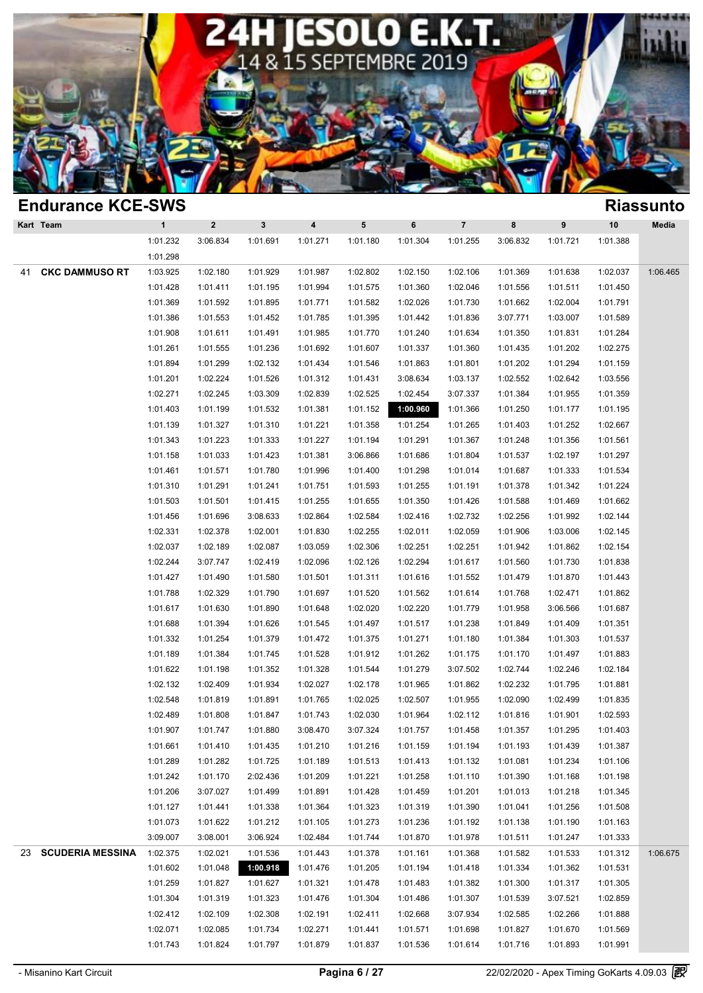

| <b>Endurance KCE-SWS</b>       |              |              |              |                         |           |          |                |          |          |          | <b>Riassunto</b> |
|--------------------------------|--------------|--------------|--------------|-------------------------|-----------|----------|----------------|----------|----------|----------|------------------|
| Kart Team                      | $\mathbf{1}$ | $\mathbf{2}$ | $\mathbf{3}$ | $\overline{\mathbf{4}}$ | ${\bf 5}$ | 6        | $\overline{7}$ | 8        | 9        | 10       | Media            |
|                                | 1:01.232     | 3:06.834     | 1:01.691     | 1:01.271                | 1:01.180  | 1:01.304 | 1:01.255       | 3:06.832 | 1:01.721 | 1:01.388 |                  |
|                                | 1:01.298     |              |              |                         |           |          |                |          |          |          |                  |
| <b>CKC DAMMUSO RT</b><br>41    | 1:03.925     | 1:02.180     | 1:01.929     | 1:01.987                | 1:02.802  | 1:02.150 | 1:02.106       | 1:01.369 | 1:01.638 | 1:02.037 | 1:06.465         |
|                                | 1:01.428     | 1:01.411     | 1:01.195     | 1:01.994                | 1:01.575  | 1:01.360 | 1:02.046       | 1:01.556 | 1:01.511 | 1:01.450 |                  |
|                                | 1:01.369     | 1:01.592     | 1:01.895     | 1:01.771                | 1:01.582  | 1:02.026 | 1:01.730       | 1:01.662 | 1:02.004 | 1:01.791 |                  |
|                                | 1:01.386     | 1:01.553     | 1:01.452     | 1:01.785                | 1:01.395  | 1:01.442 | 1:01.836       | 3:07.771 | 1:03.007 | 1:01.589 |                  |
|                                | 1:01.908     | 1:01.611     | 1:01.491     | 1:01.985                | 1:01.770  | 1:01.240 | 1:01.634       | 1:01.350 | 1:01.831 | 1:01.284 |                  |
|                                | 1:01.261     | 1:01.555     | 1:01.236     | 1:01.692                | 1:01.607  | 1:01.337 | 1:01.360       | 1:01.435 | 1:01.202 | 1:02.275 |                  |
|                                | 1:01.894     | 1:01.299     | 1:02.132     | 1:01.434                | 1:01.546  | 1:01.863 | 1:01.801       | 1:01.202 | 1:01.294 | 1:01.159 |                  |
|                                | 1:01.201     | 1:02.224     | 1:01.526     | 1:01.312                | 1:01.431  | 3:08.634 | 1:03.137       | 1:02.552 | 1:02.642 | 1:03.556 |                  |
|                                | 1:02.271     | 1:02.245     | 1:03.309     | 1:02.839                | 1:02.525  | 1:02.454 | 3:07.337       | 1:01.384 | 1:01.955 | 1:01.359 |                  |
|                                | 1:01.403     | 1:01.199     | 1:01.532     | 1:01.381                | 1:01.152  | 1:00.960 | 1:01.366       | 1:01.250 | 1:01.177 | 1:01.195 |                  |
|                                | 1:01.139     | 1:01.327     | 1:01.310     | 1:01.221                | 1:01.358  | 1:01.254 | 1:01.265       | 1:01.403 | 1:01.252 | 1:02.667 |                  |
|                                | 1:01.343     | 1:01.223     | 1:01.333     | 1:01.227                | 1:01.194  | 1:01.291 | 1:01.367       | 1:01.248 | 1:01.356 | 1:01.561 |                  |
|                                | 1:01.158     | 1:01.033     | 1:01.423     | 1:01.381                | 3:06.866  | 1:01.686 | 1:01.804       | 1:01.537 | 1:02.197 | 1:01.297 |                  |
|                                | 1:01.461     | 1:01.571     | 1:01.780     | 1:01.996                | 1:01.400  | 1:01.298 | 1:01.014       | 1:01.687 | 1:01.333 | 1:01.534 |                  |
|                                | 1:01.310     | 1:01.291     | 1:01.241     | 1:01.751                | 1:01.593  | 1:01.255 | 1:01.191       | 1:01.378 | 1:01.342 | 1:01.224 |                  |
|                                | 1:01.503     | 1:01.501     | 1:01.415     | 1:01.255                | 1:01.655  | 1:01.350 | 1:01.426       | 1:01.588 | 1:01.469 | 1:01.662 |                  |
|                                | 1:01.456     | 1:01.696     | 3:08.633     | 1:02.864                | 1:02.584  | 1:02.416 | 1:02.732       | 1:02.256 | 1:01.992 | 1:02.144 |                  |
|                                | 1:02.331     | 1:02.378     | 1:02.001     | 1:01.830                | 1:02.255  | 1:02.011 | 1:02.059       | 1:01.906 | 1:03.006 | 1:02.145 |                  |
|                                | 1:02.037     | 1:02.189     | 1:02.087     | 1:03.059                | 1:02.306  | 1:02.251 | 1:02.251       | 1:01.942 | 1:01.862 | 1:02.154 |                  |
|                                | 1:02.244     | 3:07.747     | 1:02.419     | 1:02.096                | 1:02.126  | 1:02.294 | 1:01.617       | 1:01.560 | 1:01.730 | 1:01.838 |                  |
|                                | 1:01.427     | 1:01.490     | 1:01.580     | 1:01.501                | 1:01.311  | 1:01.616 | 1:01.552       | 1:01.479 | 1:01.870 | 1:01.443 |                  |
|                                | 1:01.788     | 1:02.329     | 1:01.790     | 1:01.697                | 1:01.520  | 1:01.562 | 1:01.614       | 1:01.768 | 1:02.471 | 1:01.862 |                  |
|                                | 1:01.617     | 1:01.630     | 1:01.890     | 1:01.648                | 1:02.020  | 1:02.220 | 1:01.779       | 1:01.958 | 3:06.566 | 1:01.687 |                  |
|                                | 1:01.688     | 1:01.394     | 1:01.626     | 1:01.545                | 1:01.497  | 1:01.517 | 1:01.238       | 1:01.849 | 1:01.409 | 1:01.351 |                  |
|                                | 1:01.332     | 1:01.254     | 1:01.379     | 1:01.472                | 1:01.375  | 1:01.271 | 1:01.180       | 1:01.384 | 1:01.303 | 1:01.537 |                  |
|                                | 1:01.189     | 1:01.384     | 1:01.745     | 1:01.528                | 1:01.912  | 1:01.262 | 1:01.175       | 1:01.170 | 1:01.497 | 1:01.883 |                  |
|                                | 1:01.622     | 1:01.198     | 1:01.352     | 1:01.328                | 1:01.544  | 1:01.279 | 3:07.502       | 1:02.744 | 1:02.246 | 1:02.184 |                  |
|                                | 1:02.132     | 1:02.409     | 1:01.934     | 1:02.027                | 1:02.178  | 1:01.965 | 1:01.862       | 1:02.232 | 1:01.795 | 1:01.881 |                  |
|                                | 1:02.548     | 1:01.819     | 1:01.891     | 1:01.765                | 1:02.025  | 1:02.507 | 1:01.955       | 1:02.090 | 1:02.499 | 1:01.835 |                  |
|                                | 1:02.489     | 1:01.808     | 1:01.847     | 1:01.743                | 1:02.030  | 1:01.964 | 1:02.112       | 1:01.816 | 1:01.901 | 1:02.593 |                  |
|                                | 1:01.907     | 1:01.747     | 1:01.880     | 3:08.470                | 3:07.324  | 1:01.757 | 1:01.458       | 1:01.357 | 1:01.295 | 1:01.403 |                  |
|                                | 1:01.661     | 1:01.410     | 1:01.435     | 1:01.210                | 1:01.216  | 1:01.159 | 1:01.194       | 1:01.193 | 1:01.439 | 1:01.387 |                  |
|                                | 1:01.289     | 1:01.282     | 1:01.725     | 1:01.189                | 1:01.513  | 1:01.413 | 1:01.132       | 1:01.081 | 1:01.234 | 1:01.106 |                  |
|                                | 1:01.242     | 1:01.170     | 2:02.436     | 1:01.209                | 1:01.221  | 1:01.258 | 1:01.110       | 1:01.390 | 1:01.168 | 1:01.198 |                  |
|                                | 1:01.206     | 3:07.027     | 1:01.499     | 1:01.891                | 1:01.428  | 1:01.459 | 1:01.201       | 1:01.013 | 1:01.218 | 1:01.345 |                  |
|                                | 1:01.127     | 1:01.441     | 1:01.338     | 1:01.364                | 1:01.323  | 1:01.319 | 1:01.390       | 1:01.041 | 1:01.256 | 1:01.508 |                  |
|                                | 1:01.073     | 1:01.622     | 1:01.212     | 1:01.105                | 1:01.273  | 1:01.236 | 1:01.192       | 1:01.138 | 1:01.190 | 1:01.163 |                  |
|                                | 3:09.007     | 3:08.001     | 3:06.924     | 1:02.484                | 1:01.744  | 1:01.870 | 1:01.978       | 1:01.511 | 1:01.247 | 1:01.333 |                  |
| <b>SCUDERIA MESSINA</b><br>23. | 1:02.375     | 1:02.021     | 1:01.536     | 1:01.443                | 1:01.378  | 1:01.161 | 1:01.368       | 1:01.582 | 1:01.533 | 1:01.312 | 1:06.675         |
|                                | 1:01.602     | 1:01.048     | 1:00.918     | 1:01.476                | 1:01.205  | 1:01.194 | 1:01.418       | 1:01.334 | 1:01.362 | 1:01.531 |                  |
|                                | 1:01.259     | 1:01.827     |              | 1:01.321                | 1:01.478  |          | 1:01.382       | 1:01.300 |          | 1:01.305 |                  |
|                                | 1:01.304     |              | 1:01.627     |                         |           | 1:01.483 |                |          | 1:01.317 |          |                  |
|                                |              | 1:01.319     | 1:01.323     | 1:01.476                | 1:01.304  | 1:01.486 | 1:01.307       | 1:01.539 | 3:07.521 | 1:02.859 |                  |
|                                | 1:02.412     | 1:02.109     | 1:02.308     | 1:02.191                | 1:02.411  | 1:02.668 | 3:07.934       | 1:02.585 | 1:02.266 | 1:01.888 |                  |
|                                | 1:02.071     | 1:02.085     | 1:01.734     | 1:02.271                | 1:01.441  | 1:01.571 | 1:01.698       | 1:01.827 | 1:01.670 | 1:01.569 |                  |
|                                | 1:01.743     | 1:01.824     | 1:01.797     | 1:01.879                | 1:01.837  | 1:01.536 | 1:01.614       | 1:01.716 | 1:01.893 | 1:01.991 |                  |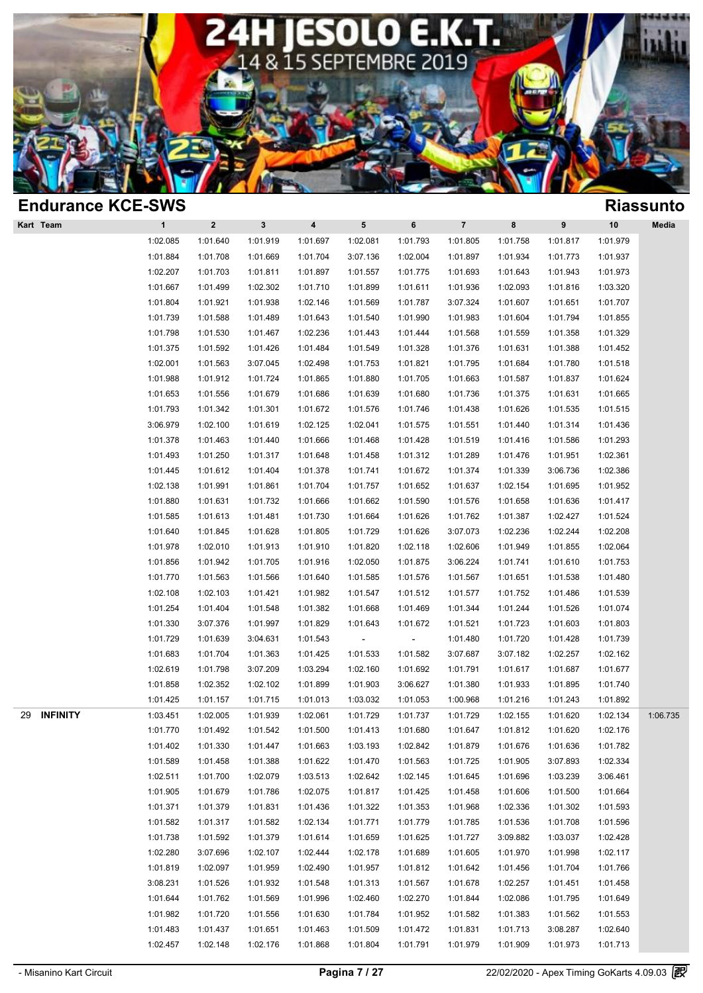

| <b>Endurance KCE-SWS</b> |              |          |              |                      |          |                          |                      |          |                      |                      | <b>Riassunto</b> |
|--------------------------|--------------|----------|--------------|----------------------|----------|--------------------------|----------------------|----------|----------------------|----------------------|------------------|
| Kart Team                | $\mathbf{1}$ | $\bf{2}$ | $\mathbf{3}$ | $\pmb{4}$            | 5        | $\bf 6$                  | $\overline{7}$       | 8        | $\pmb{9}$            | 10                   | Media            |
|                          | 1:02.085     | 1:01.640 | 1:01.919     | 1:01.697             | 1:02.081 | 1:01.793                 | 1:01.805             | 1:01.758 | 1:01.817             | 1:01.979             |                  |
|                          | 1:01.884     | 1:01.708 | 1:01.669     | 1:01.704             | 3:07.136 | 1:02.004                 | 1:01.897             | 1:01.934 | 1:01.773             | 1:01.937             |                  |
|                          | 1:02.207     | 1:01.703 | 1:01.811     | 1:01.897             | 1:01.557 | 1:01.775                 | 1:01.693             | 1:01.643 | 1:01.943             | 1:01.973             |                  |
|                          | 1:01.667     | 1:01.499 | 1:02.302     | 1:01.710             | 1:01.899 | 1:01.611                 | 1:01.936             | 1:02.093 | 1:01.816             | 1:03.320             |                  |
|                          | 1:01.804     | 1:01.921 | 1:01.938     | 1:02.146             | 1:01.569 | 1:01.787                 | 3:07.324             | 1:01.607 | 1:01.651             | 1:01.707             |                  |
|                          | 1:01.739     | 1:01.588 | 1:01.489     | 1:01.643             | 1:01.540 | 1:01.990                 | 1:01.983             | 1:01.604 | 1:01.794             | 1:01.855             |                  |
|                          | 1:01.798     | 1:01.530 | 1:01.467     | 1:02.236             | 1:01.443 | 1:01.444                 | 1:01.568             | 1:01.559 | 1:01.358             | 1:01.329             |                  |
|                          | 1:01.375     | 1:01.592 | 1:01.426     | 1:01.484             | 1:01.549 | 1:01.328                 | 1:01.376             | 1:01.631 | 1:01.388             | 1:01.452             |                  |
|                          | 1:02.001     | 1:01.563 | 3:07.045     | 1:02.498             | 1:01.753 | 1:01.821                 | 1:01.795             | 1:01.684 | 1:01.780             | 1:01.518             |                  |
|                          | 1:01.988     | 1:01.912 | 1:01.724     | 1:01.865             | 1:01.880 | 1:01.705                 | 1:01.663             | 1:01.587 | 1:01.837             | 1:01.624             |                  |
|                          | 1:01.653     | 1:01.556 | 1:01.679     | 1:01.686             | 1:01.639 | 1:01.680                 | 1:01.736             | 1:01.375 | 1:01.631             | 1:01.665             |                  |
|                          | 1:01.793     | 1:01.342 | 1:01.301     | 1:01.672             | 1:01.576 | 1:01.746                 | 1:01.438             | 1:01.626 | 1:01.535             | 1:01.515             |                  |
|                          | 3:06.979     | 1:02.100 | 1:01.619     | 1:02.125             | 1:02.041 | 1:01.575                 | 1:01.551             | 1:01.440 | 1:01.314             | 1:01.436             |                  |
|                          | 1:01.378     | 1:01.463 | 1:01.440     | 1:01.666             | 1:01.468 | 1:01.428                 | 1:01.519             | 1:01.416 | 1:01.586             | 1:01.293             |                  |
|                          | 1:01.493     | 1:01.250 | 1:01.317     | 1:01.648             | 1:01.458 | 1:01.312                 | 1:01.289             | 1:01.476 | 1:01.951             | 1:02.361             |                  |
|                          | 1:01.445     | 1:01.612 | 1:01.404     | 1:01.378             | 1:01.741 | 1:01.672                 | 1:01.374             | 1:01.339 | 3:06.736             | 1:02.386             |                  |
|                          | 1:02.138     | 1:01.991 | 1:01.861     | 1:01.704             | 1:01.757 | 1:01.652                 | 1:01.637             | 1:02.154 | 1:01.695             | 1:01.952             |                  |
|                          | 1:01.880     | 1:01.631 | 1:01.732     | 1:01.666             | 1:01.662 | 1:01.590                 | 1:01.576             | 1:01.658 | 1:01.636             | 1:01.417             |                  |
|                          | 1:01.585     | 1:01.613 | 1:01.481     | 1:01.730             | 1:01.664 | 1:01.626                 | 1:01.762             | 1:01.387 | 1:02.427             | 1:01.524             |                  |
|                          | 1:01.640     | 1:01.845 | 1:01.628     | 1:01.805             | 1:01.729 | 1:01.626                 | 3:07.073             | 1:02.236 | 1:02.244             | 1:02.208             |                  |
|                          | 1:01.978     | 1:02.010 | 1:01.913     | 1:01.910             | 1:01.820 | 1:02.118                 | 1:02.606             | 1:01.949 | 1:01.855             | 1:02.064             |                  |
|                          | 1:01.856     | 1:01.942 | 1:01.705     | 1:01.916             | 1:02.050 | 1:01.875                 | 3:06.224             | 1:01.741 | 1:01.610             | 1:01.753             |                  |
|                          | 1:01.770     | 1:01.563 | 1:01.566     | 1:01.640             | 1:01.585 | 1:01.576                 | 1:01.567             | 1:01.651 | 1:01.538             | 1:01.480             |                  |
|                          | 1:02.108     | 1:02.103 | 1:01.421     | 1:01.982             | 1:01.547 | 1:01.512                 | 1:01.577             | 1:01.752 | 1:01.486             | 1:01.539             |                  |
|                          | 1:01.254     | 1:01.404 | 1:01.548     | 1:01.382             | 1:01.668 | 1:01.469                 | 1:01.344             | 1:01.244 | 1:01.526             | 1:01.074             |                  |
|                          | 1:01.330     | 3:07.376 | 1:01.997     | 1:01.829             | 1:01.643 | 1:01.672                 | 1:01.521             | 1:01.723 | 1:01.603             | 1:01.803             |                  |
|                          | 1:01.729     | 1:01.639 | 3:04.631     | 1:01.543             |          | $\overline{\phantom{a}}$ | 1:01.480             | 1:01.720 | 1:01.428             | 1:01.739             |                  |
|                          | 1:01.683     | 1:01.704 | 1:01.363     | 1:01.425             | 1:01.533 | 1:01.582                 | 3:07.687             | 3:07.182 | 1:02.257             | 1:02.162             |                  |
|                          | 1:02.619     | 1:01.798 | 3:07.209     | 1:03.294             | 1:02.160 | 1:01.692                 | 1:01.791             | 1:01.617 | 1:01.687             | 1:01.677             |                  |
|                          | 1:01.858     | 1:02.352 | 1:02.102     | 1:01.899             | 1:01.903 | 3:06.627                 | 1:01.380             | 1:01.933 | 1:01.895             | 1:01.740             |                  |
|                          | 1:01.425     | 1:01.157 | 1:01.715     | 1:01.013             | 1:03.032 | 1:01.053                 | 1:00.968             | 1:01.216 | 1:01.243             | 1:01.892             |                  |
| <b>INFINITY</b><br>29    | 1:03.451     | 1:02.005 | 1:01.939     | 1:02.061             | 1:01.729 | 1:01.737                 | 1:01.729             | 1:02.155 | 1:01.620             | 1:02.134             | 1:06.735         |
|                          | 1:01.770     | 1:01.492 | 1:01.542     | 1:01.500             | 1:01.413 | 1:01.680                 | 1:01.647             | 1:01.812 | 1:01.620             | 1:02.176             |                  |
|                          | 1:01.402     | 1:01.330 | 1:01.447     | 1:01.663             | 1:03.193 | 1:02.842                 | 1:01.879             | 1:01.676 | 1:01.636             | 1:01.782             |                  |
|                          | 1:01.589     | 1:01.458 | 1:01.388     | 1:01.622             | 1:01.470 | 1:01.563                 | 1:01.725             | 1:01.905 | 3:07.893             | 1:02.334             |                  |
|                          | 1:02.511     | 1:01.700 | 1:02.079     | 1:03.513             | 1:02.642 | 1:02.145                 | 1:01.645             | 1:01.696 | 1:03.239             | 3:06.461             |                  |
|                          | 1:01.905     | 1:01.679 | 1:01.786     | 1:02.075             | 1:01.817 | 1:01.425                 | 1:01.458             | 1:01.606 | 1:01.500             | 1:01.664             |                  |
|                          | 1:01.371     | 1:01.379 | 1:01.831     | 1:01.436             | 1:01.322 | 1:01.353                 | 1:01.968             | 1:02.336 | 1:01.302             | 1:01.593             |                  |
|                          | 1:01.582     | 1:01.317 | 1:01.582     | 1:02.134             | 1:01.771 | 1:01.779                 | 1:01.785             | 1:01.536 | 1:01.708             | 1:01.596             |                  |
|                          | 1:01.738     | 1:01.592 | 1:01.379     | 1:01.614             | 1:01.659 | 1:01.625                 | 1:01.727             | 3:09.882 | 1:03.037             | 1:02.428             |                  |
|                          | 1:02.280     | 3:07.696 | 1:02.107     | 1:02.444             | 1:02.178 | 1:01.689                 | 1:01.605             | 1:01.970 | 1:01.998             | 1:02.117             |                  |
|                          | 1:01.819     | 1:02.097 | 1:01.959     | 1:02.490             | 1:01.957 | 1:01.812                 | 1:01.642             | 1:01.456 | 1:01.704             | 1:01.766             |                  |
|                          | 3:08.231     | 1:01.526 | 1:01.932     | 1:01.548             | 1:01.313 | 1:01.567                 | 1:01.678             | 1:02.257 | 1:01.451             | 1:01.458             |                  |
|                          | 1:01.644     | 1:01.762 | 1:01.569     | 1:01.996             | 1:02.460 | 1:02.270                 | 1:01.844             | 1:02.086 | 1:01.795             | 1:01.649             |                  |
|                          | 1:01.982     | 1:01.720 | 1:01.556     | 1:01.630             | 1:01.784 |                          | 1:01.582             | 1:01.383 |                      | 1:01.553             |                  |
|                          | 1:01.483     | 1:01.437 | 1:01.651     |                      | 1:01.509 | 1:01.952                 |                      | 1:01.713 | 1:01.562<br>3:08.287 |                      |                  |
|                          | 1:02.457     | 1:02.148 | 1:02.176     | 1:01.463<br>1:01.868 | 1:01.804 | 1:01.472<br>1:01.791     | 1:01.831<br>1:01.979 | 1:01.909 | 1:01.973             | 1:02.640<br>1:01.713 |                  |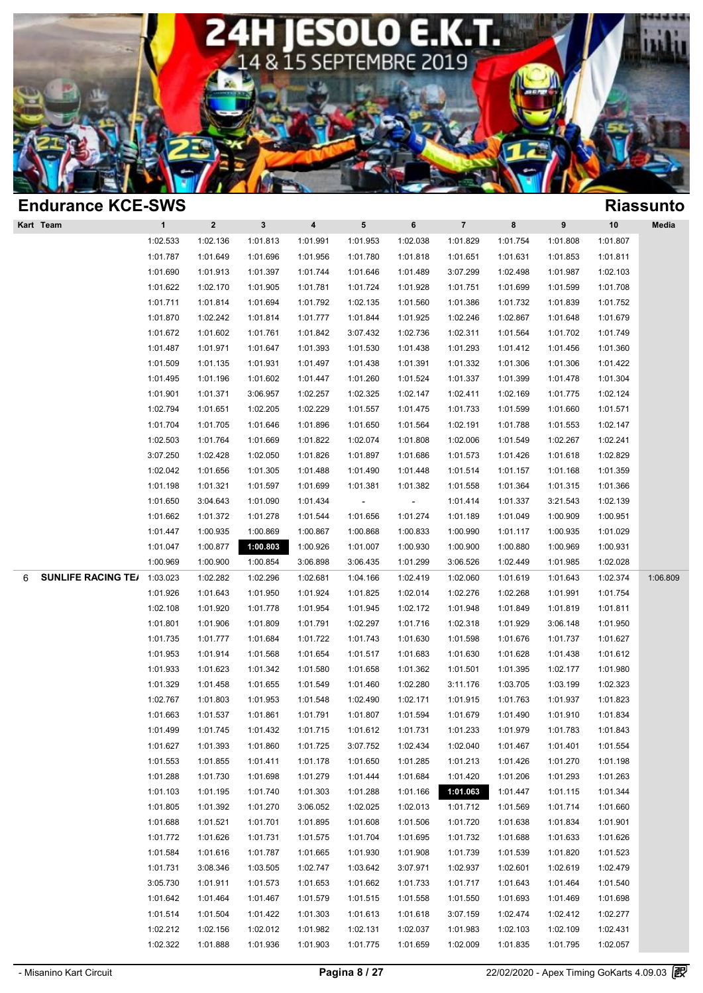

| <b>Endurance KCE-SWS</b>       |              |          |              |                         |          |          |                |          |          |          | <b>Riassunto</b> |
|--------------------------------|--------------|----------|--------------|-------------------------|----------|----------|----------------|----------|----------|----------|------------------|
| Kart Team                      | $\mathbf{1}$ | $\bf{2}$ | $\mathbf{3}$ | $\overline{\mathbf{4}}$ | 5        | 6        | $\overline{7}$ | 8        | 9        | 10       | Media            |
|                                | 1:02.533     | 1:02.136 | 1:01.813     | 1:01.991                | 1:01.953 | 1:02.038 | 1:01.829       | 1:01.754 | 1:01.808 | 1:01.807 |                  |
|                                | 1:01.787     | 1:01.649 | 1:01.696     | 1:01.956                | 1:01.780 | 1:01.818 | 1:01.651       | 1:01.631 | 1:01.853 | 1:01.811 |                  |
|                                | 1:01.690     | 1:01.913 | 1:01.397     | 1:01.744                | 1:01.646 | 1:01.489 | 3:07.299       | 1:02.498 | 1:01.987 | 1:02.103 |                  |
|                                | 1:01.622     | 1:02.170 | 1:01.905     | 1:01.781                | 1:01.724 | 1:01.928 | 1:01.751       | 1:01.699 | 1:01.599 | 1:01.708 |                  |
|                                | 1:01.711     | 1:01.814 | 1:01.694     | 1:01.792                | 1:02.135 | 1:01.560 | 1:01.386       | 1:01.732 | 1:01.839 | 1:01.752 |                  |
|                                | 1:01.870     | 1:02.242 | 1:01.814     | 1:01.777                | 1:01.844 | 1:01.925 | 1:02.246       | 1:02.867 | 1:01.648 | 1:01.679 |                  |
|                                | 1:01.672     | 1:01.602 | 1:01.761     | 1:01.842                | 3:07.432 | 1:02.736 | 1:02.311       | 1:01.564 | 1:01.702 | 1:01.749 |                  |
|                                | 1:01.487     | 1:01.971 | 1:01.647     | 1:01.393                | 1:01.530 | 1:01.438 | 1:01.293       | 1:01.412 | 1:01.456 | 1:01.360 |                  |
|                                | 1:01.509     | 1:01.135 | 1:01.931     | 1:01.497                | 1:01.438 | 1:01.391 | 1:01.332       | 1:01.306 | 1:01.306 | 1:01.422 |                  |
|                                | 1:01.495     | 1:01.196 | 1:01.602     | 1:01.447                | 1:01.260 | 1:01.524 | 1:01.337       | 1:01.399 | 1:01.478 | 1:01.304 |                  |
|                                | 1:01.901     | 1:01.371 | 3:06.957     | 1:02.257                | 1:02.325 | 1:02.147 | 1:02.411       | 1:02.169 | 1:01.775 | 1:02.124 |                  |
|                                | 1:02.794     | 1:01.651 | 1:02.205     | 1:02.229                | 1:01.557 | 1:01.475 | 1:01.733       | 1:01.599 | 1:01.660 | 1:01.571 |                  |
|                                | 1:01.704     | 1:01.705 | 1:01.646     | 1:01.896                | 1:01.650 | 1:01.564 | 1:02.191       | 1:01.788 | 1:01.553 | 1:02.147 |                  |
|                                | 1:02.503     | 1:01.764 | 1:01.669     | 1:01.822                | 1:02.074 | 1:01.808 | 1:02.006       | 1:01.549 | 1:02.267 | 1:02.241 |                  |
|                                | 3:07.250     | 1:02.428 | 1:02.050     | 1:01.826                | 1:01.897 | 1:01.686 | 1:01.573       | 1:01.426 | 1:01.618 | 1:02.829 |                  |
|                                | 1:02.042     | 1:01.656 | 1:01.305     | 1:01.488                | 1:01.490 | 1:01.448 | 1:01.514       | 1:01.157 | 1:01.168 | 1:01.359 |                  |
|                                | 1:01.198     | 1:01.321 | 1:01.597     | 1:01.699                | 1:01.381 | 1:01.382 | 1:01.558       | 1:01.364 | 1:01.315 | 1:01.366 |                  |
|                                | 1:01.650     | 3:04.643 | 1:01.090     | 1:01.434                |          |          | 1:01.414       | 1:01.337 | 3:21.543 | 1:02.139 |                  |
|                                | 1:01.662     | 1:01.372 | 1:01.278     | 1:01.544                | 1:01.656 | 1:01.274 | 1:01.189       | 1:01.049 | 1:00.909 | 1:00.951 |                  |
|                                | 1:01.447     | 1:00.935 | 1:00.869     | 1:00.867                | 1:00.868 | 1:00.833 | 1:00.990       | 1:01.117 | 1:00.935 | 1:01.029 |                  |
|                                | 1:01.047     | 1:00.877 | 1:00.803     | 1:00.926                | 1:01.007 | 1:00.930 | 1:00.900       | 1:00.880 | 1:00.969 | 1:00.931 |                  |
|                                | 1:00.969     | 1:00.900 | 1:00.854     | 3:06.898                | 3:06.435 | 1:01.299 | 3:06.526       | 1:02.449 | 1:01.985 | 1:02.028 |                  |
| <b>SUNLIFE RACING TE/</b><br>6 | 1:03.023     | 1:02.282 | 1:02.296     | 1:02.681                | 1:04.166 | 1:02.419 | 1:02.060       | 1:01.619 | 1:01.643 | 1:02.374 | 1:06.809         |
|                                | 1:01.926     | 1:01.643 | 1:01.950     | 1:01.924                | 1:01.825 | 1:02.014 | 1:02.276       | 1:02.268 | 1:01.991 | 1:01.754 |                  |
|                                | 1:02.108     | 1:01.920 | 1:01.778     | 1:01.954                | 1:01.945 | 1:02.172 | 1:01.948       | 1:01.849 | 1:01.819 | 1:01.811 |                  |
|                                | 1:01.801     | 1:01.906 | 1:01.809     | 1:01.791                | 1:02.297 | 1:01.716 | 1:02.318       | 1:01.929 | 3:06.148 | 1:01.950 |                  |
|                                | 1:01.735     | 1:01.777 | 1:01.684     | 1:01.722                | 1:01.743 | 1:01.630 | 1:01.598       | 1:01.676 | 1:01.737 | 1:01.627 |                  |
|                                | 1:01.953     | 1:01.914 | 1:01.568     | 1:01.654                | 1:01.517 | 1:01.683 | 1:01.630       | 1:01.628 | 1:01.438 | 1:01.612 |                  |
|                                | 1:01.933     | 1:01.623 | 1:01.342     | 1:01.580                | 1:01.658 | 1:01.362 | 1:01.501       | 1:01.395 | 1:02.177 | 1:01.980 |                  |
|                                | 1:01.329     | 1:01.458 | 1:01.655     | 1:01.549                | 1:01.460 | 1:02.280 | 3:11.176       | 1:03.705 | 1:03.199 | 1:02.323 |                  |
|                                | 1:02.767     | 1:01.803 | 1:01.953     | 1:01.548                | 1:02.490 | 1:02.171 | 1:01.915       | 1:01.763 | 1:01.937 | 1:01.823 |                  |
|                                | 1:01.663     | 1:01.537 | 1:01.861     | 1:01.791                | 1:01.807 | 1:01.594 | 1:01.679       | 1:01.490 | 1:01.910 | 1:01.834 |                  |
|                                | 1:01.499     | 1:01.745 | 1:01.432     | 1:01.715                | 1:01.612 | 1:01.731 | 1:01.233       | 1:01.979 | 1:01.783 | 1:01.843 |                  |
|                                | 1:01.627     | 1:01.393 | 1:01.860     | 1:01.725                | 3:07.752 | 1:02.434 | 1:02.040       | 1:01.467 | 1:01.401 | 1:01.554 |                  |
|                                | 1:01.553     | 1:01.855 | 1:01.411     | 1:01.178                | 1:01.650 | 1:01.285 | 1:01.213       | 1:01.426 | 1:01.270 | 1:01.198 |                  |
|                                | 1:01.288     | 1:01.730 | 1:01.698     | 1:01.279                | 1:01.444 | 1:01.684 | 1:01.420       | 1:01.206 | 1:01.293 | 1:01.263 |                  |
|                                | 1:01.103     | 1:01.195 | 1:01.740     | 1:01.303                | 1:01.288 | 1:01.166 | 1:01.063       | 1:01.447 | 1:01.115 | 1:01.344 |                  |
|                                | 1:01.805     | 1:01.392 | 1:01.270     | 3:06.052                | 1:02.025 | 1:02.013 | 1:01.712       | 1:01.569 | 1:01.714 | 1:01.660 |                  |
|                                | 1:01.688     | 1:01.521 | 1:01.701     | 1:01.895                | 1:01.608 | 1:01.506 | 1:01.720       | 1:01.638 | 1:01.834 | 1:01.901 |                  |
|                                | 1:01.772     | 1:01.626 | 1:01.731     | 1:01.575                | 1:01.704 | 1:01.695 | 1:01.732       | 1:01.688 | 1:01.633 | 1:01.626 |                  |
|                                | 1:01.584     | 1:01.616 | 1:01.787     | 1:01.665                | 1:01.930 | 1:01.908 | 1:01.739       | 1:01.539 | 1:01.820 | 1:01.523 |                  |
|                                | 1:01.731     | 3:08.346 |              |                         | 1:03.642 |          |                | 1:02.601 | 1:02.619 |          |                  |
|                                |              |          | 1:03.505     | 1:02.747                |          | 3:07.971 | 1:02.937       |          |          | 1:02.479 |                  |
|                                | 3:05.730     | 1:01.911 | 1:01.573     | 1:01.653                | 1:01.662 | 1:01.733 | 1:01.717       | 1:01.643 | 1:01.464 | 1:01.540 |                  |
|                                | 1:01.642     | 1:01.464 | 1:01.467     | 1:01.579                | 1:01.515 | 1:01.558 | 1:01.550       | 1:01.693 | 1:01.469 | 1:01.698 |                  |
|                                | 1:01.514     | 1:01.504 | 1:01.422     | 1:01.303                | 1:01.613 | 1:01.618 | 3:07.159       | 1:02.474 | 1:02.412 | 1:02.277 |                  |
|                                | 1:02.212     | 1:02.156 | 1:02.012     | 1:01.982                | 1:02.131 | 1:02.037 | 1:01.983       | 1:02.103 | 1:02.109 | 1:02.431 |                  |
|                                | 1:02.322     | 1:01.888 | 1:01.936     | 1:01.903                | 1:01.775 | 1:01.659 | 1:02.009       | 1:01.835 | 1:01.795 | 1:02.057 |                  |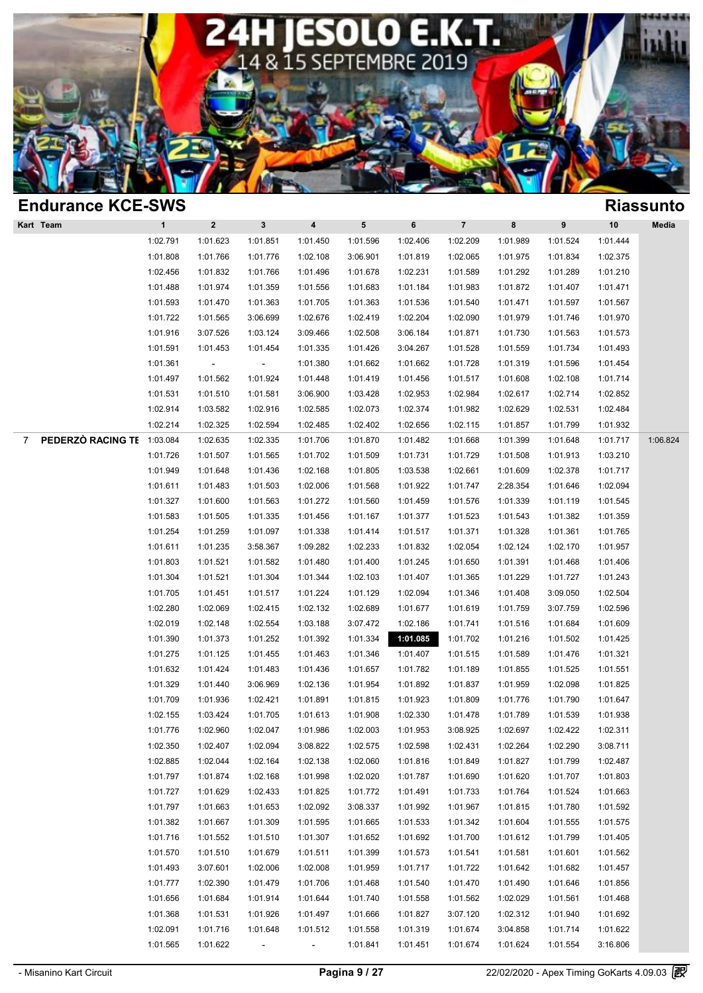

| <b>Endurance KCE-SWS</b>            |              |                          |                          |                |           |          |                |          |          |          | <b>Riassunto</b> |
|-------------------------------------|--------------|--------------------------|--------------------------|----------------|-----------|----------|----------------|----------|----------|----------|------------------|
| Kart Team                           | $\mathbf{1}$ | $\bf{2}$                 | $\mathbf{3}$             | 4              | ${\bf 5}$ | $\bf 6$  | $\overline{7}$ | 8        | 9        | 10       | Media            |
|                                     | 1:02.791     | 1:01.623                 | 1:01.851                 | 1:01.450       | 1:01.596  | 1:02.406 | 1:02.209       | 1:01.989 | 1:01.524 | 1:01.444 |                  |
|                                     | 1:01.808     | 1:01.766                 | 1:01.776                 | 1:02.108       | 3:06.901  | 1:01.819 | 1:02.065       | 1:01.975 | 1:01.834 | 1:02.375 |                  |
|                                     | 1:02.456     | 1:01.832                 | 1:01.766                 | 1:01.496       | 1:01.678  | 1:02.231 | 1:01.589       | 1:01.292 | 1:01.289 | 1:01.210 |                  |
|                                     | 1:01.488     | 1:01.974                 | 1:01.359                 | 1:01.556       | 1:01.683  | 1:01.184 | 1:01.983       | 1:01.872 | 1:01.407 | 1:01.471 |                  |
|                                     | 1:01.593     | 1:01.470                 | 1:01.363                 | 1:01.705       | 1:01.363  | 1:01.536 | 1:01.540       | 1:01.471 | 1:01.597 | 1:01.567 |                  |
|                                     | 1:01.722     | 1:01.565                 | 3:06.699                 | 1:02.676       | 1:02.419  | 1:02.204 | 1:02.090       | 1:01.979 | 1:01.746 | 1:01.970 |                  |
|                                     | 1:01.916     | 3:07.526                 | 1:03.124                 | 3:09.466       | 1:02.508  | 3:06.184 | 1:01.871       | 1:01.730 | 1:01.563 | 1:01.573 |                  |
|                                     | 1:01.591     | 1:01.453                 | 1:01.454                 | 1:01.335       | 1:01.426  | 3:04.267 | 1:01.528       | 1:01.559 | 1:01.734 | 1:01.493 |                  |
|                                     | 1:01.361     | $\overline{\phantom{a}}$ | $\blacksquare$           | 1:01.380       | 1:01.662  | 1:01.662 | 1:01.728       | 1:01.319 | 1:01.596 | 1:01.454 |                  |
|                                     | 1:01.497     | 1:01.562                 | 1:01.924                 | 1:01.448       | 1:01.419  | 1:01.456 | 1:01.517       | 1:01.608 | 1:02.108 | 1:01.714 |                  |
|                                     | 1:01.531     | 1:01.510                 | 1:01.581                 | 3:06.900       | 1:03.428  | 1:02.953 | 1:02.984       | 1:02.617 | 1:02.714 | 1:02.852 |                  |
|                                     | 1:02.914     | 1:03.582                 | 1:02.916                 | 1:02.585       | 1:02.073  | 1:02.374 | 1:01.982       | 1:02.629 | 1:02.531 | 1:02.484 |                  |
|                                     | 1:02.214     | 1:02.325                 | 1:02.594                 | 1:02.485       | 1:02.402  | 1:02.656 | 1:02.115       | 1:01.857 | 1:01.799 | 1:01.932 |                  |
| PEDERZÒ RACING TE<br>$\overline{7}$ | 1:03.084     | 1:02.635                 | 1:02.335                 | 1:01.706       | 1:01.870  | 1:01.482 | 1:01.668       | 1:01.399 | 1:01.648 | 1:01.717 | 1:06.824         |
|                                     | 1:01.726     | 1:01.507                 | 1:01.565                 | 1:01.702       | 1:01.509  | 1:01.731 | 1:01.729       | 1:01.508 | 1:01.913 | 1:03.210 |                  |
|                                     | 1:01.949     | 1:01.648                 | 1:01.436                 | 1:02.168       | 1:01.805  | 1:03.538 | 1:02.661       | 1:01.609 | 1:02.378 | 1:01.717 |                  |
|                                     | 1:01.611     | 1:01.483                 | 1:01.503                 | 1:02.006       | 1:01.568  | 1:01.922 | 1:01.747       | 2:28.354 | 1:01.646 | 1:02.094 |                  |
|                                     | 1:01.327     | 1:01.600                 | 1:01.563                 | 1:01.272       | 1:01.560  | 1:01.459 | 1:01.576       | 1:01.339 | 1:01.119 | 1:01.545 |                  |
|                                     | 1:01.583     | 1:01.505                 | 1:01.335                 | 1:01.456       | 1:01.167  | 1:01.377 | 1:01.523       | 1:01.543 | 1:01.382 | 1:01.359 |                  |
|                                     | 1:01.254     | 1:01.259                 | 1:01.097                 | 1:01.338       | 1:01.414  | 1:01.517 | 1:01.371       | 1:01.328 | 1:01.361 | 1:01.765 |                  |
|                                     | 1:01.611     | 1:01.235                 | 3:58.367                 | 1:09.282       | 1:02.233  | 1:01.832 | 1:02.054       | 1:02.124 | 1:02.170 | 1:01.957 |                  |
|                                     | 1:01.803     | 1:01.521                 | 1:01.582                 | 1:01.480       | 1:01.400  | 1:01.245 | 1:01.650       | 1:01.391 | 1:01.468 | 1:01.406 |                  |
|                                     | 1:01.304     | 1:01.521                 | 1:01.304                 | 1:01.344       | 1:02.103  | 1:01.407 | 1:01.365       | 1:01.229 | 1:01.727 | 1:01.243 |                  |
|                                     | 1:01.705     | 1:01.451                 | 1:01.517                 | 1:01.224       | 1:01.129  | 1:02.094 | 1:01.346       | 1:01.408 | 3:09.050 | 1:02.504 |                  |
|                                     | 1:02.280     | 1:02.069                 | 1:02.415                 | 1:02.132       | 1:02.689  | 1:01.677 | 1:01.619       | 1:01.759 | 3:07.759 | 1:02.596 |                  |
|                                     | 1:02.019     | 1:02.148                 | 1:02.554                 | 1:03.188       | 3:07.472  | 1:02.186 | 1:01.741       | 1:01.516 | 1:01.684 | 1:01.609 |                  |
|                                     | 1:01.390     | 1:01.373                 | 1:01.252                 | 1:01.392       | 1:01.334  | 1:01.085 | 1:01.702       | 1:01.216 | 1:01.502 | 1:01.425 |                  |
|                                     | 1:01.275     | 1:01.125                 | 1:01.455                 | 1:01.463       | 1:01.346  | 1:01.407 | 1:01.515       | 1:01.589 | 1:01.476 | 1:01.321 |                  |
|                                     | 1:01.632     | 1:01.424                 | 1:01.483                 | 1:01.436       | 1:01.657  | 1:01.782 | 1:01.189       | 1:01.855 | 1:01.525 | 1:01.551 |                  |
|                                     | 1:01.329     | 1:01.440                 | 3:06.969                 | 1:02.136       | 1:01.954  | 1:01.892 | 1:01.837       | 1:01.959 | 1:02.098 | 1:01.825 |                  |
|                                     | 1:01.709     | 1:01.936                 | 1:02.421                 | 1:01.891       | 1:01.815  | 1:01.923 | 1:01.809       | 1:01.776 | 1:01.790 | 1:01.647 |                  |
|                                     | 1:02.155     | 1:03.424                 | 1:01.705                 | 1:01.613       | 1:01.908  | 1:02.330 | 1:01.478       | 1:01.789 | 1:01.539 | 1:01.938 |                  |
|                                     | 1:01.776     | 1:02.960                 | 1:02.047                 | 1:01.986       | 1:02.003  | 1:01.953 | 3:08.925       | 1:02.697 | 1:02.422 | 1:02.311 |                  |
|                                     | 1:02.350     | 1:02.407                 | 1:02.094                 | 3:08.822       | 1:02.575  | 1:02.598 | 1:02.431       | 1:02.264 | 1:02.290 | 3:08.711 |                  |
|                                     | 1:02.885     | 1:02.044                 | 1:02.164                 | 1:02.138       | 1:02.060  | 1:01.816 | 1:01.849       | 1:01.827 | 1:01.799 | 1:02.487 |                  |
|                                     | 1:01.797     | 1:01.874                 | 1:02.168                 | 1:01.998       | 1:02.020  | 1:01.787 | 1:01.690       | 1:01.620 | 1:01.707 | 1:01.803 |                  |
|                                     | 1:01.727     | 1:01.629                 | 1:02.433                 | 1:01.825       | 1:01.772  | 1:01.491 | 1:01.733       | 1:01.764 | 1:01.524 | 1:01.663 |                  |
|                                     | 1:01.797     | 1:01.663                 | 1:01.653                 | 1:02.092       | 3:08.337  | 1:01.992 | 1:01.967       | 1:01.815 | 1:01.780 | 1:01.592 |                  |
|                                     | 1:01.382     | 1:01.667                 | 1:01.309                 | 1:01.595       | 1:01.665  | 1:01.533 | 1:01.342       | 1:01.604 | 1:01.555 | 1:01.575 |                  |
|                                     | 1:01.716     | 1:01.552                 | 1:01.510                 | 1:01.307       | 1:01.652  | 1:01.692 | 1:01.700       | 1:01.612 | 1:01.799 | 1:01.405 |                  |
|                                     | 1:01.570     | 1:01.510                 | 1:01.679                 | 1:01.511       | 1:01.399  | 1:01.573 | 1:01.541       | 1:01.581 | 1:01.601 | 1:01.562 |                  |
|                                     | 1:01.493     | 3:07.601                 | 1:02.006                 | 1:02.008       | 1:01.959  | 1:01.717 | 1:01.722       | 1:01.642 | 1:01.682 | 1:01.457 |                  |
|                                     | 1:01.777     | 1:02.390                 | 1:01.479                 | 1:01.706       | 1:01.468  | 1:01.540 | 1:01.470       | 1:01.490 | 1:01.646 | 1:01.856 |                  |
|                                     | 1:01.656     | 1:01.684                 | 1:01.914                 | 1:01.644       | 1:01.740  | 1:01.558 | 1:01.562       | 1:02.029 | 1:01.561 | 1:01.468 |                  |
|                                     | 1:01.368     | 1:01.531                 | 1:01.926                 | 1:01.497       | 1:01.666  | 1:01.827 | 3:07.120       | 1:02.312 | 1:01.940 | 1:01.692 |                  |
|                                     | 1:02.091     | 1:01.716                 | 1:01.648                 | 1:01.512       | 1:01.558  | 1:01.319 | 1:01.674       | 3:04.858 | 1:01.714 | 1:01.622 |                  |
|                                     | 1:01.565     | 1:01.622                 | $\overline{\phantom{a}}$ | $\blacksquare$ | 1:01.841  | 1:01.451 | 1:01.674       | 1:01.624 | 1:01.554 | 3:16.806 |                  |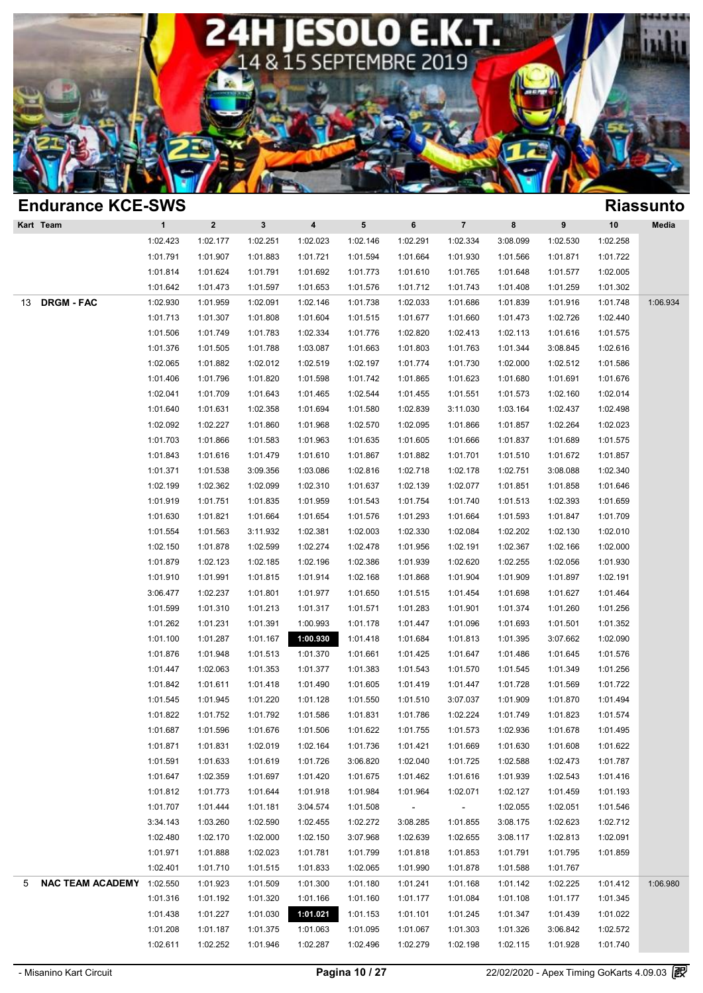

| <b>Endurance KCE-SWS</b>       |              |          |                      |                      |          |                          |                      |          |                      |                      | <b>Riassunto</b> |
|--------------------------------|--------------|----------|----------------------|----------------------|----------|--------------------------|----------------------|----------|----------------------|----------------------|------------------|
| Kart Team                      | $\mathbf{1}$ | $\bf{2}$ | $\mathbf{3}$         | $\pmb{4}$            | 5        | 6                        | $\overline{7}$       | 8        | $\pmb{9}$            | 10                   | Media            |
|                                | 1:02.423     | 1:02.177 | 1:02.251             | 1:02.023             | 1:02.146 | 1:02.291                 | 1:02.334             | 3:08.099 | 1:02.530             | 1:02.258             |                  |
|                                | 1:01.791     | 1:01.907 | 1:01.883             | 1:01.721             | 1:01.594 | 1:01.664                 | 1:01.930             | 1:01.566 | 1:01.871             | 1:01.722             |                  |
|                                | 1:01.814     | 1:01.624 | 1:01.791             | 1:01.692             | 1:01.773 | 1:01.610                 | 1:01.765             | 1:01.648 | 1:01.577             | 1:02.005             |                  |
|                                | 1:01.642     | 1:01.473 | 1:01.597             | 1:01.653             | 1:01.576 | 1:01.712                 | 1:01.743             | 1:01.408 | 1:01.259             | 1:01.302             |                  |
| <b>DRGM - FAC</b><br>13        | 1:02.930     | 1:01.959 | 1:02.091             | 1:02.146             | 1:01.738 | 1:02.033                 | 1:01.686             | 1:01.839 | 1:01.916             | 1:01.748             | 1:06.934         |
|                                | 1:01.713     | 1:01.307 | 1:01.808             | 1:01.604             | 1:01.515 | 1:01.677                 | 1:01.660             | 1:01.473 | 1:02.726             | 1:02.440             |                  |
|                                | 1:01.506     | 1:01.749 | 1:01.783             | 1:02.334             | 1:01.776 | 1:02.820                 | 1:02.413             | 1:02.113 | 1:01.616             | 1:01.575             |                  |
|                                | 1:01.376     | 1:01.505 | 1:01.788             | 1:03.087             | 1:01.663 | 1:01.803                 | 1:01.763             | 1:01.344 | 3:08.845             | 1:02.616             |                  |
|                                | 1:02.065     | 1:01.882 | 1:02.012             | 1:02.519             | 1:02.197 | 1:01.774                 | 1:01.730             | 1:02.000 | 1:02.512             | 1:01.586             |                  |
|                                | 1:01.406     | 1:01.796 | 1:01.820             | 1:01.598             | 1:01.742 | 1:01.865                 | 1:01.623             | 1:01.680 | 1:01.691             | 1:01.676             |                  |
|                                | 1:02.041     | 1:01.709 | 1:01.643             | 1:01.465             | 1:02.544 | 1:01.455                 | 1:01.551             | 1:01.573 | 1:02.160             | 1:02.014             |                  |
|                                | 1:01.640     | 1:01.631 | 1:02.358             | 1:01.694             | 1:01.580 | 1:02.839                 | 3:11.030             | 1:03.164 | 1:02.437             | 1:02.498             |                  |
|                                | 1:02.092     | 1:02.227 | 1:01.860             | 1:01.968             | 1:02.570 | 1:02.095                 | 1:01.866             | 1:01.857 | 1:02.264             | 1:02.023             |                  |
|                                | 1:01.703     | 1:01.866 | 1:01.583             | 1:01.963             | 1:01.635 | 1:01.605                 | 1:01.666             | 1:01.837 | 1:01.689             | 1:01.575             |                  |
|                                | 1:01.843     | 1:01.616 | 1:01.479             | 1:01.610             | 1:01.867 | 1:01.882                 | 1:01.701             | 1:01.510 | 1:01.672             | 1:01.857             |                  |
|                                | 1:01.371     | 1:01.538 | 3:09.356             | 1:03.086             | 1:02.816 | 1:02.718                 | 1:02.178             | 1:02.751 | 3:08.088             | 1:02.340             |                  |
|                                | 1:02.199     | 1:02.362 | 1:02.099             | 1:02.310             | 1:01.637 | 1:02.139                 | 1:02.077             | 1:01.851 | 1:01.858             | 1:01.646             |                  |
|                                | 1:01.919     | 1:01.751 | 1:01.835             | 1:01.959             | 1:01.543 | 1:01.754                 | 1:01.740             | 1:01.513 | 1:02.393             | 1:01.659             |                  |
|                                | 1:01.630     | 1:01.821 | 1:01.664             | 1:01.654             | 1:01.576 | 1:01.293                 | 1:01.664             | 1:01.593 | 1:01.847             | 1:01.709             |                  |
|                                | 1:01.554     | 1:01.563 | 3:11.932             | 1:02.381             | 1:02.003 | 1:02.330                 | 1:02.084             | 1:02.202 | 1:02.130             | 1:02.010             |                  |
|                                | 1:02.150     | 1:01.878 | 1:02.599             | 1:02.274             | 1:02.478 | 1:01.956                 | 1:02.191             | 1:02.367 | 1:02.166             | 1:02.000             |                  |
|                                | 1:01.879     | 1:02.123 | 1:02.185             | 1:02.196             | 1:02.386 | 1:01.939                 | 1:02.620             | 1:02.255 | 1:02.056             | 1:01.930             |                  |
|                                | 1:01.910     | 1:01.991 | 1:01.815             | 1:01.914             | 1:02.168 | 1:01.868                 | 1:01.904             | 1:01.909 | 1:01.897             | 1:02.191             |                  |
|                                | 3:06.477     | 1:02.237 | 1:01.801             | 1:01.977             | 1:01.650 | 1:01.515                 | 1:01.454             | 1:01.698 | 1:01.627             | 1:01.464             |                  |
|                                | 1:01.599     | 1:01.310 | 1:01.213             | 1:01.317             | 1:01.571 | 1:01.283                 | 1:01.901             | 1:01.374 | 1:01.260             | 1:01.256             |                  |
|                                | 1:01.262     | 1:01.231 | 1:01.391             | 1:00.993             | 1:01.178 | 1:01.447                 | 1:01.096             | 1:01.693 | 1:01.501             | 1:01.352             |                  |
|                                | 1:01.100     | 1:01.287 | 1:01.167             | 1:00.930             | 1:01.418 | 1:01.684                 | 1:01.813             | 1:01.395 | 3:07.662             | 1:02.090             |                  |
|                                | 1:01.876     | 1:01.948 | 1:01.513             | 1:01.370             | 1:01.661 | 1:01.425                 | 1:01.647             | 1:01.486 | 1:01.645             | 1:01.576             |                  |
|                                | 1:01.447     | 1:02.063 | 1:01.353             | 1:01.377             | 1:01.383 | 1:01.543                 | 1:01.570             | 1:01.545 | 1:01.349             | 1:01.256             |                  |
|                                | 1:01.842     | 1:01.611 | 1:01.418             | 1:01.490             | 1:01.605 | 1:01.419                 | 1:01.447             | 1:01.728 | 1:01.569             | 1:01.722             |                  |
|                                | 1:01.545     | 1:01.945 | 1:01.220             | 1:01.128             | 1:01.550 | 1:01.510                 | 3:07.037             | 1:01.909 | 1:01.870             | 1:01.494             |                  |
|                                | 1:01.822     | 1:01.752 | 1:01.792             | 1:01.586             | 1:01.831 | 1:01.786                 | 1:02.224             | 1:01.749 | 1:01.823             | 1:01.574             |                  |
|                                | 1:01.687     | 1:01.596 | 1:01.676             | 1:01.506             | 1:01.622 | 1:01.755                 | 1:01.573             | 1:02.936 | 1:01.678             | 1:01.495             |                  |
|                                | 1:01.871     | 1:01.831 | 1:02.019             | 1:02.164             | 1:01.736 | 1:01.421                 | 1:01.669             | 1:01.630 | 1:01.608             | 1:01.622             |                  |
|                                | 1:01.591     | 1:01.633 | 1:01.619             | 1:01.726             | 3:06.820 | 1:02.040                 | 1:01.725             | 1:02.588 | 1:02.473             | 1:01.787             |                  |
|                                | 1:01.647     | 1:02.359 | 1:01.697             | 1:01.420             | 1:01.675 | 1:01.462                 | 1:01.616             | 1:01.939 | 1:02.543             | 1:01.416             |                  |
|                                | 1:01.812     | 1:01.773 | 1:01.644             | 1:01.918             | 1:01.984 | 1:01.964                 | 1:02.071             | 1:02.127 | 1:01.459             | 1:01.193             |                  |
|                                | 1:01.707     | 1:01.444 | 1:01.181             | 3:04.574             | 1:01.508 | $\overline{\phantom{a}}$ | $\sim$               | 1:02.055 | 1:02.051             | 1:01.546             |                  |
|                                | 3:34.143     | 1:03.260 | 1:02.590             | 1:02.455             | 1:02.272 | 3:08.285                 | 1:01.855             | 3:08.175 | 1:02.623             | 1:02.712             |                  |
|                                | 1:02.480     | 1:02.170 | 1:02.000             | 1:02.150             | 3:07.968 | 1:02.639                 | 1:02.655             | 3:08.117 | 1:02.813             | 1:02.091             |                  |
|                                | 1:01.971     | 1:01.888 | 1:02.023             | 1:01.781             | 1:01.799 | 1:01.818                 | 1:01.853             | 1:01.791 | 1:01.795             | 1:01.859             |                  |
|                                | 1:02.401     | 1:01.710 | 1:01.515             | 1:01.833             | 1:02.065 | 1:01.990                 | 1:01.878             | 1:01.588 | 1:01.767             |                      |                  |
| NAC TEAM ACADEMY 1:02.550<br>5 |              | 1:01.923 | 1:01.509             | 1:01.300             | 1:01.180 | 1:01.241                 | 1:01.168             | 1:01.142 | 1:02.225             | 1:01.412             | 1:06.980         |
|                                | 1:01.316     | 1:01.192 | 1:01.320             | 1:01.166             | 1:01.160 | 1:01.177                 | 1:01.084             | 1:01.108 | 1:01.177             | 1:01.345             |                  |
|                                | 1:01.438     | 1:01.227 | 1:01.030             | 1:01.021             | 1:01.153 |                          | 1:01.245             | 1:01.347 |                      | 1:01.022             |                  |
|                                | 1:01.208     | 1:01.187 |                      |                      | 1:01.095 | 1:01.101                 |                      | 1:01.326 | 1:01.439<br>3:06.842 |                      |                  |
|                                | 1:02.611     | 1:02.252 | 1:01.375<br>1:01.946 | 1:01.063<br>1:02.287 | 1:02.496 | 1:01.067<br>1:02.279     | 1:01.303<br>1:02.198 | 1:02.115 | 1:01.928             | 1:02.572<br>1:01.740 |                  |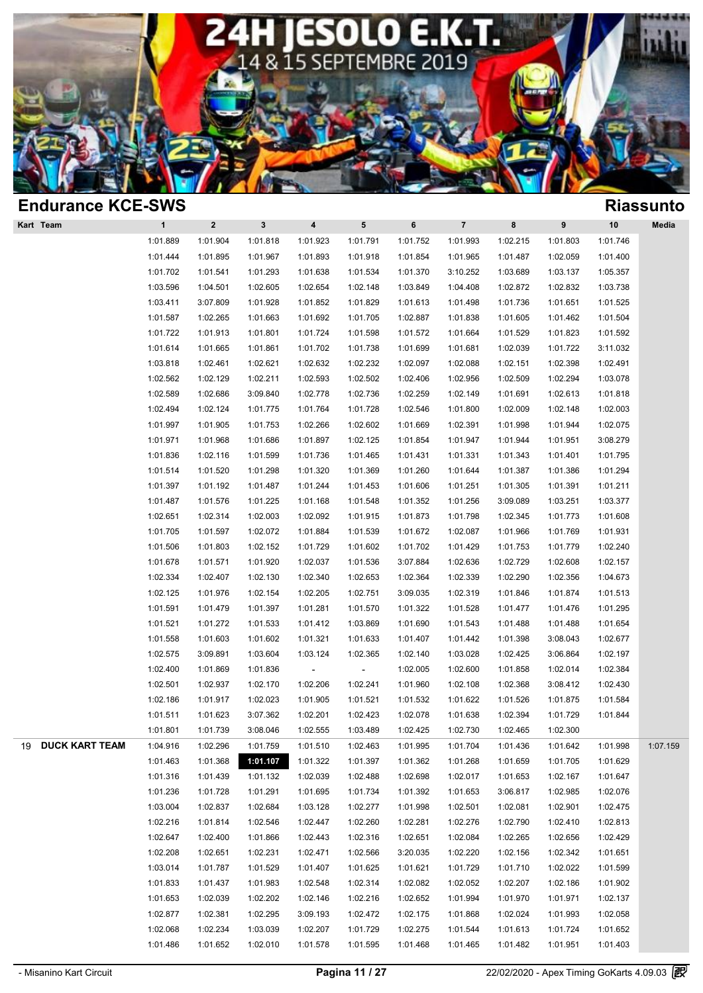

| <b>Endurance KCE-SWS</b>    |              |              |              |                          |                          |          |                         |          |           |          | <b>Riassunto</b> |
|-----------------------------|--------------|--------------|--------------|--------------------------|--------------------------|----------|-------------------------|----------|-----------|----------|------------------|
| Kart Team                   | $\mathbf{1}$ | $\mathbf{2}$ | $\mathbf{3}$ | 4                        | ${\bf 5}$                | 6        | $\overline{\mathbf{7}}$ | 8        | $\pmb{9}$ | 10       | Media            |
|                             | 1:01.889     | 1:01.904     | 1:01.818     | 1:01.923                 | 1:01.791                 | 1:01.752 | 1:01.993                | 1:02.215 | 1:01.803  | 1:01.746 |                  |
|                             | 1:01.444     | 1:01.895     | 1:01.967     | 1:01.893                 | 1:01.918                 | 1:01.854 | 1:01.965                | 1:01.487 | 1:02.059  | 1:01.400 |                  |
|                             | 1:01.702     | 1:01.541     | 1:01.293     | 1:01.638                 | 1:01.534                 | 1:01.370 | 3:10.252                | 1:03.689 | 1:03.137  | 1:05.357 |                  |
|                             | 1:03.596     | 1:04.501     | 1:02.605     | 1:02.654                 | 1:02.148                 | 1:03.849 | 1:04.408                | 1:02.872 | 1:02.832  | 1:03.738 |                  |
|                             | 1:03.411     | 3:07.809     | 1:01.928     | 1:01.852                 | 1:01.829                 | 1:01.613 | 1:01.498                | 1:01.736 | 1:01.651  | 1:01.525 |                  |
|                             | 1:01.587     | 1:02.265     | 1:01.663     | 1:01.692                 | 1:01.705                 | 1:02.887 | 1:01.838                | 1:01.605 | 1:01.462  | 1:01.504 |                  |
|                             | 1:01.722     | 1:01.913     | 1:01.801     | 1:01.724                 | 1:01.598                 | 1:01.572 | 1:01.664                | 1:01.529 | 1:01.823  | 1:01.592 |                  |
|                             | 1:01.614     | 1:01.665     | 1:01.861     | 1:01.702                 | 1:01.738                 | 1:01.699 | 1:01.681                | 1:02.039 | 1:01.722  | 3:11.032 |                  |
|                             | 1:03.818     | 1:02.461     | 1:02.621     | 1:02.632                 | 1:02.232                 | 1:02.097 | 1:02.088                | 1:02.151 | 1:02.398  | 1:02.491 |                  |
|                             | 1:02.562     | 1:02.129     | 1:02.211     | 1:02.593                 | 1:02.502                 | 1:02.406 | 1:02.956                | 1:02.509 | 1:02.294  | 1:03.078 |                  |
|                             | 1:02.589     | 1:02.686     | 3:09.840     | 1:02.778                 | 1:02.736                 | 1:02.259 | 1:02.149                | 1:01.691 | 1:02.613  | 1:01.818 |                  |
|                             | 1:02.494     | 1:02.124     | 1:01.775     | 1:01.764                 | 1:01.728                 | 1:02.546 | 1:01.800                | 1:02.009 | 1:02.148  | 1:02.003 |                  |
|                             | 1:01.997     | 1:01.905     | 1:01.753     | 1:02.266                 | 1:02.602                 | 1:01.669 | 1:02.391                | 1:01.998 | 1:01.944  | 1:02.075 |                  |
|                             | 1:01.971     | 1:01.968     | 1:01.686     | 1:01.897                 | 1:02.125                 | 1:01.854 | 1:01.947                | 1:01.944 | 1:01.951  | 3:08.279 |                  |
|                             | 1:01.836     | 1:02.116     | 1:01.599     | 1:01.736                 | 1:01.465                 | 1:01.431 | 1:01.331                | 1:01.343 | 1:01.401  | 1:01.795 |                  |
|                             | 1:01.514     | 1:01.520     | 1:01.298     | 1:01.320                 | 1:01.369                 | 1:01.260 | 1:01.644                | 1:01.387 | 1:01.386  | 1:01.294 |                  |
|                             | 1:01.397     | 1:01.192     | 1:01.487     | 1:01.244                 | 1:01.453                 | 1:01.606 | 1:01.251                | 1:01.305 | 1:01.391  | 1:01.211 |                  |
|                             | 1:01.487     | 1:01.576     | 1:01.225     | 1:01.168                 | 1:01.548                 | 1:01.352 | 1:01.256                | 3:09.089 | 1:03.251  | 1:03.377 |                  |
|                             | 1:02.651     | 1:02.314     | 1:02.003     | 1:02.092                 | 1:01.915                 | 1:01.873 | 1:01.798                | 1:02.345 | 1:01.773  | 1:01.608 |                  |
|                             | 1:01.705     | 1:01.597     | 1:02.072     | 1:01.884                 | 1:01.539                 | 1:01.672 | 1:02.087                | 1:01.966 | 1:01.769  | 1:01.931 |                  |
|                             | 1:01.506     | 1:01.803     | 1:02.152     | 1:01.729                 | 1:01.602                 | 1:01.702 | 1:01.429                | 1:01.753 | 1:01.779  | 1:02.240 |                  |
|                             | 1:01.678     | 1:01.571     | 1:01.920     | 1:02.037                 | 1:01.536                 | 3:07.884 | 1:02.636                | 1:02.729 | 1:02.608  | 1:02.157 |                  |
|                             | 1:02.334     | 1:02.407     | 1:02.130     | 1:02.340                 | 1:02.653                 | 1:02.364 | 1:02.339                | 1:02.290 | 1:02.356  | 1:04.673 |                  |
|                             | 1:02.125     | 1:01.976     | 1:02.154     | 1:02.205                 | 1:02.751                 | 3:09.035 | 1:02.319                | 1:01.846 | 1:01.874  | 1:01.513 |                  |
|                             | 1:01.591     | 1:01.479     | 1:01.397     | 1:01.281                 | 1:01.570                 | 1:01.322 | 1:01.528                | 1:01.477 | 1:01.476  | 1:01.295 |                  |
|                             | 1:01.521     | 1:01.272     | 1:01.533     | 1:01.412                 | 1:03.869                 | 1:01.690 | 1:01.543                | 1:01.488 | 1:01.488  | 1:01.654 |                  |
|                             | 1:01.558     | 1:01.603     | 1:01.602     | 1:01.321                 | 1:01.633                 | 1:01.407 | 1:01.442                | 1:01.398 | 3:08.043  | 1:02.677 |                  |
|                             | 1:02.575     | 3:09.891     | 1:03.604     | 1:03.124                 | 1:02.365                 | 1:02.140 | 1:03.028                | 1:02.425 | 3:06.864  | 1:02.197 |                  |
|                             | 1:02.400     | 1:01.869     | 1:01.836     | $\overline{\phantom{a}}$ | $\overline{\phantom{a}}$ | 1:02.005 | 1:02.600                | 1:01.858 | 1:02.014  | 1:02.384 |                  |
|                             | 1:02.501     | 1:02.937     | 1:02.170     | 1:02.206                 | 1:02.241                 | 1:01.960 | 1:02.108                | 1:02.368 | 3:08.412  | 1:02.430 |                  |
|                             | 1:02.186     | 1:01.917     | 1:02.023     | 1:01.905                 | 1:01.521                 | 1:01.532 | 1:01.622                | 1:01.526 | 1:01.875  | 1:01.584 |                  |
|                             | 1:01.511     | 1:01.623     | 3:07.362     | 1:02.201                 | 1:02.423                 | 1:02.078 | 1:01.638                | 1:02.394 | 1:01.729  | 1:01.844 |                  |
|                             | 1:01.801     | 1:01.739     | 3:08.046     | 1:02.555                 | 1:03.489                 | 1:02.425 | 1:02.730                | 1:02.465 | 1:02.300  |          |                  |
| <b>DUCK KART TEAM</b><br>19 | 1:04.916     | 1:02.296     | 1:01.759     | 1:01.510                 | 1:02.463                 | 1:01.995 | 1:01.704                | 1:01.436 | 1:01.642  | 1:01.998 | 1:07.159         |
|                             | 1:01.463     | 1:01.368     | 1:01.107     | 1:01.322                 | 1:01.397                 | 1:01.362 | 1:01.268                | 1:01.659 | 1:01.705  | 1:01.629 |                  |
|                             | 1:01.316     | 1:01.439     | 1:01.132     | 1:02.039                 | 1:02.488                 | 1:02.698 | 1:02.017                | 1:01.653 | 1:02.167  | 1:01.647 |                  |
|                             | 1:01.236     | 1:01.728     | 1:01.291     | 1:01.695                 | 1:01.734                 | 1:01.392 | 1:01.653                | 3:06.817 | 1:02.985  | 1:02.076 |                  |
|                             | 1:03.004     | 1:02.837     | 1:02.684     | 1:03.128                 | 1:02.277                 | 1:01.998 | 1:02.501                | 1:02.081 | 1:02.901  | 1:02.475 |                  |
|                             | 1:02.216     | 1:01.814     | 1:02.546     | 1:02.447                 | 1:02.260                 | 1:02.281 | 1:02.276                | 1:02.790 | 1:02.410  | 1:02.813 |                  |
|                             | 1:02.647     | 1:02.400     | 1:01.866     | 1:02.443                 | 1:02.316                 | 1:02.651 | 1:02.084                | 1:02.265 | 1:02.656  | 1:02.429 |                  |
|                             | 1:02.208     | 1:02.651     | 1:02.231     | 1:02.471                 | 1:02.566                 | 3:20.035 | 1:02.220                | 1:02.156 | 1:02.342  | 1:01.651 |                  |
|                             | 1:03.014     | 1:01.787     | 1:01.529     | 1:01.407                 | 1:01.625                 | 1:01.621 | 1:01.729                | 1:01.710 | 1:02.022  | 1:01.599 |                  |
|                             | 1:01.833     | 1:01.437     | 1:01.983     | 1:02.548                 | 1:02.314                 | 1:02.082 | 1:02.052                | 1:02.207 | 1:02.186  | 1:01.902 |                  |
|                             | 1:01.653     | 1:02.039     | 1:02.202     | 1:02.146                 | 1:02.216                 | 1:02.652 | 1:01.994                | 1:01.970 | 1:01.971  | 1:02.137 |                  |
|                             | 1:02.877     | 1:02.381     | 1:02.295     | 3:09.193                 | 1:02.472                 | 1:02.175 | 1:01.868                | 1:02.024 | 1:01.993  | 1:02.058 |                  |
|                             | 1:02.068     | 1:02.234     | 1:03.039     | 1:02.207                 | 1:01.729                 | 1:02.275 | 1:01.544                | 1:01.613 | 1:01.724  | 1:01.652 |                  |
|                             |              | 1:01.652     | 1:02.010     | 1:01.578                 | 1:01.595                 | 1:01.468 | 1:01.465                | 1:01.482 |           |          |                  |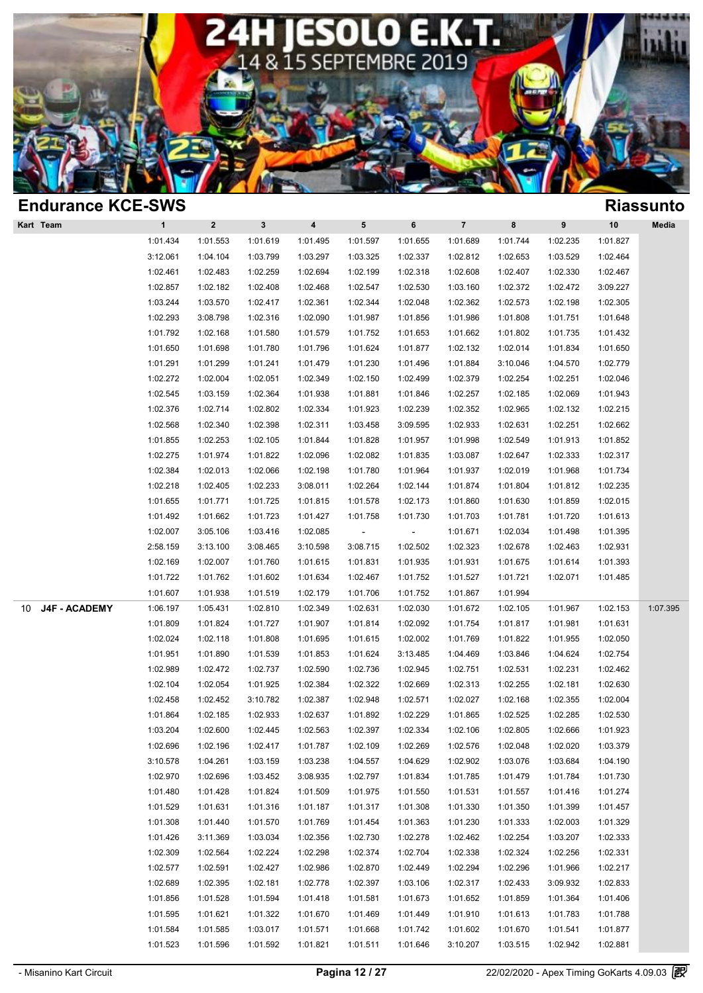

| <b>Endurance KCE-SWS</b> |                                                                                                                                                                                                                                                                      |                                                                                                                                                                                                                                                          |                                                                                                                                                                                                                                                                      |                                                                                                                                                                                                                                                                      |                                                                                                                                                                                                                                                          |                                                                                                                                                                                                                                                                      |                                                                                                                                                                                                                                                                                              |                                                                                                                                                                                                                                                          |                                                                                                                                                                                                                                              | <b>Riassunto</b>                                                                                                                                                                                                                                         |
|--------------------------|----------------------------------------------------------------------------------------------------------------------------------------------------------------------------------------------------------------------------------------------------------------------|----------------------------------------------------------------------------------------------------------------------------------------------------------------------------------------------------------------------------------------------------------|----------------------------------------------------------------------------------------------------------------------------------------------------------------------------------------------------------------------------------------------------------------------|----------------------------------------------------------------------------------------------------------------------------------------------------------------------------------------------------------------------------------------------------------------------|----------------------------------------------------------------------------------------------------------------------------------------------------------------------------------------------------------------------------------------------------------|----------------------------------------------------------------------------------------------------------------------------------------------------------------------------------------------------------------------------------------------------------------------|----------------------------------------------------------------------------------------------------------------------------------------------------------------------------------------------------------------------------------------------------------------------------------------------|----------------------------------------------------------------------------------------------------------------------------------------------------------------------------------------------------------------------------------------------------------|----------------------------------------------------------------------------------------------------------------------------------------------------------------------------------------------------------------------------------------------|----------------------------------------------------------------------------------------------------------------------------------------------------------------------------------------------------------------------------------------------------------|
| $\mathbf{1}$             | $\overline{2}$                                                                                                                                                                                                                                                       | $\mathbf{3}$                                                                                                                                                                                                                                             | $\overline{\mathbf{4}}$                                                                                                                                                                                                                                              | $5\phantom{.0}$                                                                                                                                                                                                                                                      | 6                                                                                                                                                                                                                                                        | $\overline{7}$                                                                                                                                                                                                                                                       | 8                                                                                                                                                                                                                                                                                            | 9                                                                                                                                                                                                                                                        | 10                                                                                                                                                                                                                                           | Media                                                                                                                                                                                                                                                    |
| 1:01.434                 | 1:01.553                                                                                                                                                                                                                                                             | 1:01.619                                                                                                                                                                                                                                                 | 1:01.495                                                                                                                                                                                                                                                             | 1:01.597                                                                                                                                                                                                                                                             | 1:01.655                                                                                                                                                                                                                                                 | 1:01.689                                                                                                                                                                                                                                                             | 1:01.744                                                                                                                                                                                                                                                                                     | 1:02.235                                                                                                                                                                                                                                                 | 1:01.827                                                                                                                                                                                                                                     |                                                                                                                                                                                                                                                          |
| 3:12.061                 | 1:04.104                                                                                                                                                                                                                                                             | 1:03.799                                                                                                                                                                                                                                                 | 1:03.297                                                                                                                                                                                                                                                             | 1:03.325                                                                                                                                                                                                                                                             | 1:02.337                                                                                                                                                                                                                                                 | 1:02.812                                                                                                                                                                                                                                                             | 1:02.653                                                                                                                                                                                                                                                                                     | 1:03.529                                                                                                                                                                                                                                                 | 1:02.464                                                                                                                                                                                                                                     |                                                                                                                                                                                                                                                          |
| 1:02.461                 | 1:02.483                                                                                                                                                                                                                                                             | 1:02.259                                                                                                                                                                                                                                                 | 1:02.694                                                                                                                                                                                                                                                             | 1:02.199                                                                                                                                                                                                                                                             | 1:02.318                                                                                                                                                                                                                                                 | 1:02.608                                                                                                                                                                                                                                                             | 1:02.407                                                                                                                                                                                                                                                                                     | 1:02.330                                                                                                                                                                                                                                                 | 1:02.467                                                                                                                                                                                                                                     |                                                                                                                                                                                                                                                          |
| 1:02.857                 | 1:02.182                                                                                                                                                                                                                                                             | 1:02.408                                                                                                                                                                                                                                                 | 1:02.468                                                                                                                                                                                                                                                             | 1:02.547                                                                                                                                                                                                                                                             | 1:02.530                                                                                                                                                                                                                                                 | 1:03.160                                                                                                                                                                                                                                                             | 1:02.372                                                                                                                                                                                                                                                                                     | 1:02.472                                                                                                                                                                                                                                                 | 3:09.227                                                                                                                                                                                                                                     |                                                                                                                                                                                                                                                          |
| 1:03.244                 | 1:03.570                                                                                                                                                                                                                                                             | 1:02.417                                                                                                                                                                                                                                                 | 1:02.361                                                                                                                                                                                                                                                             | 1:02.344                                                                                                                                                                                                                                                             | 1:02.048                                                                                                                                                                                                                                                 | 1:02.362                                                                                                                                                                                                                                                             | 1:02.573                                                                                                                                                                                                                                                                                     | 1:02.198                                                                                                                                                                                                                                                 | 1:02.305                                                                                                                                                                                                                                     |                                                                                                                                                                                                                                                          |
| 1:02.293                 | 3:08.798                                                                                                                                                                                                                                                             | 1:02.316                                                                                                                                                                                                                                                 | 1:02.090                                                                                                                                                                                                                                                             | 1:01.987                                                                                                                                                                                                                                                             | 1:01.856                                                                                                                                                                                                                                                 | 1:01.986                                                                                                                                                                                                                                                             | 1:01.808                                                                                                                                                                                                                                                                                     | 1:01.751                                                                                                                                                                                                                                                 | 1:01.648                                                                                                                                                                                                                                     |                                                                                                                                                                                                                                                          |
| 1:01.792                 | 1:02.168                                                                                                                                                                                                                                                             | 1:01.580                                                                                                                                                                                                                                                 | 1:01.579                                                                                                                                                                                                                                                             | 1:01.752                                                                                                                                                                                                                                                             | 1:01.653                                                                                                                                                                                                                                                 | 1:01.662                                                                                                                                                                                                                                                             | 1:01.802                                                                                                                                                                                                                                                                                     | 1:01.735                                                                                                                                                                                                                                                 | 1:01.432                                                                                                                                                                                                                                     |                                                                                                                                                                                                                                                          |
| 1:01.650                 | 1:01.698                                                                                                                                                                                                                                                             | 1:01.780                                                                                                                                                                                                                                                 | 1:01.796                                                                                                                                                                                                                                                             | 1:01.624                                                                                                                                                                                                                                                             | 1:01.877                                                                                                                                                                                                                                                 | 1:02.132                                                                                                                                                                                                                                                             | 1:02.014                                                                                                                                                                                                                                                                                     | 1:01.834                                                                                                                                                                                                                                                 | 1:01.650                                                                                                                                                                                                                                     |                                                                                                                                                                                                                                                          |
| 1:01.291                 | 1:01.299                                                                                                                                                                                                                                                             | 1:01.241                                                                                                                                                                                                                                                 | 1:01.479                                                                                                                                                                                                                                                             | 1:01.230                                                                                                                                                                                                                                                             | 1:01.496                                                                                                                                                                                                                                                 | 1:01.884                                                                                                                                                                                                                                                             | 3:10.046                                                                                                                                                                                                                                                                                     | 1:04.570                                                                                                                                                                                                                                                 | 1:02.779                                                                                                                                                                                                                                     |                                                                                                                                                                                                                                                          |
| 1:02.272                 | 1:02.004                                                                                                                                                                                                                                                             | 1:02.051                                                                                                                                                                                                                                                 | 1:02.349                                                                                                                                                                                                                                                             | 1:02.150                                                                                                                                                                                                                                                             | 1:02.499                                                                                                                                                                                                                                                 | 1:02.379                                                                                                                                                                                                                                                             | 1:02.254                                                                                                                                                                                                                                                                                     | 1:02.251                                                                                                                                                                                                                                                 | 1:02.046                                                                                                                                                                                                                                     |                                                                                                                                                                                                                                                          |
| 1:02.545                 | 1:03.159                                                                                                                                                                                                                                                             | 1:02.364                                                                                                                                                                                                                                                 | 1:01.938                                                                                                                                                                                                                                                             | 1:01.881                                                                                                                                                                                                                                                             | 1:01.846                                                                                                                                                                                                                                                 | 1:02.257                                                                                                                                                                                                                                                             | 1:02.185                                                                                                                                                                                                                                                                                     | 1:02.069                                                                                                                                                                                                                                                 | 1:01.943                                                                                                                                                                                                                                     |                                                                                                                                                                                                                                                          |
| 1:02.376                 | 1:02.714                                                                                                                                                                                                                                                             | 1:02.802                                                                                                                                                                                                                                                 | 1:02.334                                                                                                                                                                                                                                                             | 1:01.923                                                                                                                                                                                                                                                             | 1:02.239                                                                                                                                                                                                                                                 | 1:02.352                                                                                                                                                                                                                                                             | 1:02.965                                                                                                                                                                                                                                                                                     | 1:02.132                                                                                                                                                                                                                                                 | 1:02.215                                                                                                                                                                                                                                     |                                                                                                                                                                                                                                                          |
| 1:02.568                 | 1:02.340                                                                                                                                                                                                                                                             | 1:02.398                                                                                                                                                                                                                                                 | 1:02.311                                                                                                                                                                                                                                                             | 1:03.458                                                                                                                                                                                                                                                             | 3:09.595                                                                                                                                                                                                                                                 | 1:02.933                                                                                                                                                                                                                                                             | 1:02.631                                                                                                                                                                                                                                                                                     | 1:02.251                                                                                                                                                                                                                                                 | 1:02.662                                                                                                                                                                                                                                     |                                                                                                                                                                                                                                                          |
| 1:01.855                 | 1:02.253                                                                                                                                                                                                                                                             | 1:02.105                                                                                                                                                                                                                                                 | 1:01.844                                                                                                                                                                                                                                                             | 1:01.828                                                                                                                                                                                                                                                             | 1:01.957                                                                                                                                                                                                                                                 | 1:01.998                                                                                                                                                                                                                                                             | 1:02.549                                                                                                                                                                                                                                                                                     | 1:01.913                                                                                                                                                                                                                                                 | 1:01.852                                                                                                                                                                                                                                     |                                                                                                                                                                                                                                                          |
| 1:02.275                 | 1:01.974                                                                                                                                                                                                                                                             | 1:01.822                                                                                                                                                                                                                                                 | 1:02.096                                                                                                                                                                                                                                                             | 1:02.082                                                                                                                                                                                                                                                             | 1:01.835                                                                                                                                                                                                                                                 | 1:03.087                                                                                                                                                                                                                                                             | 1:02.647                                                                                                                                                                                                                                                                                     | 1:02.333                                                                                                                                                                                                                                                 | 1:02.317                                                                                                                                                                                                                                     |                                                                                                                                                                                                                                                          |
| 1:02.384                 | 1:02.013                                                                                                                                                                                                                                                             | 1:02.066                                                                                                                                                                                                                                                 | 1:02.198                                                                                                                                                                                                                                                             | 1:01.780                                                                                                                                                                                                                                                             | 1:01.964                                                                                                                                                                                                                                                 | 1:01.937                                                                                                                                                                                                                                                             | 1:02.019                                                                                                                                                                                                                                                                                     | 1:01.968                                                                                                                                                                                                                                                 | 1:01.734                                                                                                                                                                                                                                     |                                                                                                                                                                                                                                                          |
| 1:02.218                 | 1:02.405                                                                                                                                                                                                                                                             | 1:02.233                                                                                                                                                                                                                                                 | 3:08.011                                                                                                                                                                                                                                                             | 1:02.264                                                                                                                                                                                                                                                             | 1:02.144                                                                                                                                                                                                                                                 | 1:01.874                                                                                                                                                                                                                                                             | 1:01.804                                                                                                                                                                                                                                                                                     | 1:01.812                                                                                                                                                                                                                                                 | 1:02.235                                                                                                                                                                                                                                     |                                                                                                                                                                                                                                                          |
| 1:01.655                 | 1:01.771                                                                                                                                                                                                                                                             | 1:01.725                                                                                                                                                                                                                                                 | 1:01.815                                                                                                                                                                                                                                                             | 1:01.578                                                                                                                                                                                                                                                             | 1:02.173                                                                                                                                                                                                                                                 | 1:01.860                                                                                                                                                                                                                                                             | 1:01.630                                                                                                                                                                                                                                                                                     | 1:01.859                                                                                                                                                                                                                                                 | 1:02.015                                                                                                                                                                                                                                     |                                                                                                                                                                                                                                                          |
| 1:01.492                 | 1:01.662                                                                                                                                                                                                                                                             | 1:01.723                                                                                                                                                                                                                                                 | 1:01.427                                                                                                                                                                                                                                                             | 1:01.758                                                                                                                                                                                                                                                             | 1:01.730                                                                                                                                                                                                                                                 | 1:01.703                                                                                                                                                                                                                                                             | 1:01.781                                                                                                                                                                                                                                                                                     | 1:01.720                                                                                                                                                                                                                                                 | 1:01.613                                                                                                                                                                                                                                     |                                                                                                                                                                                                                                                          |
| 1:02.007                 | 3:05.106                                                                                                                                                                                                                                                             | 1:03.416                                                                                                                                                                                                                                                 | 1:02.085                                                                                                                                                                                                                                                             | $\overline{\phantom{a}}$                                                                                                                                                                                                                                             | $\overline{\phantom{a}}$                                                                                                                                                                                                                                 | 1:01.671                                                                                                                                                                                                                                                             | 1:02.034                                                                                                                                                                                                                                                                                     | 1:01.498                                                                                                                                                                                                                                                 | 1:01.395                                                                                                                                                                                                                                     |                                                                                                                                                                                                                                                          |
| 2:58.159                 | 3:13.100                                                                                                                                                                                                                                                             | 3:08.465                                                                                                                                                                                                                                                 | 3:10.598                                                                                                                                                                                                                                                             | 3:08.715                                                                                                                                                                                                                                                             | 1:02.502                                                                                                                                                                                                                                                 | 1:02.323                                                                                                                                                                                                                                                             | 1:02.678                                                                                                                                                                                                                                                                                     | 1:02.463                                                                                                                                                                                                                                                 | 1:02.931                                                                                                                                                                                                                                     |                                                                                                                                                                                                                                                          |
| 1:02.169                 | 1:02.007                                                                                                                                                                                                                                                             | 1:01.760                                                                                                                                                                                                                                                 | 1:01.615                                                                                                                                                                                                                                                             | 1:01.831                                                                                                                                                                                                                                                             | 1:01.935                                                                                                                                                                                                                                                 | 1:01.931                                                                                                                                                                                                                                                             | 1:01.675                                                                                                                                                                                                                                                                                     | 1:01.614                                                                                                                                                                                                                                                 | 1:01.393                                                                                                                                                                                                                                     |                                                                                                                                                                                                                                                          |
| 1:01.722                 | 1:01.762                                                                                                                                                                                                                                                             | 1:01.602                                                                                                                                                                                                                                                 | 1:01.634                                                                                                                                                                                                                                                             | 1:02.467                                                                                                                                                                                                                                                             | 1:01.752                                                                                                                                                                                                                                                 |                                                                                                                                                                                                                                                                      | 1:01.721                                                                                                                                                                                                                                                                                     |                                                                                                                                                                                                                                                          |                                                                                                                                                                                                                                              |                                                                                                                                                                                                                                                          |
|                          |                                                                                                                                                                                                                                                                      |                                                                                                                                                                                                                                                          |                                                                                                                                                                                                                                                                      |                                                                                                                                                                                                                                                                      |                                                                                                                                                                                                                                                          |                                                                                                                                                                                                                                                                      |                                                                                                                                                                                                                                                                                              |                                                                                                                                                                                                                                                          |                                                                                                                                                                                                                                              |                                                                                                                                                                                                                                                          |
|                          | 1:05.431                                                                                                                                                                                                                                                             |                                                                                                                                                                                                                                                          |                                                                                                                                                                                                                                                                      | 1:02.631                                                                                                                                                                                                                                                             |                                                                                                                                                                                                                                                          |                                                                                                                                                                                                                                                                      | 1:02.105                                                                                                                                                                                                                                                                                     |                                                                                                                                                                                                                                                          | 1:02.153                                                                                                                                                                                                                                     | 1:07.395                                                                                                                                                                                                                                                 |
|                          |                                                                                                                                                                                                                                                                      |                                                                                                                                                                                                                                                          |                                                                                                                                                                                                                                                                      |                                                                                                                                                                                                                                                                      |                                                                                                                                                                                                                                                          |                                                                                                                                                                                                                                                                      |                                                                                                                                                                                                                                                                                              |                                                                                                                                                                                                                                                          |                                                                                                                                                                                                                                              |                                                                                                                                                                                                                                                          |
| 1:02.024                 | 1:02.118                                                                                                                                                                                                                                                             |                                                                                                                                                                                                                                                          |                                                                                                                                                                                                                                                                      | 1:01.615                                                                                                                                                                                                                                                             |                                                                                                                                                                                                                                                          |                                                                                                                                                                                                                                                                      | 1:01.822                                                                                                                                                                                                                                                                                     | 1:01.955                                                                                                                                                                                                                                                 |                                                                                                                                                                                                                                              |                                                                                                                                                                                                                                                          |
|                          |                                                                                                                                                                                                                                                                      |                                                                                                                                                                                                                                                          |                                                                                                                                                                                                                                                                      |                                                                                                                                                                                                                                                                      | 3:13.485                                                                                                                                                                                                                                                 |                                                                                                                                                                                                                                                                      |                                                                                                                                                                                                                                                                                              | 1:04.624                                                                                                                                                                                                                                                 |                                                                                                                                                                                                                                              |                                                                                                                                                                                                                                                          |
|                          |                                                                                                                                                                                                                                                                      |                                                                                                                                                                                                                                                          |                                                                                                                                                                                                                                                                      |                                                                                                                                                                                                                                                                      |                                                                                                                                                                                                                                                          |                                                                                                                                                                                                                                                                      |                                                                                                                                                                                                                                                                                              |                                                                                                                                                                                                                                                          |                                                                                                                                                                                                                                              |                                                                                                                                                                                                                                                          |
|                          |                                                                                                                                                                                                                                                                      |                                                                                                                                                                                                                                                          |                                                                                                                                                                                                                                                                      |                                                                                                                                                                                                                                                                      |                                                                                                                                                                                                                                                          |                                                                                                                                                                                                                                                                      |                                                                                                                                                                                                                                                                                              |                                                                                                                                                                                                                                                          |                                                                                                                                                                                                                                              |                                                                                                                                                                                                                                                          |
|                          |                                                                                                                                                                                                                                                                      |                                                                                                                                                                                                                                                          |                                                                                                                                                                                                                                                                      |                                                                                                                                                                                                                                                                      |                                                                                                                                                                                                                                                          |                                                                                                                                                                                                                                                                      |                                                                                                                                                                                                                                                                                              |                                                                                                                                                                                                                                                          |                                                                                                                                                                                                                                              |                                                                                                                                                                                                                                                          |
|                          |                                                                                                                                                                                                                                                                      |                                                                                                                                                                                                                                                          |                                                                                                                                                                                                                                                                      |                                                                                                                                                                                                                                                                      |                                                                                                                                                                                                                                                          |                                                                                                                                                                                                                                                                      |                                                                                                                                                                                                                                                                                              |                                                                                                                                                                                                                                                          |                                                                                                                                                                                                                                              |                                                                                                                                                                                                                                                          |
|                          |                                                                                                                                                                                                                                                                      |                                                                                                                                                                                                                                                          |                                                                                                                                                                                                                                                                      |                                                                                                                                                                                                                                                                      |                                                                                                                                                                                                                                                          |                                                                                                                                                                                                                                                                      |                                                                                                                                                                                                                                                                                              |                                                                                                                                                                                                                                                          |                                                                                                                                                                                                                                              |                                                                                                                                                                                                                                                          |
|                          |                                                                                                                                                                                                                                                                      |                                                                                                                                                                                                                                                          |                                                                                                                                                                                                                                                                      |                                                                                                                                                                                                                                                                      |                                                                                                                                                                                                                                                          |                                                                                                                                                                                                                                                                      |                                                                                                                                                                                                                                                                                              |                                                                                                                                                                                                                                                          |                                                                                                                                                                                                                                              |                                                                                                                                                                                                                                                          |
|                          |                                                                                                                                                                                                                                                                      |                                                                                                                                                                                                                                                          |                                                                                                                                                                                                                                                                      |                                                                                                                                                                                                                                                                      |                                                                                                                                                                                                                                                          |                                                                                                                                                                                                                                                                      |                                                                                                                                                                                                                                                                                              |                                                                                                                                                                                                                                                          |                                                                                                                                                                                                                                              |                                                                                                                                                                                                                                                          |
|                          |                                                                                                                                                                                                                                                                      |                                                                                                                                                                                                                                                          |                                                                                                                                                                                                                                                                      |                                                                                                                                                                                                                                                                      |                                                                                                                                                                                                                                                          |                                                                                                                                                                                                                                                                      |                                                                                                                                                                                                                                                                                              |                                                                                                                                                                                                                                                          |                                                                                                                                                                                                                                              |                                                                                                                                                                                                                                                          |
|                          |                                                                                                                                                                                                                                                                      |                                                                                                                                                                                                                                                          |                                                                                                                                                                                                                                                                      |                                                                                                                                                                                                                                                                      |                                                                                                                                                                                                                                                          |                                                                                                                                                                                                                                                                      |                                                                                                                                                                                                                                                                                              |                                                                                                                                                                                                                                                          |                                                                                                                                                                                                                                              |                                                                                                                                                                                                                                                          |
|                          |                                                                                                                                                                                                                                                                      |                                                                                                                                                                                                                                                          |                                                                                                                                                                                                                                                                      |                                                                                                                                                                                                                                                                      |                                                                                                                                                                                                                                                          |                                                                                                                                                                                                                                                                      |                                                                                                                                                                                                                                                                                              |                                                                                                                                                                                                                                                          |                                                                                                                                                                                                                                              |                                                                                                                                                                                                                                                          |
|                          |                                                                                                                                                                                                                                                                      |                                                                                                                                                                                                                                                          |                                                                                                                                                                                                                                                                      |                                                                                                                                                                                                                                                                      |                                                                                                                                                                                                                                                          |                                                                                                                                                                                                                                                                      |                                                                                                                                                                                                                                                                                              |                                                                                                                                                                                                                                                          |                                                                                                                                                                                                                                              |                                                                                                                                                                                                                                                          |
|                          |                                                                                                                                                                                                                                                                      |                                                                                                                                                                                                                                                          |                                                                                                                                                                                                                                                                      |                                                                                                                                                                                                                                                                      |                                                                                                                                                                                                                                                          |                                                                                                                                                                                                                                                                      |                                                                                                                                                                                                                                                                                              |                                                                                                                                                                                                                                                          |                                                                                                                                                                                                                                              |                                                                                                                                                                                                                                                          |
|                          |                                                                                                                                                                                                                                                                      |                                                                                                                                                                                                                                                          |                                                                                                                                                                                                                                                                      |                                                                                                                                                                                                                                                                      |                                                                                                                                                                                                                                                          |                                                                                                                                                                                                                                                                      |                                                                                                                                                                                                                                                                                              |                                                                                                                                                                                                                                                          |                                                                                                                                                                                                                                              |                                                                                                                                                                                                                                                          |
|                          |                                                                                                                                                                                                                                                                      |                                                                                                                                                                                                                                                          |                                                                                                                                                                                                                                                                      |                                                                                                                                                                                                                                                                      |                                                                                                                                                                                                                                                          |                                                                                                                                                                                                                                                                      |                                                                                                                                                                                                                                                                                              |                                                                                                                                                                                                                                                          |                                                                                                                                                                                                                                              |                                                                                                                                                                                                                                                          |
|                          |                                                                                                                                                                                                                                                                      |                                                                                                                                                                                                                                                          |                                                                                                                                                                                                                                                                      |                                                                                                                                                                                                                                                                      |                                                                                                                                                                                                                                                          |                                                                                                                                                                                                                                                                      |                                                                                                                                                                                                                                                                                              |                                                                                                                                                                                                                                                          |                                                                                                                                                                                                                                              |                                                                                                                                                                                                                                                          |
|                          |                                                                                                                                                                                                                                                                      |                                                                                                                                                                                                                                                          |                                                                                                                                                                                                                                                                      |                                                                                                                                                                                                                                                                      |                                                                                                                                                                                                                                                          |                                                                                                                                                                                                                                                                      |                                                                                                                                                                                                                                                                                              |                                                                                                                                                                                                                                                          |                                                                                                                                                                                                                                              |                                                                                                                                                                                                                                                          |
|                          |                                                                                                                                                                                                                                                                      |                                                                                                                                                                                                                                                          |                                                                                                                                                                                                                                                                      |                                                                                                                                                                                                                                                                      |                                                                                                                                                                                                                                                          |                                                                                                                                                                                                                                                                      |                                                                                                                                                                                                                                                                                              |                                                                                                                                                                                                                                                          |                                                                                                                                                                                                                                              |                                                                                                                                                                                                                                                          |
|                          |                                                                                                                                                                                                                                                                      |                                                                                                                                                                                                                                                          |                                                                                                                                                                                                                                                                      |                                                                                                                                                                                                                                                                      |                                                                                                                                                                                                                                                          |                                                                                                                                                                                                                                                                      |                                                                                                                                                                                                                                                                                              |                                                                                                                                                                                                                                                          |                                                                                                                                                                                                                                              |                                                                                                                                                                                                                                                          |
|                          |                                                                                                                                                                                                                                                                      | 1:03.017                                                                                                                                                                                                                                                 | 1:01.571                                                                                                                                                                                                                                                             |                                                                                                                                                                                                                                                                      |                                                                                                                                                                                                                                                          |                                                                                                                                                                                                                                                                      |                                                                                                                                                                                                                                                                                              | 1:01.541                                                                                                                                                                                                                                                 | 1:01.877                                                                                                                                                                                                                                     |                                                                                                                                                                                                                                                          |
|                          | 1:01.607<br>1:06.197<br>1:01.809<br>1:01.951<br>1:02.989<br>1:02.104<br>1:02.458<br>1:01.864<br>1:03.204<br>1:02.696<br>3:10.578<br>1:02.970<br>1:01.480<br>1:01.529<br>1:01.308<br>1:01.426<br>1:02.309<br>1:02.577<br>1:02.689<br>1:01.856<br>1:01.595<br>1:01.584 | 1:01.938<br>1:01.824<br>1:01.890<br>1:02.472<br>1:02.054<br>1:02.452<br>1:02.185<br>1:02.600<br>1:02.196<br>1:04.261<br>1:02.696<br>1:01.428<br>1:01.631<br>1:01.440<br>3:11.369<br>1:02.564<br>1:02.591<br>1:02.395<br>1:01.528<br>1:01.621<br>1:01.585 | 1:01.519<br>1:02.810<br>1:01.727<br>1:01.808<br>1:01.539<br>1:02.737<br>1:01.925<br>3:10.782<br>1:02.933<br>1:02.445<br>1:02.417<br>1:03.159<br>1:03.452<br>1:01.824<br>1:01.316<br>1:01.570<br>1:03.034<br>1:02.224<br>1:02.427<br>1:02.181<br>1:01.594<br>1:01.322 | 1:02.179<br>1:02.349<br>1:01.907<br>1:01.695<br>1:01.853<br>1:02.590<br>1:02.384<br>1:02.387<br>1:02.637<br>1:02.563<br>1:01.787<br>1:03.238<br>3:08.935<br>1:01.509<br>1:01.187<br>1:01.769<br>1:02.356<br>1:02.298<br>1:02.986<br>1:02.778<br>1:01.418<br>1:01.670 | 1:01.706<br>1:01.814<br>1:01.624<br>1:02.736<br>1:02.322<br>1:02.948<br>1:01.892<br>1:02.397<br>1:02.109<br>1:04.557<br>1:02.797<br>1:01.975<br>1:01.317<br>1:01.454<br>1:02.730<br>1:02.374<br>1:02.870<br>1:02.397<br>1:01.581<br>1:01.469<br>1:01.668 | 1:01.752<br>1:02.030<br>1:02.092<br>1:02.002<br>1:02.945<br>1:02.669<br>1:02.571<br>1:02.229<br>1:02.334<br>1:02.269<br>1:04.629<br>1:01.834<br>1:01.550<br>1:01.308<br>1:01.363<br>1:02.278<br>1:02.704<br>1:02.449<br>1:03.106<br>1:01.673<br>1:01.449<br>1:01.742 | 1:01.527<br>1:01.867<br>1:01.672<br>1:01.754<br>1:01.769<br>1:04.469<br>1:02.751<br>1:02.313<br>1:02.027<br>1:01.865<br>1:02.106<br>1:02.576<br>1:02.902<br>1:01.785<br>1:01.531<br>1:01.330<br>1:01.230<br>1:02.462<br>1:02.338<br>1:02.294<br>1:02.317<br>1:01.652<br>1:01.910<br>1:01.602 | 1:01.994<br>1:01.817<br>1:03.846<br>1:02.531<br>1:02.255<br>1:02.168<br>1:02.525<br>1:02.805<br>1:02.048<br>1:03.076<br>1:01.479<br>1:01.557<br>1:01.350<br>1:01.333<br>1:02.254<br>1:02.324<br>1:02.296<br>1:02.433<br>1:01.859<br>1:01.613<br>1:01.670 | 1:02.071<br>1:01.967<br>1:01.981<br>1:02.231<br>1:02.181<br>1:02.355<br>1:02.285<br>1:02.666<br>1:02.020<br>1:03.684<br>1:01.784<br>1:01.416<br>1:01.399<br>1:02.003<br>1:03.207<br>1:02.256<br>1:01.966<br>3:09.932<br>1:01.364<br>1:01.783 | 1:01.485<br>1:01.631<br>1:02.050<br>1:02.754<br>1:02.462<br>1:02.630<br>1:02.004<br>1:02.530<br>1:01.923<br>1:03.379<br>1:04.190<br>1:01.730<br>1:01.274<br>1:01.457<br>1:01.329<br>1:02.333<br>1:02.331<br>1:02.217<br>1:02.833<br>1:01.406<br>1:01.788 |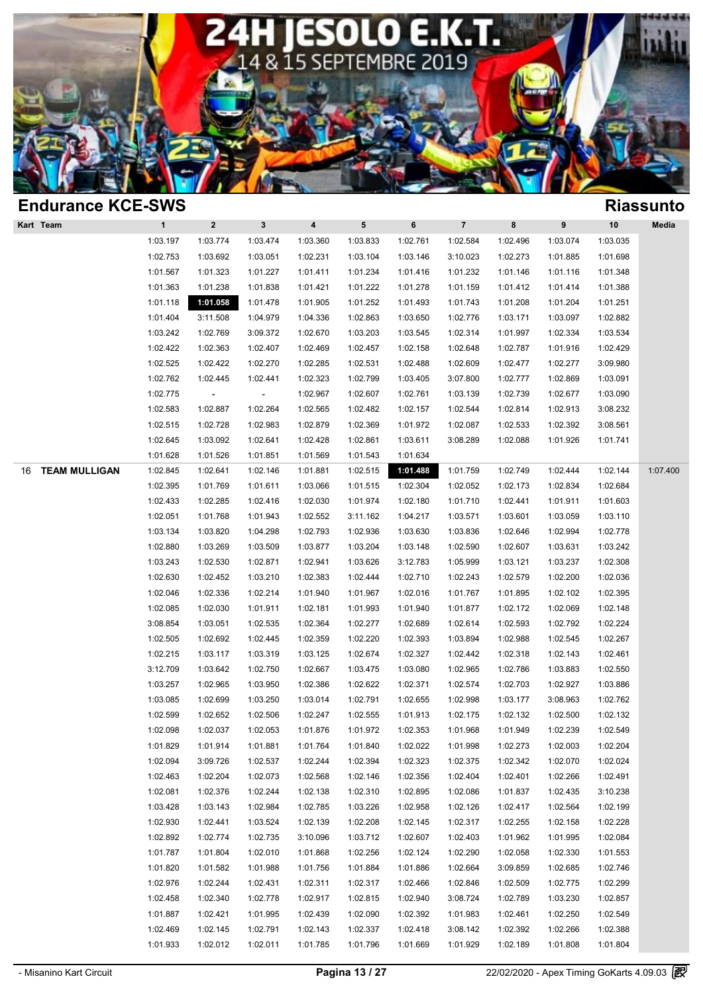

| <b>Endurance KCE-SWS</b>   |              |                          |             |                         |           |          |                |          |          |          | <b>Riassunto</b> |
|----------------------------|--------------|--------------------------|-------------|-------------------------|-----------|----------|----------------|----------|----------|----------|------------------|
| Kart Team                  | $\mathbf{1}$ | $\mathbf{2}$             | $\mathbf 3$ | $\overline{\mathbf{4}}$ | ${\bf 5}$ | 6        | $\overline{7}$ | 8        | 9        | 10       | Media            |
|                            | 1:03.197     | 1:03.774                 | 1:03.474    | 1:03.360                | 1:03.833  | 1:02.761 | 1:02.584       | 1:02.496 | 1:03.074 | 1:03.035 |                  |
|                            | 1:02.753     | 1:03.692                 | 1:03.051    | 1:02.231                | 1:03.104  | 1:03.146 | 3:10.023       | 1:02.273 | 1:01.885 | 1:01.698 |                  |
|                            | 1:01.567     | 1:01.323                 | 1:01.227    | 1:01.411                | 1:01.234  | 1:01.416 | 1:01.232       | 1:01.146 | 1:01.116 | 1:01.348 |                  |
|                            | 1:01.363     | 1:01.238                 | 1:01.838    | 1:01.421                | 1:01.222  | 1:01.278 | 1:01.159       | 1:01.412 | 1:01.414 | 1:01.388 |                  |
|                            | 1:01.118     | 1:01.058                 | 1:01.478    | 1:01.905                | 1:01.252  | 1:01.493 | 1:01.743       | 1:01.208 | 1:01.204 | 1:01.251 |                  |
|                            | 1:01.404     | 3:11.508                 | 1:04.979    | 1:04.336                | 1:02.863  | 1:03.650 | 1:02.776       | 1:03.171 | 1:03.097 | 1:02.882 |                  |
|                            | 1:03.242     | 1:02.769                 | 3:09.372    | 1:02.670                | 1:03.203  | 1:03.545 | 1:02.314       | 1:01.997 | 1:02.334 | 1:03.534 |                  |
|                            | 1:02.422     | 1:02.363                 | 1:02.407    | 1:02.469                | 1:02.457  | 1:02.158 | 1:02.648       | 1:02.787 | 1:01.916 | 1:02.429 |                  |
|                            | 1:02.525     | 1:02.422                 | 1:02.270    | 1:02.285                | 1:02.531  | 1:02.488 | 1:02.609       | 1:02.477 | 1:02.277 | 3:09.980 |                  |
|                            | 1:02.762     | 1:02.445                 | 1:02.441    | 1:02.323                | 1:02.799  | 1:03.405 | 3:07.800       | 1:02.777 | 1:02.869 | 1:03.091 |                  |
|                            | 1:02.775     | $\overline{\phantom{a}}$ | $\sim$      | 1:02.967                | 1:02.607  | 1:02.761 | 1:03.139       | 1:02.739 | 1:02.677 | 1:03.090 |                  |
|                            | 1:02.583     | 1:02.887                 | 1:02.264    | 1:02.565                | 1:02.482  | 1:02.157 | 1:02.544       | 1:02.814 | 1:02.913 | 3:08.232 |                  |
|                            | 1:02.515     | 1:02.728                 | 1:02.983    | 1:02.879                | 1:02.369  | 1:01.972 | 1:02.087       | 1:02.533 | 1:02.392 | 3:08.561 |                  |
|                            | 1:02.645     | 1:03.092                 | 1:02.641    | 1:02.428                | 1:02.861  | 1:03.611 | 3:08.289       | 1:02.088 | 1:01.926 | 1:01.741 |                  |
|                            | 1:01.628     | 1:01.526                 | 1:01.851    | 1:01.569                | 1:01.543  | 1:01.634 |                |          |          |          |                  |
| <b>TEAM MULLIGAN</b><br>16 | 1:02.845     | 1:02.641                 | 1:02.146    | 1:01.881                | 1:02.515  | 1:01.488 | 1:01.759       | 1:02.749 | 1:02.444 | 1:02.144 | 1:07.400         |
|                            | 1:02.395     | 1:01.769                 | 1:01.611    | 1:03.066                | 1:01.515  | 1:02.304 | 1:02.052       | 1:02.173 | 1:02.834 | 1:02.684 |                  |
|                            | 1:02.433     | 1:02.285                 | 1:02.416    | 1:02.030                | 1:01.974  | 1:02.180 | 1:01.710       | 1:02.441 | 1:01.911 | 1:01.603 |                  |
|                            | 1:02.051     | 1:01.768                 | 1:01.943    | 1:02.552                | 3:11.162  | 1:04.217 | 1:03.571       | 1:03.601 | 1:03.059 | 1:03.110 |                  |
|                            | 1:03.134     | 1:03.820                 | 1:04.298    | 1:02.793                | 1:02.936  | 1:03.630 | 1:03.836       | 1:02.646 | 1:02.994 | 1:02.778 |                  |
|                            | 1:02.880     | 1:03.269                 | 1:03.509    | 1:03.877                | 1:03.204  | 1:03.148 | 1:02.590       | 1:02.607 | 1:03.631 | 1:03.242 |                  |
|                            | 1:03.243     | 1:02.530                 | 1:02.871    | 1:02.941                | 1:03.626  | 3:12.783 | 1:05.999       | 1:03.121 | 1:03.237 | 1:02.308 |                  |
|                            | 1:02.630     | 1:02.452                 | 1:03.210    | 1:02.383                | 1:02.444  | 1:02.710 | 1:02.243       | 1:02.579 | 1:02.200 | 1:02.036 |                  |
|                            | 1:02.046     | 1:02.336                 | 1:02.214    | 1:01.940                | 1:01.967  | 1:02.016 | 1:01.767       | 1:01.895 | 1:02.102 | 1:02.395 |                  |
|                            | 1:02.085     | 1:02.030                 | 1:01.911    | 1:02.181                | 1:01.993  | 1:01.940 | 1:01.877       | 1:02.172 | 1:02.069 | 1:02.148 |                  |
|                            | 3:08.854     | 1:03.051                 | 1:02.535    | 1:02.364                | 1:02.277  | 1:02.689 | 1:02.614       | 1:02.593 | 1:02.792 | 1:02.224 |                  |
|                            | 1:02.505     | 1:02.692                 | 1:02.445    | 1:02.359                | 1:02.220  | 1:02.393 | 1:03.894       | 1:02.988 | 1:02.545 | 1:02.267 |                  |
|                            | 1:02.215     | 1:03.117                 | 1:03.319    | 1:03.125                | 1:02.674  | 1:02.327 | 1:02.442       | 1:02.318 | 1:02.143 | 1:02.461 |                  |
|                            | 3:12.709     | 1:03.642                 | 1:02.750    | 1:02.667                | 1:03.475  | 1:03.080 | 1:02.965       | 1:02.786 | 1:03.883 | 1:02.550 |                  |
|                            | 1:03.257     | 1:02.965                 | 1:03.950    | 1:02.386                | 1:02.622  | 1:02.371 | 1:02.574       | 1:02.703 | 1:02.927 | 1:03.886 |                  |
|                            | 1:03.085     | 1:02.699                 | 1:03.250    | 1:03.014                | 1:02.791  | 1:02.655 | 1:02.998       | 1:03.177 | 3:08.963 | 1:02.762 |                  |
|                            | 1:02.599     | 1:02.652                 | 1:02.506    | 1:02.247                | 1:02.555  | 1:01.913 | 1:02.175       | 1:02.132 | 1:02.500 | 1:02.132 |                  |
|                            | 1:02.098     | 1:02.037                 | 1:02.053    | 1:01.876                | 1:01.972  | 1:02.353 | 1:01.968       | 1:01.949 | 1:02.239 | 1:02.549 |                  |
|                            | 1:01.829     | 1:01.914                 | 1:01.881    | 1:01.764                | 1:01.840  | 1:02.022 | 1:01.998       | 1:02.273 | 1:02.003 | 1:02.204 |                  |
|                            | 1:02.094     | 3:09.726                 | 1:02.537    | 1:02.244                | 1:02.394  | 1:02.323 | 1:02.375       | 1:02.342 | 1:02.070 | 1:02.024 |                  |
|                            | 1:02.463     | 1:02.204                 | 1:02.073    | 1:02.568                | 1:02.146  | 1:02.356 | 1:02.404       | 1:02.401 | 1:02.266 | 1:02.491 |                  |
|                            | 1:02.081     | 1:02.376                 | 1:02.244    | 1:02.138                | 1:02.310  | 1:02.895 | 1:02.086       | 1:01.837 | 1:02.435 | 3:10.238 |                  |
|                            | 1:03.428     | 1:03.143                 | 1:02.984    | 1:02.785                | 1:03.226  | 1:02.958 | 1:02.126       | 1:02.417 | 1:02.564 | 1:02.199 |                  |
|                            | 1:02.930     | 1:02.441                 | 1:03.524    | 1:02.139                | 1:02.208  | 1:02.145 | 1:02.317       | 1:02.255 | 1:02.158 | 1:02.228 |                  |
|                            | 1:02.892     | 1:02.774                 | 1:02.735    | 3:10.096                | 1:03.712  | 1:02.607 | 1:02.403       | 1:01.962 | 1:01.995 | 1:02.084 |                  |
|                            | 1:01.787     | 1:01.804                 | 1:02.010    | 1:01.868                | 1:02.256  | 1:02.124 | 1:02.290       | 1:02.058 | 1:02.330 | 1:01.553 |                  |
|                            | 1:01.820     | 1:01.582                 | 1:01.988    | 1:01.756                | 1:01.884  | 1:01.886 | 1:02.664       | 3:09.859 | 1:02.685 | 1:02.746 |                  |
|                            | 1:02.976     | 1:02.244                 | 1:02.431    | 1:02.311                | 1:02.317  | 1:02.466 | 1:02.846       | 1:02.509 | 1:02.775 | 1:02.299 |                  |
|                            | 1:02.458     | 1:02.340                 | 1:02.778    | 1:02.917                | 1:02.815  | 1:02.940 | 3:08.724       | 1:02.789 | 1:03.230 | 1:02.857 |                  |
|                            | 1:01.887     | 1:02.421                 | 1:01.995    | 1:02.439                | 1:02.090  | 1:02.392 | 1:01.983       | 1:02.461 | 1:02.250 | 1:02.549 |                  |
|                            | 1:02.469     | 1:02.145                 | 1:02.791    | 1:02.143                | 1:02.337  | 1:02.418 | 3:08.142       | 1:02.392 | 1:02.266 | 1:02.388 |                  |
|                            | 1:01.933     | 1:02.012                 | 1:02.011    | 1:01.785                | 1:01.796  | 1:01.669 | 1:01.929       | 1:02.189 | 1:01.808 | 1:01.804 |                  |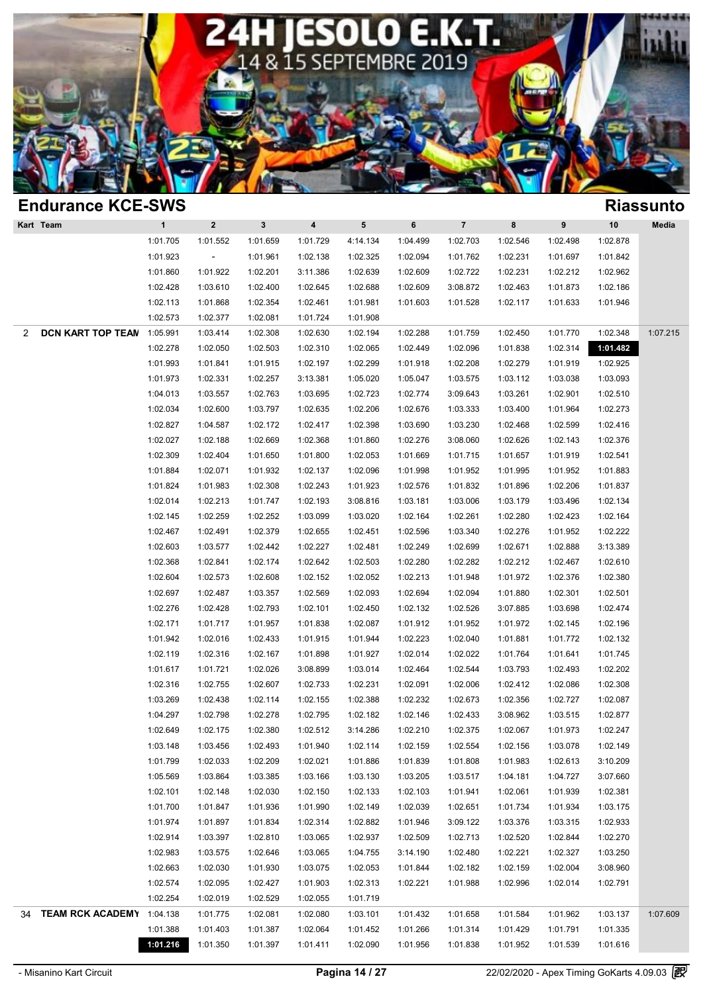

| <b>Endurance KCE-SWS</b>      |                      |                          |              |          |                      |          |                         |          |          |          | <b>Riassunto</b> |
|-------------------------------|----------------------|--------------------------|--------------|----------|----------------------|----------|-------------------------|----------|----------|----------|------------------|
| Kart Team                     | $\mathbf{1}$         | $\bf{2}$                 | $\mathbf{3}$ | 4        | 5                    | 6        | $\overline{\mathbf{7}}$ | 8        | 9        | 10       | Media            |
|                               | 1:01.705             | 1:01.552                 | 1:01.659     | 1:01.729 | 4:14.134             | 1:04.499 | 1:02.703                | 1:02.546 | 1:02.498 | 1:02.878 |                  |
|                               | 1:01.923             | $\overline{\phantom{a}}$ | 1:01.961     | 1:02.138 | 1:02.325             | 1:02.094 | 1:01.762                | 1:02.231 | 1:01.697 | 1:01.842 |                  |
|                               | 1:01.860             | 1:01.922                 | 1:02.201     | 3:11.386 | 1:02.639             | 1:02.609 | 1:02.722                | 1:02.231 | 1:02.212 | 1:02.962 |                  |
|                               | 1:02.428             | 1:03.610                 | 1:02.400     | 1:02.645 | 1:02.688             | 1:02.609 | 3:08.872                | 1:02.463 | 1:01.873 | 1:02.186 |                  |
|                               | 1:02.113             | 1:01.868                 | 1:02.354     | 1:02.461 | 1:01.981             | 1:01.603 | 1:01.528                | 1:02.117 | 1:01.633 | 1:01.946 |                  |
|                               | 1:02.573             | 1:02.377                 | 1:02.081     | 1:01.724 | 1:01.908             |          |                         |          |          |          |                  |
| <b>DCN KART TOP TEAN</b><br>2 | 1:05.991             | 1:03.414                 | 1:02.308     | 1:02.630 | 1:02.194             | 1:02.288 | 1:01.759                | 1:02.450 | 1:01.770 | 1:02.348 | 1:07.215         |
|                               | 1:02.278             | 1:02.050                 | 1:02.503     | 1:02.310 | 1:02.065             | 1:02.449 | 1:02.096                | 1:01.838 | 1:02.314 | 1:01.482 |                  |
|                               | 1:01.993             | 1:01.841                 | 1:01.915     | 1:02.197 | 1:02.299             | 1:01.918 | 1:02.208                | 1:02.279 | 1:01.919 | 1:02.925 |                  |
|                               | 1:01.973             | 1:02.331                 | 1:02.257     | 3:13.381 | 1:05.020             | 1:05.047 | 1:03.575                | 1:03.112 | 1:03.038 | 1:03.093 |                  |
|                               | 1:04.013             | 1:03.557                 | 1:02.763     | 1:03.695 | 1:02.723             | 1:02.774 | 3:09.643                | 1:03.261 | 1:02.901 | 1:02.510 |                  |
|                               | 1:02.034             | 1:02.600                 | 1:03.797     | 1:02.635 | 1:02.206             | 1:02.676 | 1:03.333                | 1:03.400 | 1:01.964 | 1:02.273 |                  |
|                               | 1:02.827             | 1:04.587                 | 1:02.172     | 1:02.417 | 1:02.398             | 1:03.690 | 1:03.230                | 1:02.468 | 1:02.599 | 1:02.416 |                  |
|                               | 1:02.027             | 1:02.188                 | 1:02.669     | 1:02.368 | 1:01.860             | 1:02.276 | 3:08.060                | 1:02.626 | 1:02.143 | 1:02.376 |                  |
|                               | 1:02.309             | 1:02.404                 | 1:01.650     | 1:01.800 | 1:02.053             | 1:01.669 | 1:01.715                | 1:01.657 | 1:01.919 | 1:02.541 |                  |
|                               | 1:01.884             | 1:02.071                 | 1:01.932     | 1:02.137 | 1:02.096             | 1:01.998 | 1:01.952                | 1:01.995 | 1:01.952 | 1:01.883 |                  |
|                               | 1:01.824             | 1:01.983                 | 1:02.308     | 1:02.243 | 1:01.923             | 1:02.576 | 1:01.832                | 1:01.896 | 1:02.206 | 1:01.837 |                  |
|                               | 1:02.014             | 1:02.213                 | 1:01.747     | 1:02.193 | 3:08.816             | 1:03.181 | 1:03.006                | 1:03.179 | 1:03.496 | 1:02.134 |                  |
|                               | 1:02.145             | 1:02.259                 | 1:02.252     | 1:03.099 | 1:03.020             | 1:02.164 | 1:02.261                | 1:02.280 | 1:02.423 | 1:02.164 |                  |
|                               | 1:02.467             | 1:02.491                 | 1:02.379     | 1:02.655 | 1:02.451             | 1:02.596 | 1:03.340                | 1:02.276 | 1:01.952 | 1:02.222 |                  |
|                               | 1:02.603             | 1:03.577                 | 1:02.442     | 1:02.227 | 1:02.481             | 1:02.249 | 1:02.699                | 1:02.671 | 1:02.888 | 3:13.389 |                  |
|                               | 1:02.368             | 1:02.841                 | 1:02.174     | 1:02.642 | 1:02.503             | 1:02.280 | 1:02.282                | 1:02.212 | 1:02.467 | 1:02.610 |                  |
|                               | 1:02.604             | 1:02.573                 | 1:02.608     | 1:02.152 | 1:02.052             | 1:02.213 | 1:01.948                | 1:01.972 | 1:02.376 | 1:02.380 |                  |
|                               | 1:02.697             | 1:02.487                 | 1:03.357     | 1:02.569 | 1:02.093             | 1:02.694 | 1:02.094                | 1:01.880 | 1:02.301 | 1:02.501 |                  |
|                               | 1:02.276             | 1:02.428                 | 1:02.793     | 1:02.101 | 1:02.450             | 1:02.132 | 1:02.526                | 3:07.885 | 1:03.698 | 1:02.474 |                  |
|                               | 1:02.171             | 1:01.717                 | 1:01.957     | 1:01.838 | 1:02.087             | 1:01.912 | 1:01.952                | 1:01.972 | 1:02.145 | 1:02.196 |                  |
|                               | 1:01.942             | 1:02.016                 | 1:02.433     | 1:01.915 | 1:01.944             | 1:02.223 | 1:02.040                | 1:01.881 | 1:01.772 | 1:02.132 |                  |
|                               | 1:02.119             | 1:02.316                 | 1:02.167     | 1:01.898 | 1:01.927             | 1:02.014 | 1:02.022                | 1:01.764 | 1:01.641 | 1:01.745 |                  |
|                               | 1:01.617             | 1:01.721                 | 1:02.026     | 3:08.899 | 1:03.014             | 1:02.464 | 1:02.544                | 1:03.793 | 1:02.493 | 1:02.202 |                  |
|                               | 1:02.316             | 1:02.755                 | 1:02.607     | 1:02.733 | 1:02.231             | 1:02.091 | 1:02.006                | 1:02.412 | 1:02.086 | 1:02.308 |                  |
|                               | 1:03.269             | 1:02.438                 | 1:02.114     | 1:02.155 | 1:02.388             | 1:02.232 | 1:02.673                | 1:02.356 | 1:02.727 | 1:02.087 |                  |
|                               | 1:04.297             | 1:02.798                 | 1:02.278     | 1:02.795 | 1:02.182             | 1:02.146 | 1:02.433                | 3:08.962 | 1:03.515 | 1:02.877 |                  |
|                               | 1:02.649             | 1:02.175                 | 1:02.380     | 1:02.512 | 3:14.286             | 1:02.210 | 1:02.375                | 1:02.067 | 1:01.973 | 1:02.247 |                  |
|                               | 1:03.148             | 1:03.456                 | 1:02.493     | 1:01.940 | 1:02.114             | 1:02.159 | 1:02.554                | 1:02.156 | 1:03.078 | 1:02.149 |                  |
|                               | 1:01.799             | 1:02.033                 | 1:02.209     | 1:02.021 | 1:01.886             | 1:01.839 | 1:01.808                | 1:01.983 | 1:02.613 | 3:10.209 |                  |
|                               | 1:05.569             | 1:03.864                 | 1:03.385     | 1:03.166 | 1:03.130             | 1:03.205 | 1:03.517                | 1:04.181 | 1:04.727 | 3:07.660 |                  |
|                               | 1:02.101             | 1:02.148                 | 1:02.030     | 1:02.150 | 1:02.133             | 1:02.103 | 1:01.941                | 1:02.061 | 1:01.939 | 1:02.381 |                  |
|                               | 1:01.700             | 1:01.847                 | 1:01.936     | 1:01.990 | 1:02.149             | 1:02.039 | 1:02.651                | 1:01.734 | 1:01.934 | 1:03.175 |                  |
|                               | 1:01.974             | 1:01.897                 | 1:01.834     | 1:02.314 | 1:02.882             | 1:01.946 | 3:09.122                | 1:03.376 | 1:03.315 | 1:02.933 |                  |
|                               | 1:02.914             | 1:03.397                 | 1:02.810     | 1:03.065 | 1:02.937             | 1:02.509 | 1:02.713                | 1:02.520 | 1:02.844 | 1:02.270 |                  |
|                               | 1:02.983             | 1:03.575                 | 1:02.646     | 1:03.065 | 1:04.755             | 3:14.190 | 1:02.480                | 1:02.221 | 1:02.327 | 1:03.250 |                  |
|                               | 1:02.663             | 1:02.030                 | 1:01.930     | 1:03.075 | 1:02.053             |          | 1:02.182                | 1:02.159 |          | 3:08.960 |                  |
|                               |                      |                          |              |          |                      | 1:01.844 |                         |          | 1:02.004 |          |                  |
|                               | 1:02.574<br>1:02.254 | 1:02.095                 | 1:02.427     | 1:01.903 | 1:02.313<br>1:01.719 | 1:02.221 | 1:01.988                | 1:02.996 | 1:02.014 | 1:02.791 |                  |
| TEAM RCK ACADEMY 1:04.138     |                      | 1:02.019                 | 1:02.529     | 1:02.055 |                      |          |                         |          |          |          |                  |
| 34                            | 1:01.388             | 1:01.775                 | 1:02.081     | 1:02.080 | 1:03.101             | 1:01.432 | 1:01.658                | 1:01.584 | 1:01.962 | 1:03.137 | 1:07.609         |
|                               |                      | 1:01.403                 | 1:01.387     | 1:02.064 | 1:01.452             | 1:01.266 | 1:01.314                | 1:01.429 | 1:01.791 | 1:01.335 |                  |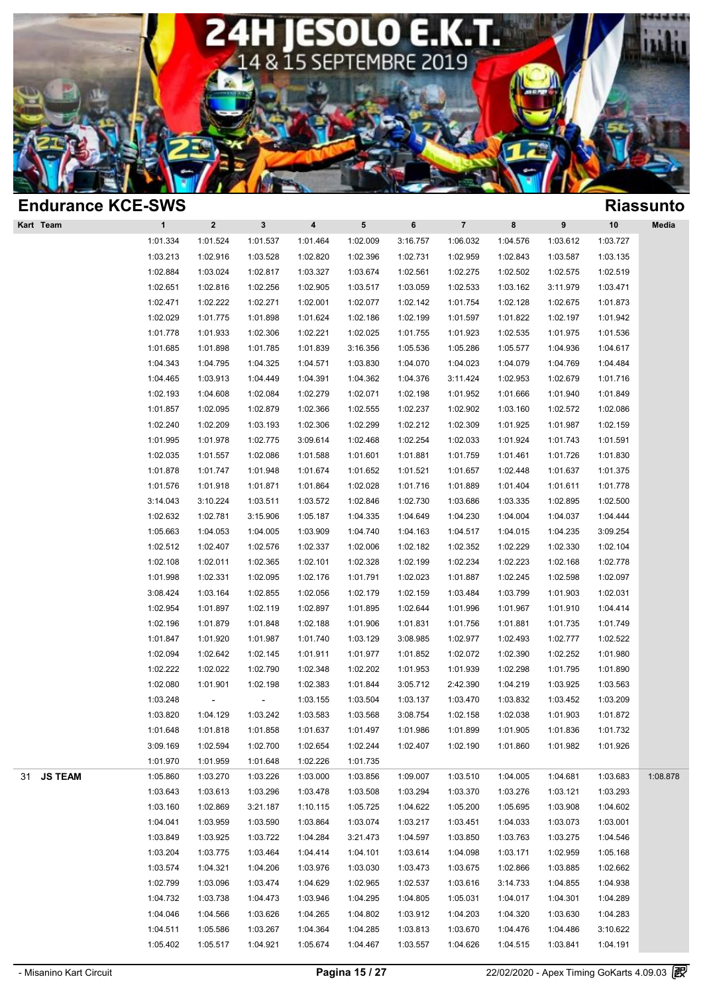

| <b>Riassunto</b>                                                                                                                             |
|----------------------------------------------------------------------------------------------------------------------------------------------|
| $10$<br>Media                                                                                                                                |
| 1:03.727                                                                                                                                     |
| 1:03.135                                                                                                                                     |
| 1:02.519                                                                                                                                     |
| 1:03.471                                                                                                                                     |
| 1:01.873                                                                                                                                     |
| 1:01.942                                                                                                                                     |
| 1:01.536                                                                                                                                     |
| 1:04.617                                                                                                                                     |
| 1:04.484                                                                                                                                     |
| 1:01.716                                                                                                                                     |
| 1:01.849                                                                                                                                     |
| 1:02.086                                                                                                                                     |
| 1:02.159                                                                                                                                     |
| 1:01.591                                                                                                                                     |
| 1:01.830                                                                                                                                     |
| 1:01.375                                                                                                                                     |
| 1:01.778                                                                                                                                     |
| 1:02.500                                                                                                                                     |
| 1:04.444                                                                                                                                     |
| 3:09.254                                                                                                                                     |
| 1:02.104                                                                                                                                     |
| 1:02.778                                                                                                                                     |
| 1:02.097                                                                                                                                     |
| 1:02.031                                                                                                                                     |
| 1:04.414                                                                                                                                     |
| 1:01.749                                                                                                                                     |
| 1:02.522                                                                                                                                     |
| 1:01.980                                                                                                                                     |
| 1:01.890                                                                                                                                     |
| 1:03.563                                                                                                                                     |
| 1:03.209                                                                                                                                     |
| 1:01.872                                                                                                                                     |
| 1:01.732                                                                                                                                     |
| 1:01.926                                                                                                                                     |
|                                                                                                                                              |
| 1:08.878                                                                                                                                     |
|                                                                                                                                              |
|                                                                                                                                              |
|                                                                                                                                              |
|                                                                                                                                              |
|                                                                                                                                              |
|                                                                                                                                              |
|                                                                                                                                              |
|                                                                                                                                              |
|                                                                                                                                              |
|                                                                                                                                              |
|                                                                                                                                              |
| 1:03.683<br>1:03.293<br>1:04.602<br>1:03.001<br>1:04.546<br>1:05.168<br>1:02.662<br>1:04.938<br>1:04.289<br>1:04.283<br>3:10.622<br>1:04.191 |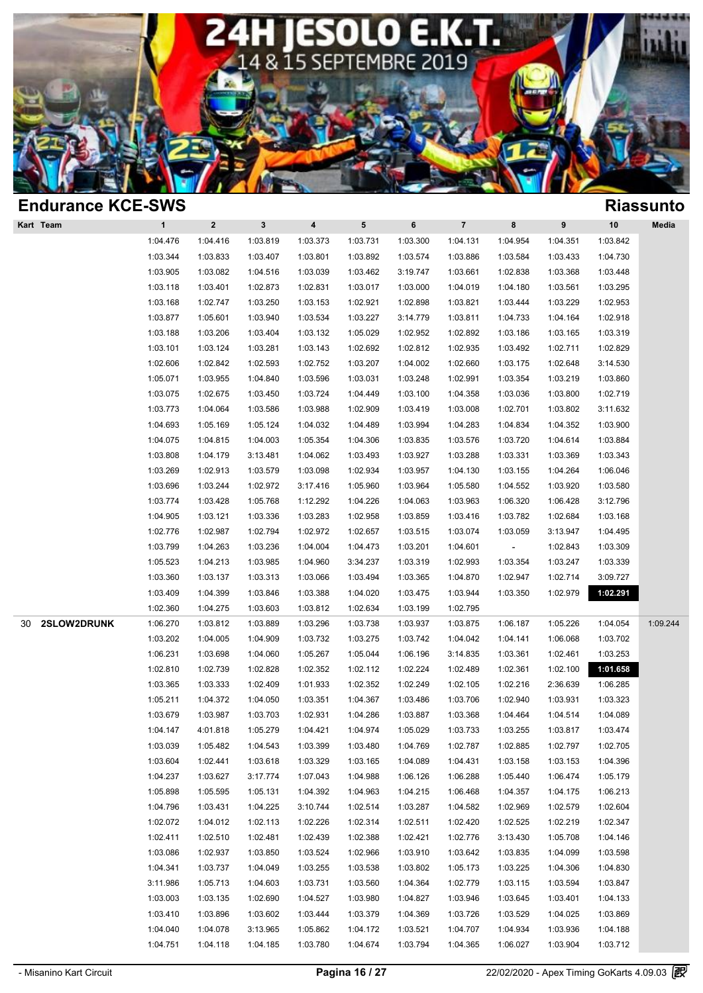

| <b>Endurance KCE-SWS</b> |              |          |             |          |           |          |                |                          |                  |          | <b>Riassunto</b> |
|--------------------------|--------------|----------|-------------|----------|-----------|----------|----------------|--------------------------|------------------|----------|------------------|
| Kart Team                | $\mathbf{1}$ | $\bf{2}$ | $\mathbf 3$ | 4        | ${\bf 5}$ | 6        | $\overline{7}$ | 8                        | $\boldsymbol{9}$ | 10       | Media            |
|                          | 1:04.476     | 1:04.416 | 1:03.819    | 1:03.373 | 1:03.731  | 1:03.300 | 1:04.131       | 1:04.954                 | 1:04.351         | 1:03.842 |                  |
|                          | 1:03.344     | 1:03.833 | 1:03.407    | 1:03.801 | 1:03.892  | 1:03.574 | 1:03.886       | 1:03.584                 | 1:03.433         | 1:04.730 |                  |
|                          | 1:03.905     | 1:03.082 | 1:04.516    | 1:03.039 | 1:03.462  | 3:19.747 | 1:03.661       | 1:02.838                 | 1:03.368         | 1:03.448 |                  |
|                          | 1:03.118     | 1:03.401 | 1:02.873    | 1:02.831 | 1:03.017  | 1:03.000 | 1:04.019       | 1:04.180                 | 1:03.561         | 1:03.295 |                  |
|                          | 1:03.168     | 1:02.747 | 1:03.250    | 1:03.153 | 1:02.921  | 1:02.898 | 1:03.821       | 1:03.444                 | 1:03.229         | 1:02.953 |                  |
|                          | 1:03.877     | 1:05.601 | 1:03.940    | 1:03.534 | 1:03.227  | 3:14.779 | 1:03.811       | 1:04.733                 | 1:04.164         | 1:02.918 |                  |
|                          | 1:03.188     | 1:03.206 | 1:03.404    | 1:03.132 | 1:05.029  | 1:02.952 | 1:02.892       | 1:03.186                 | 1:03.165         | 1:03.319 |                  |
|                          | 1:03.101     | 1:03.124 | 1:03.281    | 1:03.143 | 1:02.692  | 1:02.812 | 1:02.935       | 1:03.492                 | 1:02.711         | 1:02.829 |                  |
|                          | 1:02.606     | 1:02.842 | 1:02.593    | 1:02.752 | 1:03.207  | 1:04.002 | 1:02.660       | 1:03.175                 | 1:02.648         | 3:14.530 |                  |
|                          | 1:05.071     | 1:03.955 | 1:04.840    | 1:03.596 | 1:03.031  | 1:03.248 | 1:02.991       | 1:03.354                 | 1:03.219         | 1:03.860 |                  |
|                          | 1:03.075     | 1:02.675 | 1:03.450    | 1:03.724 | 1:04.449  | 1:03.100 | 1:04.358       | 1:03.036                 | 1:03.800         | 1:02.719 |                  |
|                          | 1:03.773     | 1:04.064 | 1:03.586    | 1:03.988 | 1:02.909  | 1:03.419 | 1:03.008       | 1:02.701                 | 1:03.802         | 3:11.632 |                  |
|                          | 1:04.693     | 1:05.169 | 1:05.124    | 1:04.032 | 1:04.489  | 1:03.994 | 1:04.283       | 1:04.834                 | 1:04.352         | 1:03.900 |                  |
|                          | 1:04.075     | 1:04.815 | 1:04.003    | 1:05.354 | 1:04.306  | 1:03.835 | 1:03.576       | 1:03.720                 | 1:04.614         | 1:03.884 |                  |
|                          | 1:03.808     | 1:04.179 | 3:13.481    | 1:04.062 | 1:03.493  | 1:03.927 | 1:03.288       | 1:03.331                 | 1:03.369         | 1:03.343 |                  |
|                          | 1:03.269     | 1:02.913 | 1:03.579    | 1:03.098 | 1:02.934  | 1:03.957 | 1:04.130       | 1:03.155                 | 1:04.264         | 1:06.046 |                  |
|                          | 1:03.696     | 1:03.244 | 1:02.972    | 3:17.416 | 1:05.960  | 1:03.964 | 1:05.580       | 1:04.552                 | 1:03.920         | 1:03.580 |                  |
|                          | 1:03.774     | 1:03.428 | 1:05.768    | 1:12.292 | 1:04.226  | 1:04.063 | 1:03.963       | 1:06.320                 | 1:06.428         | 3:12.796 |                  |
|                          | 1:04.905     | 1:03.121 | 1:03.336    | 1:03.283 | 1:02.958  | 1:03.859 | 1:03.416       | 1:03.782                 | 1:02.684         | 1:03.168 |                  |
|                          | 1:02.776     | 1:02.987 | 1:02.794    | 1:02.972 | 1:02.657  | 1:03.515 | 1:03.074       | 1:03.059                 | 3:13.947         | 1:04.495 |                  |
|                          | 1:03.799     | 1:04.263 | 1:03.236    | 1:04.004 | 1:04.473  | 1:03.201 | 1:04.601       | $\overline{\phantom{a}}$ | 1:02.843         | 1:03.309 |                  |
|                          | 1:05.523     | 1:04.213 | 1:03.985    | 1:04.960 | 3:34.237  | 1:03.319 | 1:02.993       | 1:03.354                 | 1:03.247         | 1:03.339 |                  |
|                          | 1:03.360     | 1:03.137 | 1:03.313    | 1:03.066 | 1:03.494  | 1:03.365 | 1:04.870       | 1:02.947                 | 1:02.714         | 3:09.727 |                  |
|                          | 1:03.409     | 1:04.399 | 1:03.846    | 1:03.388 | 1:04.020  | 1:03.475 | 1:03.944       | 1:03.350                 | 1:02.979         | 1:02.291 |                  |
|                          | 1:02.360     | 1:04.275 | 1:03.603    | 1:03.812 | 1:02.634  | 1:03.199 | 1:02.795       |                          |                  |          |                  |
| 2SLOW2DRUNK<br>30        | 1:06.270     | 1:03.812 | 1:03.889    | 1:03.296 | 1:03.738  | 1:03.937 | 1:03.875       | 1:06.187                 | 1:05.226         | 1:04.054 | 1:09.244         |
|                          | 1:03.202     | 1:04.005 | 1:04.909    | 1:03.732 | 1:03.275  | 1:03.742 | 1:04.042       | 1:04.141                 | 1:06.068         | 1:03.702 |                  |
|                          | 1:06.231     | 1:03.698 | 1:04.060    | 1:05.267 | 1:05.044  | 1:06.196 | 3:14.835       | 1:03.361                 | 1:02.461         | 1:03.253 |                  |
|                          | 1:02.810     | 1:02.739 | 1:02.828    | 1:02.352 | 1:02.112  | 1:02.224 | 1:02.489       | 1:02.361                 | 1:02.100         | 1:01.658 |                  |
|                          | 1:03.365     | 1:03.333 | 1:02.409    | 1:01.933 | 1:02.352  | 1:02.249 | 1:02.105       | 1:02.216                 | 2:36.639         | 1:06.285 |                  |
|                          | 1:05.211     | 1:04.372 | 1:04.050    | 1:03.351 | 1:04.367  | 1:03.486 | 1:03.706       | 1:02.940                 | 1:03.931         | 1:03.323 |                  |
|                          | 1:03.679     | 1:03.987 | 1:03.703    | 1:02.931 | 1:04.286  | 1:03.887 | 1:03.368       | 1:04.464                 | 1:04.514         | 1:04.089 |                  |
|                          | 1:04.147     | 4:01.818 | 1:05.279    | 1:04.421 | 1:04.974  | 1:05.029 | 1:03.733       | 1:03.255                 | 1:03.817         | 1:03.474 |                  |
|                          | 1:03.039     | 1:05.482 | 1:04.543    | 1:03.399 | 1:03.480  | 1:04.769 | 1:02.787       | 1:02.885                 | 1:02.797         | 1:02.705 |                  |
|                          | 1:03.604     | 1:02.441 | 1:03.618    | 1:03.329 | 1:03.165  | 1:04.089 | 1:04.431       | 1:03.158                 | 1:03.153         | 1:04.396 |                  |
|                          | 1:04.237     | 1:03.627 | 3:17.774    | 1:07.043 | 1:04.988  | 1:06.126 | 1:06.288       | 1:05.440                 | 1:06.474         | 1:05.179 |                  |
|                          | 1:05.898     | 1:05.595 | 1:05.131    | 1:04.392 | 1:04.963  | 1:04.215 | 1:06.468       | 1:04.357                 | 1:04.175         | 1:06.213 |                  |
|                          | 1:04.796     | 1:03.431 | 1:04.225    | 3:10.744 | 1:02.514  | 1:03.287 | 1:04.582       | 1:02.969                 | 1:02.579         | 1:02.604 |                  |
|                          | 1:02.072     | 1:04.012 | 1:02.113    | 1:02.226 | 1:02.314  | 1:02.511 | 1:02.420       | 1:02.525                 | 1:02.219         | 1:02.347 |                  |
|                          | 1:02.411     | 1:02.510 | 1:02.481    | 1:02.439 | 1:02.388  | 1:02.421 | 1:02.776       | 3:13.430                 | 1:05.708         | 1:04.146 |                  |
|                          | 1:03.086     | 1:02.937 | 1:03.850    | 1:03.524 | 1:02.966  | 1:03.910 | 1:03.642       | 1:03.835                 | 1:04.099         | 1:03.598 |                  |
|                          | 1:04.341     | 1:03.737 | 1:04.049    | 1:03.255 | 1:03.538  | 1:03.802 | 1:05.173       | 1:03.225                 | 1:04.306         | 1:04.830 |                  |
|                          | 3:11.986     | 1:05.713 | 1:04.603    | 1:03.731 | 1:03.560  | 1:04.364 | 1:02.779       | 1:03.115                 | 1:03.594         | 1:03.847 |                  |
|                          | 1:03.003     | 1:03.135 | 1:02.690    | 1:04.527 | 1:03.980  | 1:04.827 | 1:03.946       | 1:03.645                 | 1:03.401         | 1:04.133 |                  |
|                          | 1:03.410     | 1:03.896 | 1:03.602    | 1:03.444 | 1:03.379  | 1:04.369 | 1:03.726       | 1:03.529                 | 1:04.025         | 1:03.869 |                  |
|                          | 1:04.040     | 1:04.078 | 3:13.965    | 1:05.862 | 1:04.172  | 1:03.521 | 1:04.707       | 1:04.934                 | 1:03.936         | 1:04.188 |                  |
|                          |              |          |             |          |           |          |                |                          |                  |          |                  |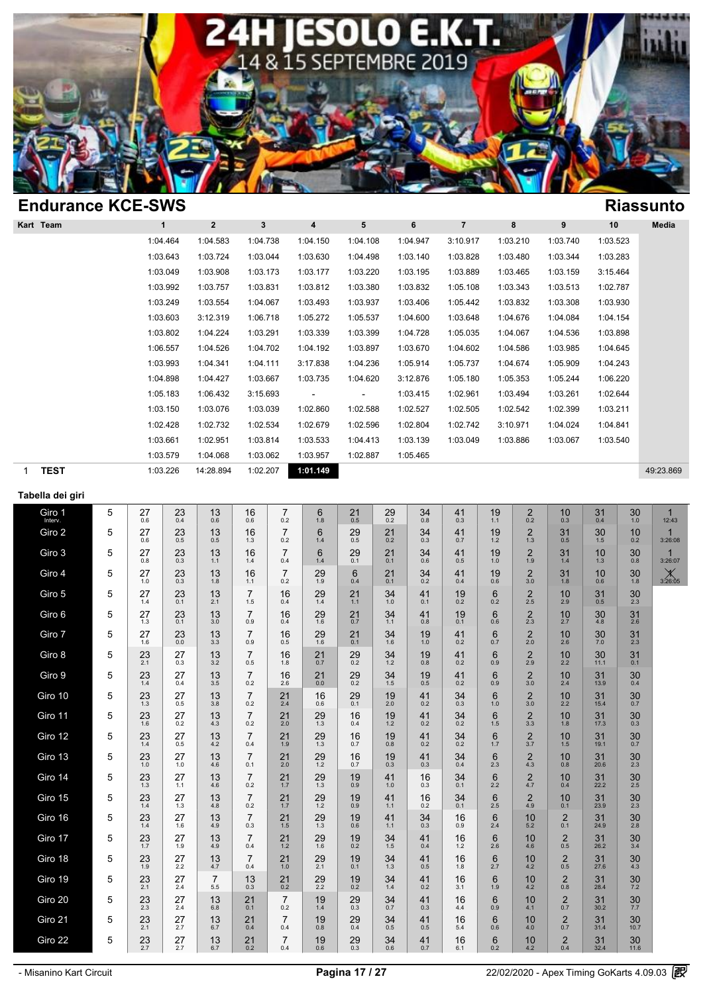

| <b>Endurance KCE-SWS</b> |          |                |              |                          |          |          |                |          |          |          | <b>Riassunto</b> |
|--------------------------|----------|----------------|--------------|--------------------------|----------|----------|----------------|----------|----------|----------|------------------|
| Kart Team                | 1        | $\overline{2}$ | $\mathbf{3}$ | 4                        | 5        | 6        | $\overline{7}$ | 8        | 9        | 10       | Media            |
|                          | 1:04.464 | 1:04.583       | 1:04.738     | 1:04.150                 | 1:04.108 | 1:04.947 | 3:10.917       | 1:03.210 | 1:03.740 | 1:03.523 |                  |
|                          | 1:03.643 | 1:03.724       | 1:03.044     | 1:03.630                 | 1:04.498 | 1:03.140 | 1:03.828       | 1:03.480 | 1:03.344 | 1:03.283 |                  |
|                          | 1:03.049 | 1:03.908       | 1:03.173     | 1:03.177                 | 1:03.220 | 1:03.195 | 1:03.889       | 1:03.465 | 1:03.159 | 3:15.464 |                  |
|                          | 1:03.992 | 1:03.757       | 1:03.831     | 1:03.812                 | 1:03.380 | 1:03.832 | 1:05.108       | 1:03.343 | 1:03.513 | 1:02.787 |                  |
|                          | 1:03.249 | 1:03.554       | 1:04.067     | 1:03.493                 | 1:03.937 | 1:03.406 | 1:05.442       | 1:03.832 | 1:03.308 | 1:03.930 |                  |
|                          | 1:03.603 | 3:12.319       | 1:06.718     | 1:05.272                 | 1:05.537 | 1:04.600 | 1:03.648       | 1:04.676 | 1:04.084 | 1:04.154 |                  |
|                          | 1:03.802 | 1:04.224       | 1:03.291     | 1:03.339                 | 1:03.399 | 1:04.728 | 1:05.035       | 1:04.067 | 1:04.536 | 1:03.898 |                  |
|                          | 1:06.557 | 1:04.526       | 1:04.702     | 1:04.192                 | 1:03.897 | 1:03.670 | 1:04.602       | 1:04.586 | 1:03.985 | 1:04.645 |                  |
|                          | 1:03.993 | 1:04.341       | 1:04.111     | 3:17.838                 | 1:04.236 | 1:05.914 | 1:05.737       | 1:04.674 | 1:05.909 | 1:04.243 |                  |
|                          | 1:04.898 | 1:04.427       | 1:03.667     | 1:03.735                 | 1:04.620 | 3:12.876 | 1:05.180       | 1:05.353 | 1:05.244 | 1:06.220 |                  |
|                          | 1:05.183 | 1:06.432       | 3:15.693     | $\overline{\phantom{a}}$ | ٠        | 1:03.415 | 1:02.961       | 1:03.494 | 1:03.261 | 1:02.644 |                  |
|                          | 1:03.150 | 1:03.076       | 1:03.039     | 1:02.860                 | 1:02.588 | 1:02.527 | 1:02.505       | 1:02.542 | 1:02.399 | 1:03.211 |                  |
|                          | 1:02.428 | 1:02.732       | 1:02.534     | 1:02.679                 | 1:02.596 | 1:02.804 | 1:02.742       | 3:10.971 | 1:04.024 | 1:04.841 |                  |
|                          | 1:03.661 | 1:02.951       | 1:03.814     | 1:03.533                 | 1:04.413 | 1:03.139 | 1:03.049       | 1:03.886 | 1:03.067 | 1:03.540 |                  |
|                          | 1:03.579 | 1:04.068       | 1:03.062     | 1:03.957                 | 1:02.887 | 1:05.465 |                |          |          |          |                  |
| <b>TEST</b><br>1         | 1:03.226 | 14:28.894      | 1:02.207     | 1:01.149                 |          |          |                |          |          |          | 49:23.869        |

### **Tabella dei giri**

| Giro 1<br>Interv. | 5 | 27<br>0.6 | 23<br>0.4     | 13<br>0.6 | 16<br>0.6             | $\overline{7}$<br>0.2 | 6<br>1.8  | $^{21}_{0.5}$ | $^{29}_{0.2}$ | $34_{0.8}$ | 41<br>0.3 | 19<br>1.1 | $^{2}_{0.2}$          | 10<br>0.3             | 31<br>0.4  | 30 <sub>1.0</sub>  | $\mathbf{1}$<br>12:43   |  |
|-------------------|---|-----------|---------------|-----------|-----------------------|-----------------------|-----------|---------------|---------------|------------|-----------|-----------|-----------------------|-----------------------|------------|--------------------|-------------------------|--|
| Giro 2            | 5 | 27<br>0.6 | 23<br>0.5     | 13<br>0.5 | 16<br>1.3             | $\overline{7}$<br>0.2 | 6<br>1.4  | 29<br>0.5     | 21<br>0.2     | 34<br>0.3  | 41<br>0.7 | 19<br>1.2 | $\overline{2}$<br>1.3 | 31<br>0.5             | 30<br>1.5  | 10<br>0.2          | $\mathbf{1}$<br>3:26:08 |  |
| Giro 3            | 5 | 27<br>0.8 | 23<br>0.3     | 13<br>1.1 | 16<br>1.4             | $\overline{7}$<br>0.4 | 6<br>1.4  | 29<br>0.1     | 21<br>0.1     | 34<br>0.6  | 41<br>0.5 | 19<br>1.0 | $\overline{2}$<br>1.9 | 31<br>1.4             | 10<br>1.3  | 30<br>0.8          | $\mathbf{1}$<br>3:26:07 |  |
| Giro 4            | 5 | 27<br>1.0 | 23<br>0.3     | 13<br>1.8 | 16<br>1.1             | 7<br>0.2              | 29<br>1.9 | 6<br>0.4      | 21<br>0.1     | 34<br>0.2  | 41<br>0.4 | 19<br>0.6 | $\overline{2}$<br>3.0 | 31<br>1.8             | 10<br>0.6  | 30<br>1.8          | 3:26:05                 |  |
| Giro 5            | 5 | 27<br>1.4 | 23<br>0.1     | 13<br>2.1 | 7<br>1.5              | 16<br>0.4             | 29<br>1.4 | 21<br>1.1     | 34<br>1.0     | 41<br>0.1  | 19<br>0.2 | 6<br>0.2  | $\overline{2}$<br>2.5 | 10<br>2.9             | 31<br>0.5  | 30<br>2.3          |                         |  |
| Giro 6            | 5 | 27<br>1.3 | 23<br>0.1     | 13<br>3.0 | 7<br>0.9              | 16<br>0.4             | 29<br>1.6 | 21<br>0.7     | 34<br>1.1     | 41<br>0.8  | 19<br>0.1 | 6<br>0.6  | $\overline{2}$<br>2.3 | 10<br>2.7             | 30<br>4.8  | 31<br>2.6          |                         |  |
| Giro 7            | 5 | 27<br>1.6 | 23<br>0.0     | 13<br>3.3 | 7<br>0.9              | 16<br>0.5             | 29<br>1.6 | 21<br>0.1     | 34<br>1.6     | 19<br>1.0  | 41<br>0.2 | 6<br>0.7  | $\overline{2}$<br>2.0 | 10<br>2.6             | 30<br>7.0  | 31<br>2.3          |                         |  |
| Giro 8            | 5 | 23<br>2.1 | 27<br>0.3     | 13<br>3.2 | $\overline{7}$<br>0.5 | 16<br>1.8             | 21<br>0.7 | 29<br>0.2     | 34<br>1.2     | 19<br>0.8  | 41<br>0.2 | 6<br>0.9  | $\overline{2}$<br>2.9 | 10<br>2.2             | 30<br>11.1 | 31<br>0.1          |                         |  |
| Giro 9            | 5 | 23<br>1.4 | 27<br>0.4     | 13<br>3.5 | $\overline{7}$<br>0.2 | 16<br>2.6             | 21<br>0.0 | 29<br>0.2     | 34<br>1.5     | 19<br>0.5  | 41<br>0.2 | 6<br>0.9  | $\overline{2}$<br>3.0 | 10<br>2.4             | 31<br>13.9 | 30<br>0.4          |                         |  |
| Giro 10           | 5 | 23<br>1.3 | 27<br>0.5     | 13<br>3.8 | 7<br>0.2              | 21<br>2.4             | 16<br>0.6 | 29<br>0.1     | 19<br>2.0     | 41<br>0.2  | 34<br>0.3 | 6<br>1.0  | $\overline{2}$<br>3.0 | 10<br>2.2             | 31<br>15.4 | 30<br>0.7          |                         |  |
| Giro 11           | 5 | 23<br>1.6 | $^{27}_{0.2}$ | 13<br>4.3 | 7<br>0.2              | 21<br>2.0             | 29<br>1.3 | 16<br>0.4     | 19<br>1.2     | 41<br>0.2  | 34<br>0.2 | 6<br>1.5  | $\frac{2}{3.3}$       | 10<br>1.8             | 31<br>17.3 | $30_{0.3}$         |                         |  |
| Giro 12           | 5 | 23<br>1.4 | 27<br>0.5     | 13<br>4.2 | 7<br>0.4              | 21<br>1.9             | 29<br>1.3 | 16<br>0.7     | 19<br>0.8     | 41<br>0.2  | 34<br>0.2 | 6<br>1.7  | $\overline{2}$<br>3.7 | 10<br>1.5             | 31<br>19.1 | 30<br>0.7          |                         |  |
| Giro 13           | 5 | 23<br>1.0 | 27<br>1.0     | 13<br>4.6 | 7<br>0.1              | 21<br>2.0             | 29<br>1.2 | 16<br>0.7     | 19<br>0.3     | 41<br>0.3  | 34<br>0.4 | 6<br>2.3  | $\overline{2}$<br>4.3 | 10<br>0.8             | 31<br>20.6 | 30<br>2.3          |                         |  |
| Giro 14           | 5 | 23<br>1.3 | 27<br>1.1     | 13<br>4.6 | 7<br>0.2              | 21<br>1.7             | 29<br>1.3 | 19<br>0.9     | 41<br>1.0     | 16<br>0.3  | 34<br>0.1 | 6<br>2.2  | $\overline{2}$<br>4.7 | 10<br>0.4             | 31<br>22.2 | 30<br>2.5          |                         |  |
| Giro 15           | 5 | 23<br>1.4 | 27<br>1.3     | 13<br>4.8 | 7<br>0.2              | 21<br>1.7             | 29<br>1.2 | 19<br>0.9     | 41<br>1.1     | 16<br>0.2  | 34<br>0.1 | 6<br>2.5  | $\overline{2}$<br>4.9 | 10<br>0.1             | 31<br>23.9 | 30<br>2.3          |                         |  |
| Giro 16           | 5 | 23<br>1.4 | 27<br>1.6     | 13<br>4.9 | $\overline{7}$<br>0.3 | 21<br>1.5             | 29<br>1.3 | 19<br>0.6     | 41<br>1.1     | 34<br>0.3  | 16<br>0.9 | 6<br>2.4  | 10<br>5.2             | $\overline{2}$<br>0.1 | 31<br>24.9 | 30<br>2.8          |                         |  |
| Giro 17           | 5 | 23<br>1.7 | 27<br>1.9     | 13<br>4.9 | 7<br>0.4              | 21<br>1.2             | 29<br>1.6 | 19<br>0.2     | 34<br>1.5     | 41<br>0.4  | 16<br>1.2 | 6<br>2.6  | 10<br>4.6             | $\overline{2}$<br>0.5 | 31<br>26.2 | 30<br>3.4          |                         |  |
| Giro 18           | 5 | 23<br>1.9 | 27<br>2.2     | 13<br>4.7 | 7<br>0.4              | 21<br>1.0             | 29<br>2.1 | 19<br>0.1     | 34<br>1.3     | 41<br>0.5  | 16<br>1.8 | 6<br>2.7  | 10<br>4.2             | $\overline{2}$<br>0.5 | 31<br>27.6 | 30<br>4.3          |                         |  |
| Giro 19           | 5 | 23<br>2.1 | 27<br>2.4     | 7<br>5.5  | 13<br>0.3             | 21<br>0.2             | 29<br>2.2 | 19<br>0.2     | 34<br>1.4     | 41<br>0.2  | 16<br>3.1 | 6<br>1.9  | 10<br>4.2             | $\overline{2}$<br>0.8 | 31<br>28.4 | 30<br>7.2          |                         |  |
| Giro 20           | 5 | 23<br>2.3 | 27<br>2.4     | 13<br>6.8 | 21<br>0.1             | 7<br>0.2              | 19<br>1.4 | $^{29}_{0.3}$ | 34<br>0.7     | 41<br>0.3  | 16<br>4.4 | 6<br>0.9  | 10<br>4.1             | $\overline{2}$<br>0.7 | 31<br>30.2 | 30<br>7.7          |                         |  |
| Giro 21           | 5 | 23<br>2.1 | 27<br>2.7     | 13<br>6.7 | 21<br>0.4             | $\overline{7}$<br>0.4 | 19<br>0.8 | $^{29}_{0.4}$ | 34<br>0.5     | 41<br>0.5  | 16<br>5.4 | 6<br>0.6  | 10<br>4.0             | $\overline{2}$<br>0.7 | 31<br>31.4 | 30 <sub>10.7</sub> |                         |  |
| Giro 22           | 5 | 23<br>2.7 | 27<br>2.7     | 13<br>6.7 | 21<br>0.2             | 7<br>0.4              | 19<br>0.6 | 29<br>0.3     | 34<br>0.6     | 41<br>0.7  | 16<br>6.1 | 6<br>0.2  | 10<br>4.2             | $\overline{2}$<br>0.4 | 31<br>32.4 | 30<br>11.6         |                         |  |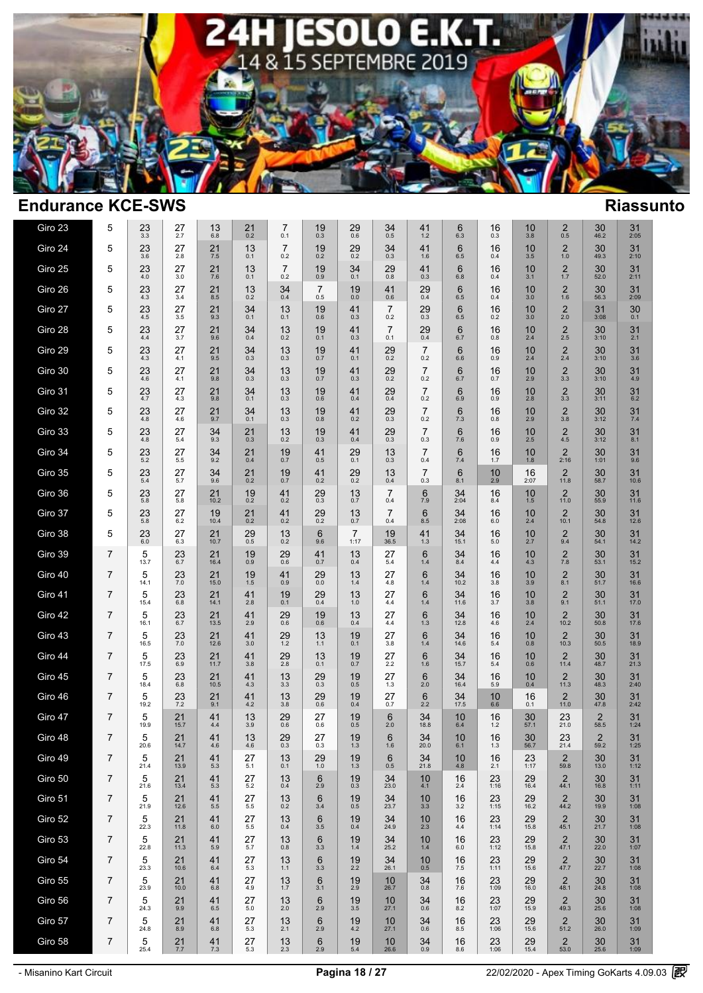

| Giro 23 | 5              | $^{23}_{3.3}$       | 27<br>2.7      | 13<br>$6.\overline{8}$ | $^{21}_{0.2}$       | 7<br>0.1              | 19<br>0.3              | 29<br>$0.6\,$          | 34<br>0.5             | 41<br>1.2             | 6<br>6.3                  | 16<br>0.3     | 10<br>3.8        | $\overline{c}$<br>0.5           | 30<br>46.2             | 31<br>2:05       |  |
|---------|----------------|---------------------|----------------|------------------------|---------------------|-----------------------|------------------------|------------------------|-----------------------|-----------------------|---------------------------|---------------|------------------|---------------------------------|------------------------|------------------|--|
| Giro 24 | 5              | 23<br>3.6           | 27<br>2.8      | 21<br>7.5              | 13<br>0.1           | $\overline{7}$<br>0.2 | 19<br>0.2              | 29<br>0.2              | 34<br>0.3             | 41<br>1.6             | 6<br>6.5                  | 16<br>0.4     | 10<br>3.5        | $\overline{2}$<br>1.0           | 30<br>49.3             | 31<br>2:10       |  |
| Giro 25 | 5              | 23<br>4.0           | 27<br>3.0      | 21<br>7.6              | 13<br>0.1           | $\overline{7}$<br>0.2 | 19<br>0.9              | 34<br>0.1              | 29<br>0.8             | 41<br>0.3             | 6<br>$6.8\,$              | 16<br>0.4     | 10<br>3.1        | $\overline{2}$<br>1.7           | 30<br>52.0             | 31<br>2:11       |  |
| Giro 26 | 5              | 23<br>4.3           | 27<br>3.4      | 21<br>8.5              | 13<br>0.2           | 34<br>0.4             | $\overline{7}$<br>0.5  | 19<br>$0.0\,$          | 41<br>0.6             | 29<br>0.4             | 6<br>6.5                  | 16<br>0.4     | 10<br>3.0        | $\overline{2}$<br>1.6           | 30<br>56.3             | 31<br>2:09       |  |
| Giro 27 | 5              | 23<br>4.5           | 27<br>3.5      | 21<br>9.3              | 34<br>0.1           | 13<br>0.1             | 19<br>$0.6\,$          | 41<br>0.3              | $\overline{7}$<br>0.2 | $^{29}_{0.3}$         | $6\phantom{1}$<br>$6.5\,$ | 16<br>0.2     | 10<br>3.0        | $\overline{2}$<br>2.0           | 31<br>3:08             | 30<br>0.1        |  |
| Giro 28 | 5              | 23<br>4.4           | 27<br>3.7      | 21<br>9.6              | 34<br>0.4           | 13<br>0.2             | 19<br>0.1              | 41<br>0.3              | $\overline{7}$<br>0.1 | 29<br>$0.4\,$         | 6<br>6.7                  | 16<br>0.8     | 10<br>2.4        | $\overline{2}$<br>2.5           | 30<br>3:10             | 31<br>2.1        |  |
| Giro 29 | 5              | 23<br>4.3           | 27<br>4.1      | 21<br>9.5              | 34<br>0.3           | 13<br>0.3             | 19<br>0.7              | 41<br>0.1              | 29<br>0.2             | $\overline{7}$<br>0.2 | $6\phantom{1}$<br>6.6     | 16<br>0.9     | 10<br>2.4        | $\frac{2}{2.4}$                 | 30<br>3:10             | 31<br>3.6        |  |
| Giro 30 | 5              | 23<br>4.6           | 27<br>4.1      | 21<br>9.8              | 34<br>0.3           | 13<br>0.3             | 19<br>0.7              | 41<br>0.3              | 29<br>0.2             | 7<br>0.2              | $\,6$<br>6.7              | 16<br>0.7     | 10<br>2.9        | $\frac{2}{3.3}$                 | 30<br>3:10             | 31<br>4.9        |  |
| Giro 31 | 5              | $^{23}_{4.7}$       | $^{27}_{4.3}$  | $^{21}_{9.8}$          | $34_{0.1}$          | $13_{0.3}$            | $^{19}_{0.6}$          | $^{41}_{0.4}$          | $^{29}_{0.4}$         | $\overline{7}$<br>0.2 | 6.96                      | $^{16}_{0.9}$ | $10_{2.8}$       | $\frac{2}{3.3}$                 | $30\n3:11$             | $31_{6.2}$       |  |
| Giro 32 | 5              | $^{23}_{4.8}$       | 27<br>4.6      | $^{21}_{9.7}$          | $34_{0.1}$          | 13<br>0.3             | 19<br>$0.8\,$          | $^{41}_{0.2}$          | $^{29}_{0.3}$         | $\overline{7}$<br>0.2 | $6 \over 7.3$             | 16<br>0.8     | 10<br>2.9        | $\frac{2}{3.8}$                 | $30\n3:12$             | $\frac{31}{7.4}$ |  |
| Giro 33 | 5              | 23<br>4.8           | 27<br>5.4      | 34<br>9.3              | 21<br>0.3           | 13<br>0.2             | 19<br>0.3              | 41<br>0.4              | 29<br>0.3             | $\overline{7}$<br>0.3 | $6\phantom{1}$<br>7.6     | 16<br>0.9     | 10<br>2.5        | $\overline{2}$<br>4.5           | 30<br>3:12             | 31<br>8.1        |  |
| Giro 34 | 5              | 23<br>5.2           | 27<br>5.5      | 34<br>9.2              | 21<br>0.4           | 19<br>0.7             | 41<br>0.5              | 29<br>0.1              | 13<br>0.3             | 7<br>0.4              | $6\phantom{1}$<br>7.4     | 16<br>1.7     | 10<br>1.8        | $\overline{2}$<br>2:16          | 30<br>1:01             | 31<br>9.6        |  |
| Giro 35 | 5              | 23<br>5.4           | 27<br>5.7      | 34<br>9.6              | 21<br>0.2           | 19<br>0.7             | 41<br>0.2              | 29<br>0.2              | 13<br>0.4             | $\overline{7}$<br>0.3 | 6<br>8.1                  | 10<br>2.9     | 16<br>2:07       | $\overline{2}$<br>11.8          | 30<br>58.7             | 31<br>10.6       |  |
| Giro 36 | 5              | 23<br>5.8           | 27<br>5.8      | 21<br>10.2             | 19<br>0.2           | 41<br>0.2             | 29<br>0.3              | 13<br>0.7              | $\overline{7}$<br>0.4 | 6<br>7.9              | 34<br>2:04                | 16<br>8.4     | 10<br>1.5        | $\overline{2}$<br>11.0          | 30<br>55.9             | 31<br>11.6       |  |
| Giro 37 | 5              | 23<br>5.8           | 27<br>6.2      | 19<br>10.4             | 21<br>0.2           | 41<br>0.2             | 29<br>0.2              | 13<br>0.7              | $\overline{7}$<br>0.4 | 6<br>8.5              | 34<br>2:08                | 16<br>6.0     | 10<br>2.4        | $\overline{2}$<br>10.1          | 30<br>54.8             | 31<br>12.6       |  |
| Giro 38 | 5              | 23<br>$6.0\,$       | 27<br>6.3      | 21<br>10.7             | 29<br>0.5           | 13<br>0.2             | 6<br>9.6               | $\overline{7}$<br>1:17 | 19<br>36.5            | 41<br>1.3             | 34<br>15.1                | 16<br>$5.0$   | 10<br>2.7        | $^{2}_{9.4}$                    | 30<br>54.1             | 31<br>14.2       |  |
| Giro 39 | 7              | 5<br>13.7           | 23<br>6.7      | 21<br>16.4             | 19<br>0.9           | $^{29}_{0.6}$         | 41<br>0.7              | 13<br>0.4              | 27<br>5.4             | 6<br>$1.4$            | 34<br>8.4                 | 16<br>4.4     | 10<br>4.3        | $\frac{2}{7.8}$                 | 30<br>53.1             | $31$<br>15.2     |  |
| Giro 40 | $\overline{7}$ | 5<br>14.1           | 23<br>$7.0\,$  | 21<br>15.0             | 19<br>$1.5$         | 41<br>0.9             | 29<br>$0.0\,$          | 13<br>$1.4\,$          | 27<br>4.8             | 6<br>$1.4$            | 34<br>10.2                | 16<br>3.8     | 10<br>3.9        | $\overline{2}$<br>8.1           | 30<br>51.7             | 31<br>16.6       |  |
| Giro 41 | 7              | 5<br>15.4           | $^{23}_{6.8}$  | 21<br>14.1             | $41$ <sub>2.8</sub> | 19<br>0.1             | $^{29}_{0.4}$          | $13 \atop 1.0$         | 27<br>4.4             | 6<br>1.4              | $34$<br>11.6              | 16<br>3.7     | $\frac{10}{3.8}$ | $^{2}_{9.1}$                    | $30$ <sub>51.1</sub>   | $31$<br>17.0     |  |
| Giro 42 | $\overline{7}$ | 5<br>16.1           | $23 \atop 6.7$ | $21$<br>$13.5$         | 41<br>2.9           | $^{29}_{0.6}$         | 19<br>$0.\overline{6}$ | 13<br>0.4              | 27<br>4.4             | 6<br>1.3              | 34<br>12.8                | 16<br>4.6     | 10<br>2.4        | $\overline{2}$<br>10.2          | 30<br>50.8             | $31$<br>17.6     |  |
| Giro 43 | 7              | 5<br>16.5           | 23<br>$7.0\,$  | 21<br>12.6             | 41<br>3.0           | 29<br>1.2             | 13<br>1.1              | 19<br>0.1              | 27<br>3.8             | 6<br>1.4              | 34<br>14.6                | 16<br>$5.4$   | 10<br>0.8        | $\overline{\mathbf{c}}$<br>10.3 | 30<br>50.5             | 31<br>18.9       |  |
| Giro 44 | 7              | 5<br>17.5           | 23<br>6.9      | 21<br>11.7             | 41<br>3.8           | 29<br>2.8             | 13<br>0.1              | 19<br>0.7              | 27<br>$2.2\,$         | 6<br>1.6              | 34<br>15.7                | 16<br>5.4     | 10<br>0.6        | $\overline{2}$<br>11.4          | 30<br>48.7             | 31<br>21.3       |  |
| Giro 45 | 7              | 5<br>18.4           | 23<br>$6.8\,$  | 21<br>10.5             | 41<br>4.3           | 13<br>3.3             | 29<br>0.3              | 19<br>0.5              | 27<br>1.3             | 6<br>2.0              | 34<br>16.4                | 16<br>5.9     | 10<br>0.4        | 2<br>11.3                       | 30<br>48.3             | 31<br>2:40       |  |
| Giro 46 | $\overline{7}$ | 5<br>19.2           | 23<br>7.2      | 21<br>9.1              | 41<br>4.2           | 13<br>3.8             | 29<br>0.6              | 19<br>0.4              | 27<br>0.7             | 6<br>2.2              | 34<br>17.5                | 10<br>6.6     | 16<br>0.1        | $\overline{2}$<br>11.0          | 30<br>47.8             | 31<br>2:42       |  |
| Giro 47 | 7              | 5<br>19.9           | 21<br>15.7     | 41<br>4.4              | 13<br>3.9           | 29<br>0.6             | 27<br>0.6              | 19<br>0.5              | 6<br>2.0              | 34<br>18.8            | 10<br>6.4                 | 16<br>1.2     | 30<br>57.1       | 23<br>21.0                      | $\overline{2}$<br>58.5 | 31<br>1:24       |  |
| Giro 48 | 7              | 5<br>20.6           | 21<br>14.7     | 41<br>4.6              | 13<br>4.6           | 29<br>0.3             | 27<br>0.3              | 19<br>1.3              | 6<br>1.6              | 34<br>20.0            | 10<br>6.1                 | 16<br>1.3     | 30<br>56.7       | 23<br>21.4                      | $\overline{2}$<br>59.2 | 31<br>1:25       |  |
| Giro 49 | 7              | 5<br>21.4           | 21<br>13.9     | 41<br>5.3              | 27<br>5.1           | 13<br>0.1             | 29<br>$1.0$            | 19<br>$1.3$            | 6<br>0.5              | 34<br>21.8            | $\frac{10}{4.8}$          | 16<br>2.1     | 23<br>1:17       | $\overline{c}$<br>59.8          | $30$ <sub>13.0</sub>   | $31$<br>1:12     |  |
| Giro 50 | 7              | 5<br>21.6           | 21<br>13.4     | 41<br>5.3              | 27<br>5.2           | 13<br>0.4             | $6\phantom{1}6$<br>2.9 | 19<br>0.3              | 34<br>23.0            | 10<br>4.1             | 16<br>2.4                 | 23<br>1:16    | 29<br>16.4       | $\overline{2}$<br>44.1          | 30<br>16.8             | 31<br>1:11       |  |
| Giro 51 | 7              | 5<br>21.9           | $21$<br>12.6   | 41<br>5.5              | 27<br>5.5           | $13_{0.2}$            | $6\phantom{1}6$<br>3.4 | 19<br>0.5              | $34$<br>$23.7$        | 10<br>3.3             | 16<br>3.2                 | $23$<br>1:15  | $29$<br>16.2     | $^{2}_{44.2}$                   | $30$<br>19.9           | $31$<br>1:08     |  |
| Giro 52 | 7              | 5<br>22.3           | 21<br>11.8     | 41<br>6.0              | 27<br>5.5           | 13<br>0.4             | $6\phantom{1}6$<br>3.5 | 19<br>0.4              | 34<br>24.9            | 10<br>2.3             | 16<br>4.4                 | 23<br>1:14    | 29<br>15.8       | $\overline{2}$<br>45.1          | 30<br>21.7             | 31<br>1:08       |  |
| Giro 53 | 7              | 5<br>22.8           | 21<br>11.3     | 41<br>5.9              | 27<br>5.7           | 13<br>0.8             | $6\phantom{1}6$<br>3.3 | 19<br>$1.4$            | 34<br>25.2            | 10<br>$1.4$           | 16<br>6.0                 | 23<br>1:12    | 29<br>15.8       | $\overline{2}$<br>47.1          | 30<br>22.0             | 31<br>1:07       |  |
| Giro 54 | 7              | 5<br>23.3           | 21<br>10.6     | 41<br>6.4              | 27<br>5.3           | 13<br>1.1             | $6\phantom{1}6$<br>3.3 | 19<br>2.2              | 34<br>26.1            | 10<br>0.5             | 16<br>7.5                 | 23<br>1:11    | 29<br>15.6       | $\overline{2}$<br>47.7          | 30<br>22.7             | 31<br>1:08       |  |
| Giro 55 | 7              | 5<br>23.9           | 21<br>10.0     | 41<br>6.8              | 27<br>4.9           | 13<br>1.7             | $\,6$<br>3.1           | 19<br>2.9              | 10<br>26.7            | 34<br>0.8             | 16<br>$7.6\,$             | 23<br>1:09    | 29<br>16.0       | $\overline{2}$<br>48.1          | 30<br>24.8             | 31<br>1:08       |  |
| Giro 56 | 7              | 5<br>24.3           | 21<br>9.9      | 41<br>6.5              | 27<br>5.0           | 13<br>2.0             | $\,6$<br>2.9           | 19<br>3.5              | 10<br>27.1            | $34 \atop 0.6$        | 16<br>8.2                 | 23<br>1:07    | 29<br>15.9       | $^{2}_{49.3}$                   | 30<br>25.6             | 31<br>1:08       |  |
| Giro 57 | 7              | 5<br>24.8           | 21<br>8.9      | 41<br>6.8              | 27<br>5.3           | 13<br>2.1             | $6\phantom{1}6$<br>2.9 | 19<br>$4.2\,$          | 10<br>27.1            | 34<br>0.6             | 16<br>8.5                 | 23<br>1:06    | 29<br>15.6       | $\overline{2}$<br>51.2          | 30<br>26.0             | 31<br>1:09       |  |
| Giro 58 | $\overline{7}$ | $\,$ 5 $\,$<br>25.4 | 21<br>7.7      | 41<br>$7.3\,$          | 27<br>$5.3\,$       | $13 \atop 2.3$        | $6 \atop 2.9$          | $19_{5.4}$             | $10$<br>26.6          | $34_{0.9}$            | $\frac{16}{8.6}$          | $23$<br>1:06  | $29$<br>15.4     | $\frac{2}{53.0}$                | 30<br>25.6             | $31$<br>1:09     |  |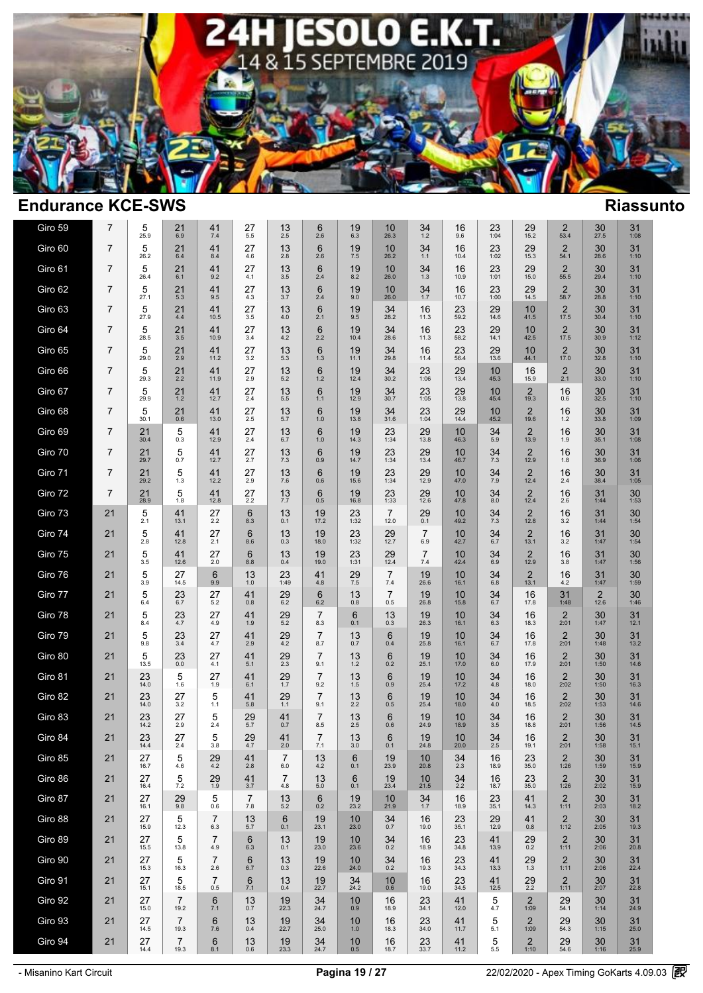

| Giro 59 | $\overline{7}$ | 5<br>25.9  | 21<br>6.9                | 41<br>7.4              | 27<br>5.5                 | 13<br>2.5                 | 6<br>2.6                   | 19<br>6.3            | 10<br>26.3             | 34<br>1.2             | 16<br>9.6       | 23<br>1:04           | 29<br>15.2             | 2<br>53.4                       | 30<br>27.5           | 31<br>1:08           |  |
|---------|----------------|------------|--------------------------|------------------------|---------------------------|---------------------------|----------------------------|----------------------|------------------------|-----------------------|-----------------|----------------------|------------------------|---------------------------------|----------------------|----------------------|--|
| Giro 60 | $\overline{7}$ | 5<br>26.2  | 21<br>6.4                | 41<br>8.4              | 27<br>4.6                 | 13<br>2.8                 | $6\phantom{1}6$<br>2.6     | 19<br>$7.5\,$        | 10<br>26.2             | 34<br>1.1             | 16<br>10.4      | 23<br>1:02           | 29<br>15.3             | $\overline{2}$<br>54.1          | 30<br>28.6           | 31<br>1:10           |  |
| Giro 61 | 7              | 5<br>26.4  | 21<br>6.1                | 41<br>9.2              | 27<br>4.1                 | 13<br>3.5                 | $6\phantom{1}$<br>2.4      | 19<br>8.2            | 10<br>26.0             | 34<br>1.3             | 16<br>10.9      | 23<br>1:01           | 29<br>15.0             | 2<br>55.5                       | 30<br>29.4           | 31<br>1:10           |  |
| Giro 62 | 7              | 5<br>27.1  | 21<br>5.3                | 41<br>9.5              | 27<br>4.3                 | 13<br>3.7                 | $6\phantom{1}6$<br>$2.4\,$ | 19<br>9.0            | 10<br>26.0             | 34<br>$1.7$           | 16<br>10.7      | 23<br>1:00           | 29<br>14.5             | $\overline{2}$<br>58.7          | 30<br>28.8           | 31<br>1:10           |  |
| Giro 63 | $\overline{7}$ | 5<br>27.9  | 21<br>4.4                | 41<br>10.5             | 27<br>3.5                 | 13<br>4.0                 | $6\phantom{1}6$<br>2.1     | 19<br>9.5            | 34<br>28.2             | 16<br>11.3            | 23<br>59.2      | 29<br>14.6           | 10<br>41.5             | $\overline{2}$<br>17.5          | 30<br>30.4           | 31<br>1:10           |  |
| Giro 64 | 7              | 5<br>28.5  | 21<br>3.5                | 41<br>10.9             | 27<br>3.4                 | 13<br>4.2                 | $\,6$<br>2.2               | 19<br>10.4           | 34<br>28.6             | 16<br>11.3            | 23<br>58.2      | 29<br>14.1           | 10<br>42.5             | $\overline{2}$<br>17.5          | 30<br>30.9           | 31<br>1:12           |  |
| Giro 65 | 7              | 5<br>29.0  | $^{21}_{2.9}$            | 41<br>11.2             | $27 \choose 3.2$          | 13<br>5.3                 | $6\phantom{1}6$<br>1.3     | 19<br>11.1           | 34<br>29.8             | 16<br>11.4            | 23<br>56.4      | $29$<br>$13.6$       | 10<br>44.1             | $\frac{2}{17.0}$                | 30<br>32.8           | 31<br>1:10           |  |
| Giro 66 | $\overline{7}$ | 5<br>29.3  | 21<br>2.2                | 41<br>11.9             | 27<br>2.9                 | 13<br>5.2                 | 6<br>1.2                   | 19<br>12.4           | 34<br>30.2             | 23<br>1:06            | $29$<br>$13.4$  | 10<br>45.3           | 16<br>15.9             | $^{2}_{2.1}$                    | 30<br>33.0           | 31<br>1:10           |  |
| Giro 67 | $\overline{7}$ | 5<br>29.9  | 21<br>1.2                | $41$<br>12.7           | 27<br>2.4                 | 13<br>$5.5\,$             | $\,6$<br>1.1               | $19$ <sub>12.9</sub> | 34<br>30.7             | $23$<br>1:05          | $29 \atop 13.8$ | 10<br>45.4           | 2<br>19.3              | 16<br>0.6                       | 30 <sub>32.5</sub>   | 31<br>1:10           |  |
| Giro 68 | $\overline{7}$ | 5<br>30.1  | $^{21}_{0.6}$            | 41<br>13.0             | $\frac{27}{2.5}$          | $13 \n5.7$                | $6\phantom{1}$<br>1.0      | 19<br>13.8           | $34\n31.6$             | $23$<br>1:04          | $29 \atop 14.4$ | 10<br>45.2           | $\overline{2}$<br>19.6 | 16<br>1.2                       | 30 <sub>33.8</sub>   | $31$<br>1:09         |  |
| Giro 69 | 7              | 21<br>30.4 | 5<br>0.3                 | 41<br>12.9             | 27<br>2.4                 | 13<br>6.7                 | $6\phantom{1}$<br>1.0      | 19<br>14.3           | 23<br>1:34             | 29<br>13.8            | 10<br>46.3      | 34<br>5.9            | $\overline{2}$<br>13.9 | 16<br>1.9                       | 30<br>35.1           | 31<br>1:08           |  |
| Giro 70 | $\overline{7}$ | 21<br>29.7 | 5<br>0.7                 | 41<br>12.7             | $27 \atop 2.7$            | 13<br>7.3                 | $6\phantom{1}$<br>0.9      | 19<br>14.7           | 23<br>1:34             | $29$<br>$13.4$        | 10<br>46.7      | 34<br>7.3            | $\overline{2}$<br>12.9 | 16<br>1.8                       | 30<br>36.9           | 31<br>1:06           |  |
| Giro 71 | 7              | 21<br>29.2 | 5<br>1.3                 | 41<br>12.2             | 27<br>2.9                 | 13<br>$7.6\,$             | $6\phantom{1}6$<br>$0.6\,$ | 19<br>15.6           | 23<br>1:34             | 29<br>12.9            | 10<br>47.0      | 34<br>7.9            | $\overline{2}$<br>12.4 | 16<br>2.4                       | 30<br>38.4           | 31<br>1:05           |  |
| Giro 72 | $\overline{7}$ | 21<br>28.9 | 5<br>1.8                 | 41<br>12.8             | $27 \atop 2.2$            | $13 \atop 7.7$            | $6\phantom{1}$<br>0.5      | 19<br>16.8           | $23$ <sub>1:33</sub>   | 29<br>12.6            | 10<br>47.8      | 34<br>8.0            | $\overline{2}$<br>12.4 | 16<br>2.6                       | 31<br>1:44           | 30<br>1:53           |  |
| Giro 73 | 21             | 5<br>2.1   | 41<br>13.1               | 27<br>2.2              | $6\phantom{1}$<br>8.3     | 13<br>0.1                 | $19$<br>17.2               | 23<br>1:32           | $\overline{7}$<br>12.0 | 29<br>0.1             | 10<br>49.2      | 34<br>7.3            | 2<br>12.8              | 16<br>3.2                       | 31<br>1:44           | $30\,$<br>1:54       |  |
| Giro 74 | 21             | 5<br>2.8   | 41<br>12.8               | $27_{2.1}$             | $6\phantom{1}$<br>8.6     | 13<br>$0.\overline{3}$    | 19<br>18.0                 | $23$<br>1:32         | $29$<br>12.7           | $\overline{7}$<br>6.9 | 10<br>42.7      | 34<br>6.7            | $\overline{2}$<br>13.1 | 16<br>$3.2\,$                   | 31<br>1:47           | 30<br>1:54           |  |
| Giro 75 | 21             | 5<br>3.5   | 41<br>12.6               | 27<br>2.0              | $6\,$<br>8.8              | 13<br>0.4                 | 19<br>19.0                 | 23<br>1:31           | 29<br>12.4             | $\overline{7}$<br>7.4 | 10<br>42.4      | 34<br>6.9            | $\overline{2}$<br>12.9 | 16<br>3.8                       | 31<br>1:47           | $30\,$<br>1:56       |  |
| Giro 76 | 21             | 5<br>3.9   | 27<br>14.5               | $6\phantom{1}$<br>9.9  | 13<br>1.0                 | 23<br>1:49                | 41<br>4.8                  | 29<br>$7.5\,$        | $\overline{7}$<br>7.4  | 19<br>26.6            | 10<br>16.1      | 34<br>6.8            | $\overline{2}$<br>13.1 | 16<br>4.2                       | 31<br>1:47           | 30<br>1:59           |  |
| Giro 77 | 21             | 5<br>6.4   | $23 \n6.7$               | $27 \n5.2$             | 41<br>0.8                 | $^{29}_{6.2}$             | 6<br>$6.2\,$               | $13 \atop 0.8$       | $\overline{7}$<br>0.5  | 19<br>26.8            | 10<br>15.8      | 34<br>6.7            | 16<br>17.8             | 31<br>1:48                      | $\frac{2}{12.6}$     | $30$ <sub>1:46</sub> |  |
| Giro 78 | 21             | 5<br>8.4   | $^{23}_{4.7}$            | 27<br>4.9              | $41$ <sub>1.9</sub>       | $^{29}_{\,5.2}$           | $\overline{7}$<br>8.3      | 6<br>0.1             | $^{13}_{0.3}$          | $\frac{19}{26.3}$     | 10<br>16.1      | $34_{6.3}$           | 16<br>18.3             | 2.01                            | $30$ <sub>1:47</sub> | $31$<br>12.1         |  |
| Giro 79 | 21             | 5<br>9.8   | 23<br>3.4                | 27<br>4.7              | 41<br>2.9                 | $^{29}_{4.2}$             | $\overline{7}$<br>8.7      | 13<br>$0.7\,$        | $6\phantom{1}$<br>0.4  | 19<br>25.8            | 10<br>16.1      | 34<br>6.7            | 16<br>17.8             | $\sqrt{2}$<br>2:01              | 30<br>1:48           | 31<br>13.2           |  |
| Giro 80 | 21             | 5<br>13.5  | 23<br>$0.0\,$            | 27<br>4.1              | 41<br>5.1                 | 29<br>2.3                 | $\overline{7}$<br>9.1      | 13<br>$1.2$          | $6\phantom{1}$<br>0.2  | 19<br>25.1            | 10<br>17.0      | 34<br>$6.0\,$        | 16<br>17.9             | $\overline{2}$<br>2:01          | 30<br>1:50           | 31<br>14.6           |  |
| Giro 81 | 21             | 23<br>14.0 | 5<br>1.6                 | 27<br>1.9              | 41<br>6.1                 | 29<br>$1.7$               | $\overline{7}$<br>9.2      | 13<br>$1.5\,$        | 6<br>0.9               | 19<br>25.4            | 10<br>17.2      | 34<br>4.8            | 16<br>18.0             | $2 \choose 2:02$                | 30<br>1:50           | 31<br>16.3           |  |
| Giro 82 | 21             | 23<br>14.0 | 27<br>3.2                | $\frac{5}{1.1}$        | 41<br>5.8                 | 29<br>$1.1$               | $\overline{7}$<br>9.1      | $13 \atop 2.2$       | 6<br>0.5               | 19<br>25.4            | 10<br>18.0      | 34<br>4.0            | 16<br>18.5             | $2 \choose 2:02$                | $30$<br>1:53         | 31<br>14.6           |  |
| Giro 83 | 21             | 23<br>14.2 | 27<br>2.9                | $\mathbf 5$<br>2.4     | $29$<br>5.7               | 41<br>0.7                 | $\overline{7}$<br>8.5      | 13<br>$2.5\,$        | 6<br>0.6               | 19<br>24.9            | 10<br>18.9      | 34<br>3.5            | 16<br>18.8             | $\overline{2}$<br>2:01          | 30<br>1:56           | 31<br>14.5           |  |
| Giro 84 | 21             | 23<br>14.4 | 27<br>2.4                | 5<br>3.8               | 29<br>4.7                 | 41<br>2.0                 | $\overline{7}$<br>7.1      | 13<br>3.0            | 6<br>0.1               | 19<br>24.8            | 10<br>20.0      | 34<br>2.5            | 16<br>19.1             | $\overline{2}$<br>2:01          | 30<br>1:58           | 31<br>15.1           |  |
| Giro 85 | 21             | 27<br>16.7 | 5<br>4.6                 | 29<br>4.2              | 41<br>2.8                 | $\overline{7}$<br>$6.0\,$ | 13<br>$4.2\,$              | 6<br>0.1             | 19<br>23.9             | 10<br>20.8            | 34<br>2.3       | 16<br>18.9           | 23<br>35.0             | $\overline{2}$<br>1:26          | 30<br>1:59           | 31<br>15.9           |  |
| Giro 86 | 21             | 27<br>16.4 | 5<br>7.2                 | 29<br>1.9              | 41<br>3.7                 | $\overline{7}$<br>4.8     | 13<br>5.0                  | 6<br>0.1             | 19<br>23.4             | 10<br>21.5            | 34<br>2.2       | 16<br>18.7           | 23<br>35.0             | $\overline{2}$<br>1:26          | 30<br>2:02           | 31<br>15.9           |  |
| Giro 87 | 21             | 27<br>16.1 | $^{29}_{9.8}$            | $\frac{5}{0.6}$        | $\overline{7}$<br>$7.8\,$ | $13 \n5.2$                | 6<br>0.2                   | $19_{23.2}$          | 10<br>21.9             | $34 \atop 1.7$        | 16<br>18.9      | $23$ <sub>35.1</sub> | $41$ <sub>14.3</sub>   | $\frac{2}{1:11}$                | 30<br>2:03           | $31$<br>18.2         |  |
| Giro 88 | 21             | 27<br>15.9 | 5<br>12.3                | $\overline{7}$<br>6.3  | 13<br>5.7                 | $6\phantom{1}6$<br>0.1    | 19<br>23.1                 | 10<br>23.0           | 34<br>0.7              | 16<br>19.0            | 23<br>35.1      | 29<br>12.9           | 41<br>$0.8\,$          | $\overline{2}$<br>1:12          | 30<br>2:05           | 31<br>19.3           |  |
| Giro 89 | 21             | 27<br>15.5 | 5<br>13.8                | $\overline{7}$<br>4.9  | $6\phantom{1}$<br>6.3     | 13<br>0.1                 | 19<br>23.0                 | 10<br>23.6           | 34<br>0.2              | 16<br>18.9            | 23<br>34.8      | 41<br>13.9           | $^{29}_{0.2}$          | $\overline{2}$<br>1:11          | 30<br>2:06           | 31<br>20.8           |  |
| Giro 90 | 21             | 27<br>15.3 | 5<br>16.3                | $\overline{7}$<br>2.6  | $6\phantom{1}$<br>6.7     | 13<br>0.3                 | 19<br>22.6                 | 10<br>24.0           | 34<br>0.2              | 16<br>19.3            | 23<br>34.3      | 41<br>13.3           | 29<br>1.3              | $\overline{\mathbf{c}}$<br>1:11 | 30<br>2:06           | 31<br>22.4           |  |
| Giro 91 | 21             | 27<br>15.1 | 5<br>18.5                | $\overline{7}$<br>0.5  | $6\phantom{1}$<br>7.1     | 13<br>0.4                 | 19<br>22.7                 | $34$<br>$24.2$       | 10<br>0.6              | 16<br>19.0            | $23 \atop 34.5$ | 41<br>12.5           | $^{29}_{2.2}$          | $\overline{2}$<br>1:11          | 30<br>2:07           | 31<br>22.8           |  |
| Giro 92 | 21             | 27<br>15.0 | $\boldsymbol{7}$<br>19.2 | $6\phantom{1}6$<br>7.1 | 13<br>0.7                 | 19<br>22.3                | 34<br>24.7                 | 10<br>0.9            | 16<br>18.9             | 23<br>34.1            | 41<br>12.0      | 5<br>$4.7\,$         | 2<br>1:09              | 29<br>54.1                      | 30<br>1:14           | 31<br>24.9           |  |
| Giro 93 | 21             | 27<br>14.5 | $\overline{7}$<br>19.3   | $6\phantom{1}6$<br>7.6 | 13<br>0.4                 | 19<br>22.7                | 34<br>25.0                 | 10<br>1.0            | 16<br>18.3             | 23<br>34.0            | 41<br>11.7      | 5<br>5.1             | $\overline{2}$<br>1:09 | 29<br>54.3                      | 30<br>1:15           | 31<br>25.0           |  |
| Giro 94 | 21             | 27<br>14.4 | $\boldsymbol{7}$<br>19.3 | $6\phantom{1}6$<br>8.1 | 13<br>$0.6\,$             | 19<br>23.3                | $34$<br>$24.7$             | 10<br>$0.5\,$        | 16<br>18.7             | 23<br>33.7            | 41<br>11.2      | 5<br>$5.5\,$         | $\overline{c}$<br>1:10 | 29<br>54.6                      | 30<br>1:16           | 31<br>25.9           |  |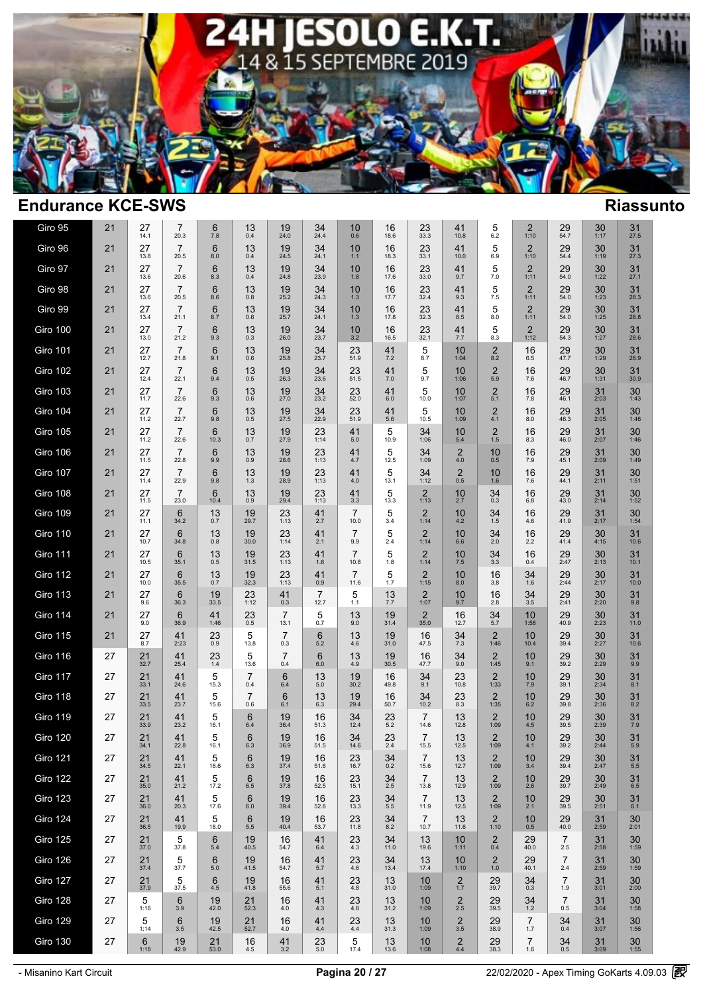

| Giro 95         | 21 | 27<br>14.1           | $\overline{7}$<br>20.3  | 6<br>7.8                | 13<br>0.4             | 19<br>24.0             | 34<br>24.4             | 10<br>0.6              | 16<br>18.6          | 23<br>33.3             | 41<br>10.8                        | 5<br>6.2                       | 2<br>1:10              | 29<br>54.7            | 30<br>1:17           | 31<br>27.5           |  |
|-----------------|----|----------------------|-------------------------|-------------------------|-----------------------|------------------------|------------------------|------------------------|---------------------|------------------------|-----------------------------------|--------------------------------|------------------------|-----------------------|----------------------|----------------------|--|
| Giro 96         | 21 | 27<br>13.8           | $\overline{7}$<br>20.5  | 6<br>8.0                | 13<br>0.4             | 19<br>24.5             | 34<br>24.1             | 10<br>$1.1$            | 16<br>18.3          | 23<br>33.1             | 41<br>10.0                        | 5<br>6.9                       | $\overline{2}$<br>1:10 | 29<br>54.4            | 30<br>1:19           | 31<br>27.3           |  |
| Giro 97         | 21 | 27<br>13.6           | $\overline{7}$<br>20.6  | $6\phantom{1}6$<br>8.3  | 13<br>0.4             | 19<br>24.8             | $34$<br>$23.9$         | 10<br>1.8              | 16<br>17.6          | 23<br>33.0             | 41<br>9.7                         | 5<br>7.0                       | $\overline{2}$<br>1:11 | 29<br>54.0            | 30<br>1:22           | 31<br>27.1           |  |
| Giro 98         | 21 | 27<br>13.6           | $\overline{7}$<br>20.5  | $6\phantom{1}6$<br>8.6  | 13<br>0.8             | 19<br>25.2             | 34<br>24.3             | 10<br>1.3              | 16<br>17.7          | 23<br>32.4             | 41<br>9.3                         | 5<br>7.5                       | $\overline{2}$<br>1:11 | 29<br>54.0            | 30<br>1:23           | 31<br>28.3           |  |
| Giro 99         | 21 | 27<br>13.4           | $\overline{7}$<br>21.1  | $6\phantom{1}6$<br>8.7  | 13<br>0.6             | 19<br>25.7             | $34$<br>$24.1$         | 10<br>1.3              | 16<br>17.8          | $23$ <sub>32.3</sub>   | 41<br>8.5                         | 5<br>8.0                       | $\overline{2}$<br>1:11 | 29<br>54.0            | 30<br>1:25           | 31<br>28.8           |  |
| Giro 100        | 21 | 27<br>13.0           | $\overline{7}$<br>21.2  | $6\phantom{1}6$<br>9.3  | 13<br>0.3             | 19<br>26.0             | 34<br>23.7             | 10<br>3.2              | 16<br>16.5          | 23<br>32.1             | 41<br>7.7                         | 5<br>8.3                       | $\overline{2}$<br>1:12 | 29<br>54.3            | 30<br>1:27           | 31<br>28.6           |  |
| <b>Giro 101</b> | 21 | 27<br>12.7           | $\overline{7}$<br>21.8  | $6\phantom{1}6$<br>9.1  | 13<br>0.6             | 19<br>25.8             | $34$<br>$23.7$         | 23<br>51.9             | 41<br>7.2           | 5<br>8.7               | 10<br>1:04                        | $\overline{c}$<br>8.2          | 16<br>6.5              | 29<br>47.7            | 30<br>1:29           | 31<br>28.9           |  |
| <b>Giro 102</b> | 21 | 27<br>12.4           | $\overline{7}$<br>22.1  | $6\phantom{1}6$<br>9.4  | 13<br>0.5             | 19<br>26.3             | $34$<br>$23.6$         | $23$ <sub>51.5</sub>   | 41<br>7.0           | 5<br>9.7               | 10<br>1:06                        | $\overline{\mathbf{c}}$<br>5.9 | 16<br>$7.6\,$          | 29<br>46.7            | $30$ <sub>1:31</sub> | 31<br>30.9           |  |
| <b>Giro 103</b> | 21 | $27 \atop 11.7}$     | $\overline{7}$<br>22.6  | $6_{9.3}$               | $13_{0.6}$            | $19_{27.0}$            | $34$<br>$23.2$         | $23$ <sub>52.0</sub>   | $41_{6.0}$          | $\frac{5}{10.0}$       | $10$ <sub>1:07</sub>              | $\frac{2}{5.1}$                | $\frac{16}{7.8}$       | $29$<br>$46.1$        | $31$<br>$2:03$       | $30$ <sub>1:43</sub> |  |
| Giro 104        | 21 | 27<br>11.2           | $\overline{7}$<br>22.7  | $6\phantom{1}6$<br>9.8  | $13_{0.5}$            | $19_{27.5}$            | $34$<br>$22.9$         | $23$ <sub>51.9</sub>   | $41$ <sub>5.6</sub> | 5<br>10.5              | 10<br>1:09                        | $^{2}_{4.1}$                   | 16<br>$8.0\,$          | $29$<br>$46.3$        | $31$<br>$2:05$       | $30$ <sub>1:46</sub> |  |
| Giro 105        | 21 | 27<br>11.2           | $\overline{7}$<br>22.6  | $6\phantom{1}6$<br>10.3 | 13<br>0.7             | 19<br>27.9             | 23<br>1:14             | 41<br>5.0              | 5<br>10.9           | 34<br>1:06             | 10<br>$5.4$                       | $\overline{2}$<br>1.5          | 16<br>8.3              | 29<br>46.0            | 31<br>2:07           | $30$<br>1:46         |  |
| Giro 106        | 21 | 27<br>11.5           | $\overline{7}$<br>22.8  | $6\phantom{1}6$<br>9.9  | 13<br>0.9             | 19<br>28.6             | 23<br>1:13             | 41<br>4.7              | 5<br>12.5           | 34<br>1:09             | $^{2}_{4.0}$                      | 10<br>0.5                      | 16<br>7.9              | 29<br>45.1            | 31<br>2:09           | 30<br>1:49           |  |
| Giro 107        | 21 | 27<br>11.4           | $\overline{7}$<br>22.9  | $6\phantom{1}6$<br>9.8  | 13<br>1.3             | 19<br>28.9             | 23<br>1:13             | 41<br>4.0              | 5<br>13.1           | 34<br>1:12             | $^{\,2}_{\scriptscriptstyle 0.5}$ | 10<br>1.6                      | 16<br>7.6              | 29<br>44.1            | 31<br>2:11           | $30$ <sub>1:51</sub> |  |
| Giro 108        | 21 | 27<br>11.5           | $\overline{7}$<br>23.0  | $6\phantom{1}6$<br>10.4 | 13<br>0.9             | 19<br>29.4             | 23<br>1:13             | 41<br>3.3              | 5<br>13.3           | $\overline{c}$<br>1:13 | 10<br>2.7                         | 34<br>0.3                      | 16<br>6.8              | 29<br>43.0            | 31<br>2:14           | 30<br>1:52           |  |
| Giro 109        | 21 | 27<br>11.1           | 6<br>34.2               | 13<br>0.7               | 19<br>29.7            | 23<br>1:13             | 41<br>2.7              | $\overline{7}$<br>10.0 | 5<br>3.4            | $\overline{2}$<br>1:14 | 10<br>4.2                         | 34<br>1.5                      | 16<br>4.6              | 29<br>41.9            | 31<br>2:17           | $30$ <sub>1:54</sub> |  |
| Giro 110        | 21 | 27<br>10.7           | $6\phantom{1}6$<br>34.8 | 13<br>0.8               | 19<br>30.0            | 23<br>1:14             | 41<br>2.1              | 7<br>9.9               | 5<br>2.4            | $\frac{2}{1:14}$       | 10<br>6.6                         | 34<br>2.0                      | 16<br>2.2              | 29<br>41.4            | 30<br>4:15           | 31<br>10.6           |  |
| Giro 111        | 21 | 27<br>10.5           | $6\phantom{1}6$<br>35.1 | 13<br>0.5               | 19<br>31.5            | $23$<br>1:13           | 41<br>1.6              | $\overline{7}$<br>10.8 | $\frac{5}{1.8}$     | $\frac{2}{1:14}$       | $^{10}_{7.5}$                     | $34 \atop 3.3$                 | 16<br>0.4              | $29$ <sub>2:47</sub>  | $30$<br>2:13         | 31<br>10.1           |  |
| Giro 112        | 21 | 27<br>10.0           | $6\phantom{1}6$<br>35.5 | 13<br>0.7               | 19<br>32.3            | 23<br>1:13             | 41<br>0.9              | $\overline{7}$<br>11.6 | 5<br>1.7            | $\overline{2}$<br>1:15 | 10<br>8.0                         | 16<br>3.8                      | 34<br>1.6              | 29<br>2:44            | 30<br>2:17           | 31<br>10.0           |  |
| <b>Giro 113</b> | 21 | 27<br>9.6            | $6\phantom{1}6$<br>36.3 | $19 \over 33.5$         | $23$<br>1:12          | $^{41}_{0.3}$          | $\frac{7}{12.7}$       | $\frac{5}{1.1}$        | $13 \atop 7.7}$     | $2$ <sub>1:07</sub>    | $^{10}_{9.7}$                     | 16<br>2.8                      | $34 \over 3.5$         | $29$<br>$2:41$        | $30$<br>2:20         | $31_{9.8}$           |  |
| Giro 114        | 21 | 27<br>9.0            | 6<br>36.9               | 41<br>1:46              | $^{23}_{0.5}$         | $\overline{7}$<br>13.1 | $\frac{5}{0.7}$        | 13<br>9.0              | 19<br>31.4          | $\frac{2}{35.0}$       | 16<br>12.7                        | $34$ <sub>5.7</sub>            | 10<br>1:58             | 29<br>40.9            | $30$<br>$2:23$       | 31<br>11.0           |  |
| Giro 115        | 21 | 27<br>8.7            | 41<br>2:23              | 23<br>0.9               | 5<br>13.8             | $\overline{7}$<br>0.3  | $6\phantom{1}6$<br>5.2 | 13<br>4.6              | 19<br>31.0          | 16<br>47.5             | 34<br>7.3                         | $\overline{2}$<br>1:46         | 10<br>10.4             | 29<br>39.4            | 30<br>2:27           | 31<br>10.6           |  |
| Giro 116        | 27 | $21$ <sub>32.7</sub> | 41<br>25.4              | $23$<br>$1.4$           | 5<br>13.6             | $\overline{7}$<br>0.4  | $6\phantom{1}6$<br>6.0 | 13<br>$4.9\,$          | 19<br>30.5          | 16<br>47.7             | 34<br>9.0                         | $\overline{2}$<br>1:45         | 10<br>9.1              | 29<br>39.2            | 30<br>2:29           | 31<br>9.9            |  |
| Giro 117        | 27 | 21<br>33.1           | 41<br>24.6              | 5<br>15.3               | $\overline{7}$<br>0.4 | $6\phantom{1}$<br>6.4  | 13<br>$5.0\,$          | 19<br>30.2             | 16<br>49.8          | 34<br>9.1              | 23<br>10.8                        | $\overline{2}$<br>1:33         | 10<br>$7.9$            | 29<br>39.1            | 30<br>2:34           | 31<br>8.1            |  |
| <b>Giro 118</b> | 27 | 21<br>33.5           | 41<br>23.7              | 5<br>15.6               | $\overline{7}$<br>0.6 | $6\phantom{1}$<br>6.1  | 13<br>6.3              | 19<br>29.4             | 16<br>50.7          | 34<br>10.2             | 23<br>8.3                         | $\overline{2}$<br>1:35         | 10<br>$6.2\,$          | 29<br>39.8            | 30<br>2:36           | 31<br>8.2            |  |
| <b>Giro 119</b> | 27 | 21<br>33.9           | 41<br>23.2              | 5<br>16.1               | $6\phantom{1}$<br>6.4 | 19<br>36.4             | 16<br>51.3             | 34<br>12.4             | 23<br>5.2           | 7<br>14.6              | 13<br>12.8                        | $\overline{2}$<br>1:09         | 10<br>$4.5\,$          | 29<br>39.5            | 30<br>2:39           | 31<br>$7.9$          |  |
| Giro 120        | 27 | 21<br>34.1           | 41<br>22.8              | 5<br>16.1               | 6<br>6.3              | 19<br>36.9             | 16<br>51.5             | 34<br>14.6             | $^{23}_{2.4}$       | $\overline{7}$<br>15.5 | 13<br>12.5                        | $\overline{2}$<br>1:09         | 10<br>4.1              | 29<br>39.2            | 30<br>2:44           | 31<br>5.9            |  |
| Giro 121        | 27 | 21<br>34.5           | 41<br>22.1              | 5<br>16.6               | 6<br>6.3              | 19<br>37.4             | 16<br>51.6             | 23<br>16.7             | 34<br>0.2           | $\overline{7}$<br>15.6 | 13<br>12.7                        | $\overline{2}$<br>1:09         | 10<br>3.4              | 29<br>39.4            | 30<br>2:47           | 31<br>$5.5\,$        |  |
| <b>Giro 122</b> | 27 | 21<br>35.0           | 41<br>21.2              | 5<br>17.2               | 6<br>6.5              | 19<br>37.8             | 16<br>52.5             | 23<br>15.1             | 34<br>2.5           | $\overline{7}$<br>13.8 | 13<br>12.9                        | 2<br>1:09                      | 10<br>2.6              | 29<br>39.7            | 30<br>2:49           | 31<br>6.5            |  |
| Giro 123        | 27 | 21<br>36.0           | 41<br>20.3              | 5<br>17.6               | $6\phantom{1}$<br>6.0 | 19<br>39.4             | 16<br>52.8             | 23<br>13.3             | 34<br>5.5           | $\overline{7}$<br>11.9 | 13<br>12.5                        | $\overline{2}$<br>1:09         | 10<br>2.1              | 29<br>39.5            | $30$ <sub>2:51</sub> | $31_{6.1}$           |  |
| Giro 124        | 27 | 21<br>36.5           | 41<br>19.9              | 5<br>18.0               | 6<br>$5.5\,$          | 19<br>40.4             | 16<br>53.7             | 23<br>11.8             | 34<br>8.2           | $\overline{7}$<br>10.7 | 13<br>11.6                        | 2<br>1:10                      | 10<br>0.5              | 29<br>40.0            | 31<br>2:59           | 30<br>2:01           |  |
| <b>Giro 125</b> | 27 | 21<br>37.0           | 5<br>37.8               | $6\phantom{1}6$<br>5.4  | 19<br>40.5            | 16<br>54.7             | 41<br>6.4              | 23<br>4.3              | 34<br>11.0          | 13<br>19.6             | 10<br>1:11                        | $\overline{2}$<br>0.4          | 29<br>40.0             | $\overline{7}$<br>2.5 | 31<br>2:58           | 30<br>1:59           |  |
| Giro 126        | 27 | 21<br>37.4           | 5<br>37.7               | 6<br>5.0                | 19<br>41.5            | 16<br>54.7             | 41<br>5.7              | 23<br>4.6              | 34<br>13.4          | 13<br>17.4             | 10<br>1:10                        | $\overline{2}$<br>1.0          | 29<br>40.1             | $\overline{7}$<br>2.4 | 31<br>2:59           | 30<br>1:59           |  |
| Giro 127        | 27 | 21<br>37.9           | 5<br>37.5               | 6<br>4.5                | 19<br>41.8            | 16<br>55.6             | 41<br>5.1              | 23<br>4.8              | 13<br>31.0          | 10<br>1:09             | $\frac{2}{1.7}$                   | 29<br>39.7                     | 34<br>0.3              | 7<br>1.9              | 31<br>3:01           | 30<br>2:00           |  |
| Giro 128        | 27 | 5<br>1:16            | 6<br>3.9                | 19<br>42.0              | 21<br>52.3            | 16<br>4.0              | 41<br>4.3              | 23<br>4.8              | 13<br>31.2          | 10<br>1:09             | $2$ $\phantom{1}$ 2.5             | 29<br>39.5                     | 34<br>1.2              | $\overline{7}$<br>0.5 | 31<br>3:04           | 30<br>1:58           |  |
| <b>Giro 129</b> | 27 | 5<br>1:14            | $6\phantom{1}6$<br>3.5  | 19<br>42.5              | 21<br>52.7            | 16<br>4.0              | 41<br>4.4              | 23<br>$4.4\,$          | 13<br>31.3          | 10<br>1:09             | $\overline{2}$<br>3.5             | 29<br>38.9                     | $\overline{7}$<br>1.7  | 34<br>0.4             | 31<br>3:07           | 30<br>1:56           |  |
| Giro 130        | 27 | 6<br>1:18            | 19<br>42.9              | 21<br>53.0              | 16<br>4.5             | 41<br>3.2              | 23<br>5.0              | $\,$ 5 $\,$<br>17.4    | 13<br>13.6          | 10<br>1:08             | $^{\,2}_{\scriptscriptstyle 4.4}$ | 29<br>38.3                     | $\overline{7}$<br>1.6  | $34_{0.5}$            | 31<br>3:09           | $30\,$<br>1:55       |  |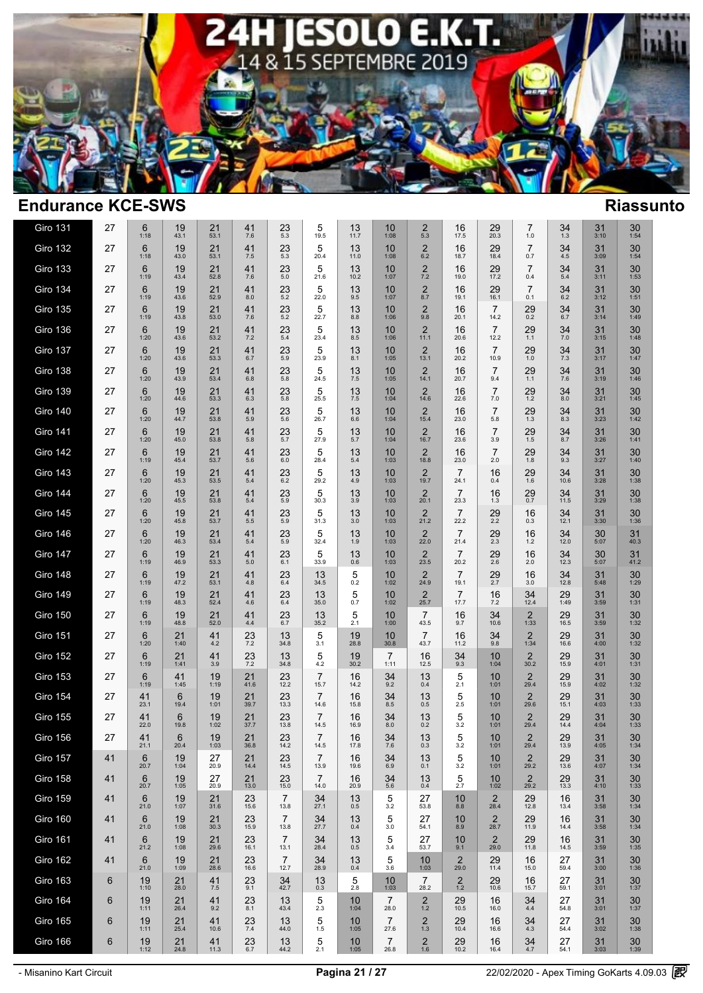

| <b>Giro 131</b> | 27 | 6<br>1:18  | 19<br>43.1              | 21<br>53.1           | 41<br>$7.6\,$       | 23<br>5.3              | 5<br>19.5              | 13<br>11.7      | 10<br>1:08             | $\overline{2}$<br>5.3          | 16<br>17.5             | 29<br>20.3             | 7<br>$1.0$             | 34<br>$1.3$          | 31<br>3:10     | 30<br>1:54           |  |
|-----------------|----|------------|-------------------------|----------------------|---------------------|------------------------|------------------------|-----------------|------------------------|--------------------------------|------------------------|------------------------|------------------------|----------------------|----------------|----------------------|--|
| Giro 132        | 27 | 6<br>1:18  | 19<br>43.0              | 21<br>53.1           | 41<br>$7.5\,$       | 23<br>5.3              | 5<br>20.4              | 13<br>11.0      | 10<br>1:08             | $\overline{2}$<br>$6.2\,$      | 16<br>18.7             | 29<br>18.4             | $\overline{7}$<br>0.7  | 34<br>4.5            | 31<br>3:09     | 30<br>1:54           |  |
| <b>Giro 133</b> | 27 | 6<br>1:19  | 19<br>43.4              | 21<br>52.8           | 41<br>7.6           | 23<br>5.0              | 5<br>21.6              | 13<br>10.2      | 10<br>1:07             | $\overline{2}$<br>$7.2$        | 16<br>19.0             | 29<br>17.2             | $\overline{7}$<br>0.4  | 34<br>5.4            | 31<br>3:11     | 30<br>1:53           |  |
| <b>Giro 134</b> | 27 | 6<br>1:19  | 19<br>43.6              | 21<br>52.9           | 41<br>8.0           | 23<br>5.2              | 5<br>22.0              | 13<br>9.5       | 10<br>1:07             | $\overline{\mathbf{c}}$<br>8.7 | 16<br>19.1             | 29<br>16.1             | $\overline{7}$<br>0.1  | 34<br>$6.2\,$        | 31<br>3:12     | 30<br>1:51           |  |
| <b>Giro 135</b> | 27 | 6<br>1:19  | 19<br>43.8              | 21<br>53.0           | 41<br>7.6           | 23<br>5.2              | 5<br>22.7              | 13<br>$8.8\,$   | 10<br>1:06             | $\overline{2}$<br>9.8          | 16<br>20.1             | $\overline{7}$<br>14.2 | 29<br>0.2              | 34<br>6.7            | 31<br>3:14     | 30<br>1:49           |  |
| Giro 136        | 27 | 6<br>1:20  | 19<br>43.6              | 21<br>53.2           | 41<br>7.2           | 23<br>5.4              | 5<br>23.4              | 13<br>8.5       | 10<br>1:06             | $\overline{2}$<br>11.1         | 16<br>20.6             | $\overline{7}$<br>12.2 | 29<br>1.1              | 34<br>7.0            | 31<br>3:15     | 30<br>1:48           |  |
| Giro 137        | 27 | 6<br>1:20  | 19<br>43.6              | 21<br>53.3           | 41<br>6.7           | 23<br>5.9              | 5<br>23.9              | 13<br>8.1       | 10<br>1:05             | $\overline{2}$<br>13.1         | 16<br>20.2             | $\overline{7}$<br>10.9 | 29<br>$1.0$            | 34<br>7.3            | 31<br>3:17     | 30<br>1:47           |  |
| Giro 138        | 27 | 6<br>1:20  | 19<br>43.9              | 21<br>53.4           | 41<br>6.8           | 23<br>5.8              | 5<br>24.5              | 13<br>$7.5\,$   | 10<br>1:05             | $\frac{2}{14.1}$               | 16<br>20.7             | $\overline{7}$<br>9.4  | 29<br>1.1              | 34<br>7.6            | 31<br>3:19     | $30\,$<br>1:46       |  |
| Giro 139        | 27 | 6<br>1:20  | $19\n44.6$              | $21$ <sub>53.3</sub> | $^{41}_{6.3}$       | $^{23}_{\,5.8}$        | 5<br>25.5              | $13 \atop 7.5$  | 10<br>1:04             | $\frac{2}{14.6}$               | 16<br>22.6             | 7<br>$7.0$             | $^{29}_{1.2}$          | 348.0                | $31$<br>$3:21$ | $30$ <sub>1:45</sub> |  |
| Giro 140        | 27 | 6<br>1:20  | $19\n44.7$              | $21$ <sub>53.8</sub> | $41$ <sub>5.9</sub> | $23 \atop 5.6$         | 5<br>26.7              | $13 \n6.6$      | 10<br>1:04             | $\frac{2}{15.4}$               | 16<br>23.0             | $\overline{7}$<br>5.8  | $^{29}_{1.3}$          | 348.3                | $31$<br>$3:23$ | $30$ <sub>1:42</sub> |  |
| Giro 141        | 27 | 6<br>1:20  | 19<br>45.0              | 21<br>53.8           | 41<br>5.8           | 23<br>5.7              | 5<br>27.9              | 13<br>5.7       | 10<br>1:04             | $\overline{2}$<br>16.7         | 16<br>23.6             | $\overline{7}$<br>3.9  | 29<br>1.5              | 34<br>8.7            | 31<br>3:26     | 30<br>1:41           |  |
| Giro 142        | 27 | 6<br>1:19  | 19<br>45.4              | 21<br>53.7           | 41<br>5.6           | 23<br>6.0              | 5<br>28.4              | 13<br>$5.4\,$   | 10<br>1:03             | $\overline{2}$<br>18.8         | 16<br>23.0             | $\overline{7}$<br>2.0  | 29<br>1.8              | 34<br>9.3            | 31<br>3:27     | 30<br>1:40           |  |
| <b>Giro 143</b> | 27 | 6<br>1:20  | 19<br>45.3              | 21<br>53.5           | 41<br>5.4           | 23<br>6.2              | 5<br>29.2              | 13<br>4.9       | 10<br>1:03             | $\overline{2}$<br>19.7         | $\overline{7}$<br>24.1 | 16<br>0.4              | 29<br>$1.\overline{6}$ | 34<br>10.6           | 31<br>3:28     | 30<br>1:38           |  |
| <b>Giro 144</b> | 27 | 6<br>1:20  | 19<br>45.5              | 21<br>53.8           | 41<br>$5.4\,$       | 23<br>5.9              | 5<br>30.3              | 13<br>3.9       | 10<br>1:03             | $\overline{2}$<br>20.1         | $\overline{7}$<br>23.3 | 16<br>1.3              | 29<br>$0.7\,$          | 34<br>11.5           | 31<br>3:29     | 30<br>1:38           |  |
| <b>Giro 145</b> | 27 | 6<br>1:20  | 19<br>45.8              | 21<br>53.7           | 41<br>5.5           | 23<br>5.9              | 5<br>31.3              | 13<br>$3.0\,$   | 10<br>1:03             | $\overline{2}$<br>21.2         | $\overline{7}$<br>22.2 | $^{29}_{2.2}$          | 16<br>0.3              | 34<br>12.1           | 31<br>3:30     | 30<br>1:36           |  |
| Giro 146        | 27 | 6<br>1:20  | 19<br>46.3              | 21<br>53.4           | 41<br>5.4           | 23<br>5.9              | 5<br>32.4              | 13<br>1.9       | 10<br>1:03             | $\overline{2}$<br>22.0         | $\overline{7}$<br>21.4 | 29<br>2.3              | 16<br>1.2              | 34<br>12.0           | 30<br>5:07     | 31<br>40.3           |  |
| Giro 147        | 27 | 6<br>1:19  | 19<br>46.9              | 21<br>53.3           | 41<br>$5.0\,$       | 23<br>6.1              | 5<br>33.9              | $13 \atop 0.6$  | 10<br>1:03             | $\overline{2}$<br>23.5         | $\overline{7}$<br>20.2 | $^{29}_{2.6}$          | 16<br>2.0              | $34$<br>12.3         | 30<br>5:07     | $31$<br>41.2         |  |
| Giro 148        | 27 | 6<br>1:19  | 19<br>47.2              | 21<br>53.1           | 41<br>4.8           | 23<br>6.4              | 13<br>34.5             | 5<br>0.2        | 10<br>1:02             | $\overline{2}$<br>24.9         | $\overline{7}$<br>19.1 | 29<br>2.7              | 16<br>3.0              | 34<br>12.8           | 31<br>5:48     | 30<br>1:29           |  |
| <b>Giro 149</b> | 27 | 6<br>1:19  | $19\n48.3$              | $21$ <sub>52.4</sub> | $^{41}_{4.6}$       | 23<br>6.4              | 13<br>35.0             | 5<br>0.7        | 10<br>1:02             | $\frac{2}{25.7}$               | $\overline{7}$<br>17.7 | $^{16}_{7.2}$          | $34$<br>$12.4$         | $29$ <sub>1:49</sub> | 31<br>3:59     | $30$ <sub>1:31</sub> |  |
| Giro 150        | 27 | 6<br>1:19  | 19<br>48.8              | 21<br>52.0           | 41<br>$4.4\,$       | 23<br>6.7              | 13<br>35.2             | $\frac{5}{2.1}$ | 10<br>1:00             | 7<br>43.5                      | 16<br>9.7              | 34<br>10.6             | $\overline{2}$<br>1:33 | $29 \atop 16.5$      | 31<br>3:59     | $30$ <sub>1:32</sub> |  |
| Giro 151        | 27 | 6<br>1:20  | 21<br>1:40              | 41<br>4.2            | $^{23}_{7.2}$       | 13<br>34.8             | 5<br>3.1               | 19<br>28.8      | 10<br>30.8             | $\overline{7}$<br>43.7         | 16<br>11.2             | 34<br>9.8              | $\overline{2}$<br>1:34 | 29<br>16.6           | 31<br>4:00     | $30$ <sub>1:32</sub> |  |
| <b>Giro 152</b> | 27 | 6<br>1:19  | 21<br>1:41              | 41<br>3.9            | 23<br>$7.2\,$       | 13<br>34.8             | 5<br>$4.2\,$           | 19<br>30.2      | $\overline{7}$<br>1:11 | 16<br>12.5                     | 34<br>9.3              | 10<br>1:04             | $\overline{2}$<br>30.2 | 29<br>15.9           | 31<br>4:01     | 30<br>1:31           |  |
| <b>Giro 153</b> | 27 | 6<br>1:19  | 41<br>1:45              | 19<br>1:19           | 21<br>41.6          | 23<br>12.2             | $\overline{7}$<br>15.7 | 16<br>14.2      | 34<br>9.2              | 13<br>0.4                      | $\frac{5}{2.1}$        | 10<br>1:01             | $\overline{2}$<br>29.4 | 29<br>15.9           | 31<br>4:02     | $30$ <sub>1:32</sub> |  |
| <b>Giro 154</b> | 27 | 41<br>23.1 | $6\phantom{1}6$<br>19.4 | 19<br>1:01           | 21<br>39.7          | 23<br>13.3             | $\overline{7}$<br>14.6 | 16<br>15.8      | 34<br>8.5              | 13<br>0.5                      | 5<br>2.5               | 10<br>1:01             | $\overline{2}$<br>29.6 | 29<br>15.1           | 31<br>4:03     | 30<br>1:33           |  |
| Giro 155        | 27 | 41<br>22.0 | 6<br>19.8               | 19<br>1:02           | 21<br>37.7          | 23<br>13.8             | $\overline{7}$<br>14.5 | 16<br>16.9      | 34<br>8.0              | 13<br>0.2                      | 5<br>3.2               | 10<br>1:01             | $\overline{2}$<br>29.4 | 29<br>14.4           | 31<br>4:04     | $30$ <sub>1:33</sub> |  |
| Giro 156        | 27 | 41<br>21.1 | 6<br>20.4               | 19<br>1:03           | 21<br>36.8          | 23<br>14.2             | $\overline{7}$<br>14.5 | 16<br>17.8      | 34<br>7.6              | 13<br>0.3                      | 5<br>3.2               | 10<br>1:01             | $\overline{2}$<br>29.4 | 29<br>13.9           | 31<br>4:05     | 30<br>1:34           |  |
| Giro 157        | 41 | 6<br>20.7  | 19<br>1:04              | 27<br>20.9           | 21<br>14.4          | 23<br>14.5             | $\overline{7}$<br>13.9 | 16<br>19.6      | 34<br>6.9              | 13<br>0.1                      | 5<br>3.2               | 10<br>1:01             | $\overline{2}$<br>29.2 | 29<br>13.6           | 31<br>4:07     | 30<br>1:34           |  |
| Giro 158        | 41 | 6<br>20.7  | 19<br>1:05              | 27<br>20.9           | 21<br>13.0          | 23<br>15.0             | $\overline{7}$<br>14.0 | 16<br>20.9      | 34<br>5.6              | 13<br>0.4                      | 5<br>2.7               | 10<br>1:02             | $\overline{2}$<br>29.2 | 29<br>13.3           | 31<br>4:10     | 30<br>1:33           |  |
| <b>Giro 159</b> | 41 | 6<br>21.0  | 19<br>1:07              | $21$ <sub>31.6</sub> | $23$<br>15.6        | 7<br>13.8              | $34$<br>$27.1$         | $13_{0.5}$      | $\frac{5}{3.2}$        | 27<br>53.8                     | 10<br>8.8              | $\overline{2}$<br>28.4 | 29<br>12.8             | 16<br>13.4           | 31<br>3:58     | $30$ <sub>1:34</sub> |  |
| <b>Giro 160</b> | 41 | 6<br>21.0  | 19<br>1:08              | 21<br>30.3           | 23<br>15.9          | $\overline{7}$<br>13.8 | 34<br>27.7             | 13<br>0.4       | 5<br>3.0               | 27<br>54.1                     | 10<br>8.9              | 2<br>28.7              | 29<br>11.9             | 16<br>14.4           | 31<br>3:58     | 30<br>1:34           |  |
| Giro 161        | 41 | 6<br>21.2  | 19<br>1:08              | 21<br>29.6           | 23<br>16.1          | $\overline{7}$<br>13.1 | 34<br>28.4             | 13<br>0.5       | 5<br>3.4               | 27<br>53.7                     | 10<br>9.1              | 2<br>29.0              | 29<br>11.8             | 16<br>14.5           | 31<br>3:59     | 30<br>1:35           |  |
| Giro 162        | 41 | 6<br>21.0  | 19<br>1:09              | 21<br>28.6           | 23<br>16.6          | 7<br>12.7              | 34<br>28.9             | 13<br>0.4       | 5<br>3.6               | 10<br>1:03                     | 2<br>29.0              | 29<br>11.4             | 16<br>15.0             | 27<br>59.4           | 31<br>3:00     | 30<br>1:36           |  |
| Giro 163        | 6  | 19<br>1:10 | 21<br>28.0              | 41<br>7.5            | 23<br>9.1           | 34<br>42.7             | 13<br>0.3              | 5<br>2.8        | 10<br>1:03             | 7<br>28.2                      | $\overline{2}$<br>1.2  | 29<br>10.6             | 16<br>15.7             | 27<br>59.1           | 31<br>3:01     | 30<br>1:37           |  |
| Giro 164        | 6  | 19<br>1:11 | 21<br>26.4              | 41<br>9.2            | $23 \n8.1$          | 13<br>43.4             | $\frac{5}{2.3}$        | 10<br>1:04      | 7<br>28.0              | 2<br>$1.2$                     | 29<br>10.5             | 16<br>16.0             | 34<br>$4.4\,$          | 27<br>54.8           | 31<br>3:01     | 30<br>1:37           |  |
| <b>Giro 165</b> | 6  | 19<br>1:11 | 21<br>25.4              | 41<br>10.6           | 23<br>$7.4$         | 13<br>44.0             | 5<br>$1.5\,$           | 10<br>1:05      | $\overline{7}$<br>27.6 | $\overline{2}$<br>$1.3$        | 29<br>10.4             | 16<br>16.6             | 34<br>$4.3\,$          | 27<br>54.4           | 31<br>3:02     | 30<br>1:38           |  |
| Giro 166        | 6  | 19<br>1:12 | $21$ <sub>24.8</sub>    | 41<br>11.3           | $^{23}_{6.7}$       | $13_{44.2}$            | 5<br>2.1               | 10<br>1:05      | $\overline{7}$<br>26.8 | $\underset{1.6}{2}$            | 29<br>10.2             | 16<br>16.4             | $34 \atop 4.7$         | 27<br>54.1           | 31<br>3:03     | $30$ <sub>1:39</sub> |  |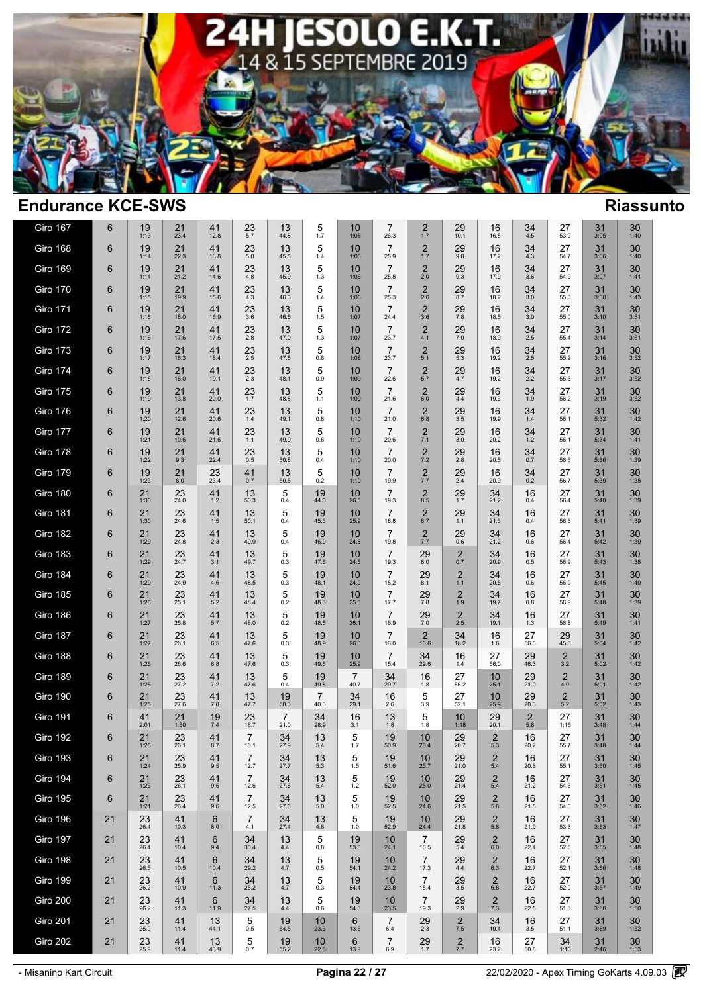

| Giro 167        | 6     | 19<br>1:13           | 21<br>23.4           | 41<br>12.8              | 23<br>5.7              | 13<br>44.8             | 5<br>1.7               | 10<br>1:05             | $\overline{7}$<br>26.3 | 2<br>1.7                         | 29<br>10.1       | 16<br>16.8                     | 34<br>$4.5\,$         | 27<br>53.9          | 31<br>3:05     | $30$<br>1:40          |  |
|-----------------|-------|----------------------|----------------------|-------------------------|------------------------|------------------------|------------------------|------------------------|------------------------|----------------------------------|------------------|--------------------------------|-----------------------|---------------------|----------------|-----------------------|--|
| Giro 168        | 6     | 19<br>1:14           | $21$<br>$22.3$       | 41<br>13.8              | $23 \atop 5.0$         | 13<br>45.5             | 5<br>1.4               | 10<br>1:06             | $\overline{7}$<br>25.9 | $\frac{2}{1.7}$                  | $^{29}_{9.8}$    | 16<br>17.2                     | 34<br>4.3             | 27<br>54.7          | 31<br>3:06     | $30$ <sub>1:40</sub>  |  |
| <b>Giro 169</b> | 6     | 19<br>1:14           | 21<br>21.2           | 41<br>14.6              | $^{23}_{4.8}$          | 13<br>45.9             | $\frac{5}{1.3}$        | 10<br>1:06             | $\overline{7}$<br>25.8 | $\frac{2}{2.0}$                  | 29<br>9.3        | 16<br>17.9                     | $34 \over 3.6$        | 27<br>54.9          | 31<br>3:07     | $30$ <sub>1:41</sub>  |  |
| Giro 170        | 6     | 19<br>1:15           | $21$<br>19.9         | 41<br>15.6              | $23 \atop 4.3$         | 13<br>46.3             | 5<br>1.4               | 10<br>1:06             | $\overline{7}$<br>25.3 | $\frac{2}{2.6}$                  | $^{29}_{8.7}$    | 16<br>18.2                     | $34 \atop 3.0$        | 27<br>55.0          | 31<br>3:08     | $30$ <sub>1:43</sub>  |  |
| Giro 171        | 6     | 19<br>1:16           | 21<br>18.0           | 41<br>16.9              | $^{23}_{3.6}$          | 13<br>46.5             | $\frac{5}{1.5}$        | 10<br>1:07             | $\overline{7}$<br>24.4 | $\frac{2}{3.6}$                  | $^{29}_{7.8}$    | 16<br>18.5                     | $34 \atop 3.0$        | 27<br>55.0          | 31<br>3:10     | $30\n3:51$            |  |
| Giro 172        | 6     | 19<br>1:16           | $21$<br>17.6         | $41$<br>17.5            | $^{23}_{2.8}$          | 13<br>47.0             | $\frac{5}{1.3}$        | 10<br>1:07             | $\overline{7}$<br>23.7 | $^{2}_{4.1}$                     | $^{29}_{7.0}$    | 16<br>18.9                     | $34 \atop 2.5$        | 27<br>55.4          | 31<br>3:14     | $30\n3:51$            |  |
| Giro 173        | 6     | 19<br>1:17           | 21<br>16.3           | 41<br>18.4              | 23<br>$2.5\,$          | 13<br>47.5             | 5<br>$0.8\,$           | 10<br>1:08             | $\overline{7}$<br>23.7 | $\overline{c}$<br>5.1            | 29<br>5.3        | 16<br>19.2                     | 34<br>$2.5\,$         | 27<br>55.2          | 31<br>3:16     | $\underset{3:52}{30}$ |  |
| Giro 174        | 6     | 19<br>1:18           | $21$<br>15.0         | 41<br>19.1              | $23 \atop 2.3$         | 13<br>48.1             | 5<br>0.9               | 10<br>1:09             | $\overline{7}$<br>22.6 | $\frac{2}{5.7}$                  | 29<br>4.7        | 16<br>19.2                     | $34$<br>$2.2$         | 27<br>55.6          | 31<br>3:17     | $30\n3:52$            |  |
| Giro 175        | 6     | 19<br>1:19           | $21$<br>13.8         | 41<br>20.0              | $23 \atop 1.7$         | 13<br>48.8             | 5<br>1.1               | 10<br>1:09             | $\overline{7}$<br>21.6 | $^{2}_{6.0}$                     | $^{29}_{4.4}$    | 16<br>19.3                     | $34 \atop 1.9$        | 27<br>56.2          | $31$<br>$3:19$ | $30\n3:52$            |  |
| Giro 176        | 6     | $19 \atop 1:20$      | $21$<br>12.6         | $^{41}_{20.6}$          | $^{23}_{1.4}$          | $13$<br>49.1           | $\frac{5}{0.8}$        | $10$ <sub>1:10</sub>   | $\frac{7}{21.0}$       | $^{2}_{6.8}$                     | $\frac{29}{3.5}$ | $16_{19.9}$                    | $34 \atop 1.4$        | 27<br>56.1          | $31$<br>$5:32$ | $30$ <sub>1:42</sub>  |  |
| Giro 177        | 6     | 19<br>1:21           | 21<br>10.6           | 41<br>21.6              | $23$ <sub>1.1</sub>    | 13<br>49.9             | 5<br>$0.6\,$           | 10<br>1:10             | $\overline{7}$<br>20.6 | $\frac{2}{7.1}$                  | 29<br>3.0        | 16<br>20.2                     | $34$<br>1.2           | 27<br>56.1          | 31<br>5:34     | 30<br>1:41            |  |
| Giro 178        | 6     | $19 \atop 1:22$      | $^{21}_{9.3}$        | $41$<br>$22.4$          | $23 \atop 0.5$         | 13<br>50.8             | $\frac{5}{0.4}$        | 10<br>1:10             | $\overline{7}$<br>20.0 | $\frac{2}{7.2}$                  | $^{29}_{2.8}$    | 16<br>20.5                     | $34_{0.7}$            | 27<br>56.6          | $31$<br>$5:36$ | $30$ <sub>1:39</sub>  |  |
| Giro 179        | 6     | 19<br>1:23           | $^{21}_{8.0}$        | 23<br>23.4              | $^{41}_{0.7}$          | 13<br>50.5             | 5<br>0.2               | 10<br>1:10             | $\overline{7}$<br>19.9 | $\frac{2}{7.7}$                  | $^{29}_{2.4}$    | 16<br>20.9                     | $34_{0.2}$            | 27<br>56.7          | 31<br>5:39     | $30$ <sub>1:38</sub>  |  |
| Giro 180        | 6     | $21$ <sub>1:30</sub> | $23$<br>$24.0$       | $41$<br>1.2             | $13$ <sub>50.3</sub>   | $\frac{5}{0.4}$        | $19\n44.0$             | $10_{26.5}$            | $\overline{7}$<br>19.3 | $2$ $_{\scriptscriptstyle{8.5}}$ | $^{29}_{1.7}$    | $34$<br>$21.2$                 | 16<br>0.4             | 27<br>56.4          | $31$<br>5:40   | $30$ <sub>1:39</sub>  |  |
| Giro 181        | 6     | 21<br>1:30           | $23$<br>$24.6$       | 41<br>1.5               | 13<br>50.1             | $\frac{5}{0.4}$        | $19\n45.3$             | 10<br>25.9             | $\overline{7}$<br>18.8 | $\frac{2}{8.7}$                  | $29 \atop 1.1$   | $34$<br>21.3                   | 16<br>0.4             | 27<br>56.6          | 31<br>5:41     | $30$ <sub>1:39</sub>  |  |
| Giro 182        | 6     | 21<br>1:29           | 23<br>24.8           | $41$ <sub>2.3</sub>     | 13<br>49.9             | 5<br>0.4               | 19<br>46.9             | 10<br>24.8             | $\overline{7}$<br>19.8 | $\frac{2}{7.7}$                  | $^{29}_{0.6}$    | 34<br>21.2                     | 16<br>0.6             | 27<br>56.4          | 31<br>5:42     | $30$ <sub>1:39</sub>  |  |
| Giro 183        | 6     | 21<br>1:29           | $23$<br>$24.7$       | 41<br>3.1               | 13<br>49.7             | 5<br>0.3               | 19<br>47.6             | 10<br>24.5             | $\overline{7}$<br>19.3 | $^{29}_{8.0}$                    | $^{2}_{0.7}$     | 34<br>20.9                     | 16<br>0.5             | 27<br>56.9          | 31<br>5:43     | $30$ <sub>1:38</sub>  |  |
| Giro 184        | 6     | 21<br>1:29           | $23$<br>$24.9$       | 41<br>4.5               | 13<br>48.5             | $\frac{5}{0.3}$        | $19\n48.1$             | 10<br>24.9             | $\overline{7}$<br>18.2 | $29_{8.1}$                       | $\frac{2}{1.1}$  | 34<br>20.5                     | 16<br>0.6             | 27<br>56.9          | 31<br>5:45     | $30$ <sub>1:40</sub>  |  |
| Giro 185        | 6     | $21$<br>1:28         | $23$ <sub>25.1</sub> | $41$ <sub>5.2</sub>     | $13\n48.4$             | $\frac{5}{0.2}$        | $19\n48.3$             | $10_{25.0}$            | $\overline{7}$<br>17.7 | $^{29}_{7.8}$                    | $\frac{2}{1.9}$  | $34$<br>19.7                   | $^{16}_{0.8}$         | 27<br>56.9          | $31$<br>5:48   | $30$ <sub>1:39</sub>  |  |
| Giro 186        | 6     | $21$<br>1:27         | $23$ <sub>25.8</sub> | $41$ <sub>5.7</sub>     | $13 \over 48.0$        | $\frac{5}{0.2}$        | $19\n48.5$             | $10_{26.1}$            | $\frac{7}{16.9}$       | $^{29}_{7.0}$                    | $\frac{2}{2.5}$  | $34$<br>19.1                   | $16 \atop 1.3$        | 27<br>56.8          | $31$<br>5:49   | $30$ <sub>1:41</sub>  |  |
| Giro 187        | $\,6$ | $21$<br>1:27         | $23$<br>$26.1$       | $41_{6.5}$              | 13<br>47.6             | $\frac{5}{0.3}$        | $19\n48.9$             | 10<br>26.0             | $\overline{7}$<br>16.0 | $\frac{2}{10.6}$                 | $34$<br>18.2     | 16<br>1.6                      | 27<br>56.6            | $29$<br>$45.6$      | 31<br>5:04     | $30$ <sub>1:42</sub>  |  |
| Giro 188        | 6     | 21<br>1:26           | 23<br>26.6           | 41<br>6.8               | 13<br>47.6             | $\frac{5}{0.3}$        | $19\n49.5$             | 10<br>25.9             | $\overline{7}$<br>15.4 | 34<br>29.6                       | 16<br>$1.4\,$    | 27<br>56.0                     | 29<br>46.3            | $\frac{2}{3.2}$     | 31<br>5:02     | $30$ <sub>1:42</sub>  |  |
| Giro 189        | 6     | 21<br>1:25           | $23$<br>$27.2$       | $41$ <sub>7.2</sub>     | 13<br>47.6             | $\frac{5}{0.4}$        | 19<br>49.8             | $\overline{7}$<br>40.7 | $34$<br>$29.7$         | 16<br>$1.8$                      | $27_{56.2}$      | $10_{25.1}$                    | $29 \atop 21.0$       | $\underset{4.9}{2}$ | 31<br>5:01     | $30$<br>1:42          |  |
| Giro 190        | 6     | 21<br>1:25           | 23<br>27.6           | $41$ <sub>7.8</sub>     | 13<br>47.7             | $19$<br>$50.3$         | $\overline{7}$<br>40.3 | $34_{29.1}$            | 16<br>2.6              | $\frac{5}{3.9}$                  | 27<br>52.1       | $\frac{10}{25.9}$              | 29<br>20.3            | $^{2}_{\rm 5.2}$    | 31<br>5:02     | $30$ <sub>1:43</sub>  |  |
| Giro 191        | 6     | 41<br>2:01           | 21<br>1:30           | 19<br>7.4               | 23<br>18.7             | $\overline{7}$<br>21.0 | 34<br>28.9             | 16<br>$3.1$            | 13<br>1.8              | 5<br>1.8                         | 10<br>1:18       | 29<br>20.1                     | $\overline{2}$<br>5.8 | 27<br>1:15          | 31<br>3:48     | $30$ <sub>1:44</sub>  |  |
| Giro 192        | 6     | 21<br>1:25           | 23<br>26.1           | 41<br>8.7               | $\overline{7}$<br>13.1 | $34$<br>$27.9$         | 13<br>5.4              | 5<br>1.7               | 19<br>50.9             | 10<br>26.4                       | 29<br>20.7       | $\overline{\mathbf{c}}$<br>5.3 | 16<br>20.2            | 27<br>55.7          | 31<br>3:48     | $30$ <sub>1:44</sub>  |  |
| Giro 193        | 6     | 21<br>1:24           | 23<br>25.9           | 41<br>9.5               | 7<br>12.7              | $34$<br>$27.7$         | 13<br>5.3              | 5<br>1.5               | 19<br>51.6             | 10<br>25.7                       | 29<br>21.0       | $\overline{2}$<br>5.4          | 16<br>20.8            | 27<br>55.1          | 31<br>3:50     | 30<br>1:45            |  |
| Giro 194        | 6     | 21<br>1:23           | 23<br>26.1           | 41<br>9.5               | $\overline{7}$<br>12.6 | 34<br>27.6             | 13<br>5.4              | 5<br>1.2               | 19<br>52.0             | 10<br>25.0                       | 29<br>21.4       | $\overline{c}$<br>5.4          | 16<br>21.2            | 27<br>54.6          | 31<br>3:51     | 30<br>1:45            |  |
| <b>Giro 195</b> | 6     | $21$<br>1:21         | $23$ <sub>26.4</sub> | $^{41}_{9.6}$           | $\overline{7}$<br>12.5 | $34$<br>$27.6$         | 13<br>5.0              | 5<br>1.0               | $19$<br>$52.5$         | 10<br>24.6                       | $^{29}_{21.5}$   | $\frac{2}{5.8}$                | 16<br>21.5            | 27<br>54.0          | $31$<br>$3:52$ | $30$ <sub>1:46</sub>  |  |
| Giro 196        | 21    | 23<br>26.4           | 41<br>10.3           | $6\phantom{1}6$<br>8.0  | $\overline{7}$<br>4.1  | 34<br>27.4             | 13<br>4.8              | 5<br>$1.0$             | 19<br>52.9             | 10<br>24.4                       | 29<br>21.8       | $\frac{2}{5.8}$                | 16<br>21.9            | 27<br>53.3          | 31<br>3:53     | 30<br>1:47            |  |
| Giro 197        | 21    | 23<br>26.4           | 41<br>10.4           | $6\phantom{1}6$<br>9.4  | 34<br>30.4             | 13<br>4.4              | 5<br>0.8               | 19<br>53.6             | 10<br>24.1             | $\overline{7}$<br>16.5           | 29<br>5.4        | $^{2}_{6.0}$                   | 16<br>22.4            | 27<br>52.5          | 31<br>3:55     | 30<br>1:48            |  |
| Giro 198        | 21    | 23<br>26.5           | 41<br>10.5           | $6\phantom{1}6$<br>10.4 | 34<br>29.2             | 13<br>4.7              | 5<br>0.5               | 19<br>54.1             | 10<br>24.2             | $\overline{7}$<br>17.3           | 29<br>4.4        | $\overline{2}$<br>6.3          | 16<br>22.7            | 27<br>52.1          | 31<br>3:56     | 30<br>1:48            |  |
| Giro 199        | 21    | 23<br>26.2           | 41<br>10.9           | $6\phantom{1}6$<br>11.3 | 34<br>28.2             | 13<br>4.7              | 5<br>0.3               | 19<br>54.4             | 10<br>23.8             | $\overline{7}$<br>18.4           | 29<br>3.5        | $\overline{2}$<br>6.8          | 16<br>22.7            | 27<br>52.0          | 31<br>3:57     | 30<br>1:49            |  |
| Giro 200        | 21    | 23<br>26.2           | 41<br>11.3           | 6<br>11.9               | 34<br>27.5             | 13<br>4.4              | 5<br>0.6               | 19<br>54.3             | 10<br>23.5             | $\overline{7}$<br>19.3           | 29<br>2.9        | $\frac{2}{7.3}$                | 16<br>22.5            | 27<br>51.8          | 31<br>3:58     | 30<br>1:50            |  |
| Giro 201        | 21    | 23<br>25.9           | 41<br>11.4           | 13<br>44.1              | 5<br>0.5               | 19<br>54.5             | 10<br>23.3             | 6<br>13.6              | $\overline{7}$<br>6.4  | 29<br>2.3                        | $\frac{2}{7.5}$  | 34<br>19.4                     | 16<br>3.5             | 27<br>51.1          | 31<br>3:59     | 30<br>1:52            |  |
| Giro 202        | 21    | $23$<br>$25.9$       | 41<br>11.4           | 13<br>43.9              | 5<br>0.7               | 19<br>55.2             | 10<br>22.8             | $\,6$<br>13.9          | $\overline{7}$<br>6.9  | $29$ <sub>1.7</sub>              | $\frac{2}{7.7}$  | 16<br>23.2                     | 27<br>50.8            | 34<br>1:13          | 31<br>2:46     | 30<br>1:53            |  |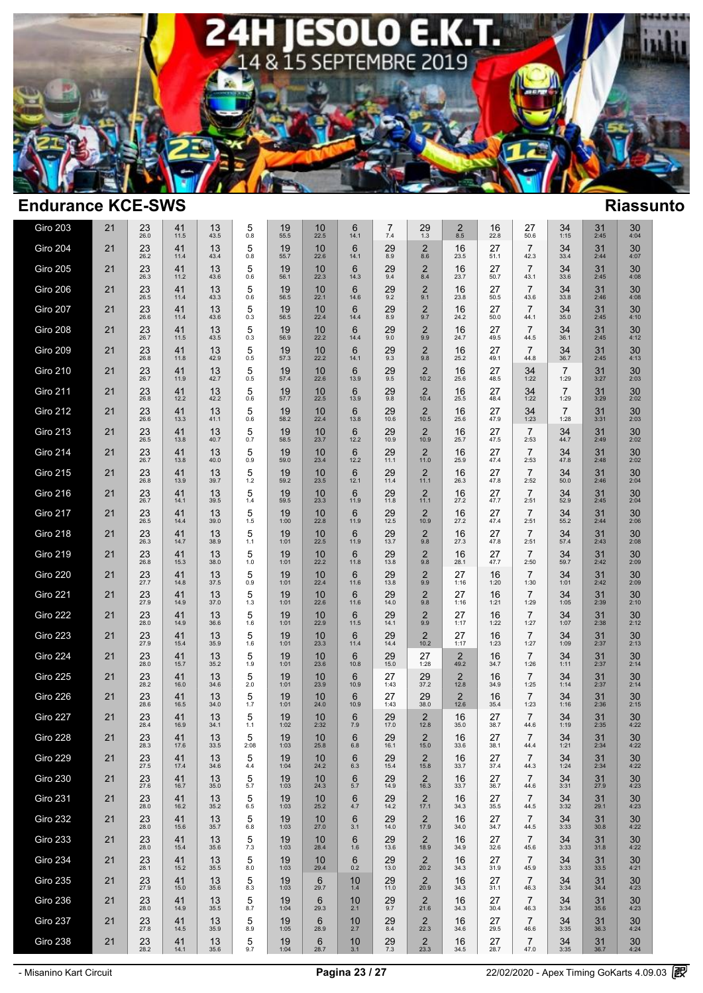

| <b>Giro 203</b> | 21 | 23<br>26.0     | 41<br>11.5           | 13<br>43.5      | 5<br>0.8   | 19<br>55.5     | 10<br>22.5  | 6<br>14.1 | 7<br>$7.4$     | $^{29}_{1.3}$          | $\overline{2}$<br>8.5  | 16<br>22.8 | 27<br>50.6             | 34<br>1:15             | 31<br>2:45     | 30<br>4:04     |  |
|-----------------|----|----------------|----------------------|-----------------|------------|----------------|-------------|-----------|----------------|------------------------|------------------------|------------|------------------------|------------------------|----------------|----------------|--|
| Giro 204        | 21 | 23<br>26.2     | 41<br>11.4           | 13<br>43.4      | 5<br>0.8   | 19<br>55.7     | 10<br>22.6  | 6<br>14.1 | 29<br>8.9      | 2<br>8.6               | 16<br>23.5             | 27<br>51.1 | $\overline{7}$<br>42.3 | 34<br>33.4             | 31<br>2:44     | 30<br>4:07     |  |
| Giro 205        | 21 | 23<br>26.3     | 41<br>11.2           | 13<br>43.6      | 5<br>0.6   | 19<br>56.1     | 10<br>22.3  | 6<br>14.3 | 29<br>9.4      | $\overline{2}$<br>8.4  | 16<br>23.7             | 27<br>50.7 | $\overline{7}$<br>43.1 | 34<br>33.6             | 31<br>2:45     | 30<br>4:08     |  |
| Giro 206        | 21 | 23<br>26.5     | 41<br>11.4           | 13<br>43.3      | 5<br>0.6   | 19<br>56.5     | 10<br>22.1  | 6<br>14.6 | 29<br>9.2      | $\overline{2}$<br>9.1  | 16<br>23.8             | 27<br>50.5 | $\overline{7}$<br>43.6 | 34<br>33.8             | 31<br>2:46     | 30<br>4:08     |  |
| Giro 207        | 21 | 23<br>26.6     | 41<br>11.4           | 13<br>43.6      | 5<br>0.3   | 19<br>56.5     | 10<br>22.4  | 6<br>14.4 | 29<br>8.9      | $\overline{2}$<br>9.7  | 16<br>24.2             | 27<br>50.0 | $\overline{7}$<br>44.1 | 34<br>35.0             | 31<br>2:45     | 30<br>4:10     |  |
| Giro 208        | 21 | 23<br>26.7     | 41<br>11.5           | 13<br>43.5      | 5<br>0.3   | 19<br>56.9     | 10<br>22.2  | 6<br>14.4 | 29<br>9.0      | 2<br>9.9               | 16<br>24.7             | 27<br>49.5 | $\overline{7}$<br>44.5 | 34<br>36.1             | 31<br>2:45     | 30<br>4:12     |  |
| Giro 209        | 21 | 23<br>26.8     | 41<br>11.8           | 13<br>42.9      | 5<br>0.5   | 19<br>57.3     | 10<br>22.2  | 6<br>14.1 | 29<br>9.3      | $\overline{2}$<br>9.8  | 16<br>25.2             | 27<br>49.1 | $\overline{7}$<br>44.8 | 34<br>36.7             | 31<br>2:45     | 30<br>4:13     |  |
| <b>Giro 210</b> | 21 | 23<br>26.7     | 41<br>11.9           | 13<br>42.7      | 5<br>0.5   | 19<br>57.4     | 10<br>22.6  | 6<br>13.9 | 29<br>9.5      | $\overline{2}$<br>10.2 | 16<br>25.6             | 27<br>48.5 | 34<br>1:22             | 7<br>1:29              | 31<br>3:27     | 30<br>2:03     |  |
| <b>Giro 211</b> | 21 | $23$<br>$26.8$ | $41$<br>12.2         | $13 \over 42.2$ | 5<br>0.6   | $19$<br>$57.7$ | $10_{22.5}$ | 6<br>13.9 | $^{29}_{9.8}$  | $\overline{2}$<br>10.4 | 16<br>25.5             | 27<br>48.4 | $34$<br>1:22           | $\overline{7}$<br>1:29 | $31$<br>$3:29$ | $30$<br>$2:02$ |  |
| <b>Giro 212</b> | 21 | 23<br>26.6     | 41<br>13.3           | 13<br>41.1      | 5<br>0.6   | 19<br>58.2     | 10<br>22.4  | 6<br>13.8 | 29<br>10.6     | $\frac{2}{10.5}$       | 16<br>25.6             | 27<br>47.9 | $34$<br>1:23           | $\overline{7}$<br>1:28 | 31<br>3:31     | $30$<br>$2:03$ |  |
| <b>Giro 213</b> | 21 | 23<br>26.5     | 41<br>13.8           | 13<br>40.7      | 5<br>0.7   | 19<br>58.5     | 10<br>23.7  | 6<br>12.2 | 29<br>10.9     | $\overline{2}$<br>10.9 | 16<br>25.7             | 27<br>47.5 | $\overline{7}$<br>2:53 | 34<br>44.7             | 31<br>2:49     | 30<br>2:02     |  |
| <b>Giro 214</b> | 21 | 23<br>26.7     | 41<br>13.8           | 13<br>40.0      | 5<br>0.9   | 19<br>59.0     | 10<br>23.4  | 6<br>12.2 | 29<br>11.1     | $\overline{2}$<br>11.0 | 16<br>25.9             | 27<br>47.4 | $\overline{7}$<br>2:53 | 34<br>47.8             | 31<br>2:48     | 30<br>2:02     |  |
| <b>Giro 215</b> | 21 | 23<br>26.8     | 41<br>13.9           | 13<br>39.7      | 5<br>1.2   | 19<br>59.2     | 10<br>23.5  | 6<br>12.1 | 29<br>11.4     | $\overline{2}$<br>11.1 | 16<br>26.3             | 27<br>47.8 | $\overline{7}$<br>2:52 | 34<br>50.0             | 31<br>2:46     | 30<br>2:04     |  |
| <b>Giro 216</b> | 21 | 23<br>26.7     | 41<br>14.1           | 13<br>39.5      | 5<br>1.4   | 19<br>59.5     | 10<br>23.3  | 6<br>11.9 | 29<br>11.8     | $\overline{2}$<br>11.1 | 16<br>27.2             | 27<br>47.7 | $\overline{7}$<br>2:51 | 34<br>52.9             | 31<br>2:45     | 30<br>2:04     |  |
| Giro 217        | 21 | 23<br>26.5     | 41<br>14.4           | 13<br>39.0      | 5<br>1.5   | 19<br>1:00     | 10<br>22.8  | 6<br>11.9 | 29<br>12.5     | $\overline{2}$<br>10.9 | 16<br>27.2             | 27<br>47.4 | $\overline{7}$<br>2:51 | 34<br>55.2             | 31<br>2:44     | 30<br>2:06     |  |
| Giro 218        | 21 | 23<br>26.3     | 41<br>14.7           | 13<br>38.9      | 5<br>1.1   | 19<br>1:01     | 10<br>22.5  | 6<br>11.9 | 29<br>13.7     | $\overline{2}$<br>9.8  | 16<br>27.3             | 27<br>47.8 | $\overline{7}$<br>2:51 | 34<br>57.4             | 31<br>2:43     | 30<br>2:08     |  |
| <b>Giro 219</b> | 21 | 23<br>26.8     | 41<br>15.3           | 13<br>38.0      | 5<br>1.0   | 19<br>1:01     | 10<br>22.2  | 6<br>11.8 | 29<br>13.8     | $^{2}_{9.8}$           | 16<br>28.1             | 27<br>47.7 | $\overline{7}$<br>2:50 | 34<br>59.7             | 31<br>2:42     | 30<br>2:09     |  |
| <b>Giro 220</b> | 21 | 23<br>27.7     | 41<br>14.8           | 13<br>37.5      | 5<br>0.9   | 19<br>1:01     | 10<br>22.4  | 6<br>11.6 | 29<br>13.8     | $\overline{2}$<br>9.9  | 27<br>1:16             | 16<br>1:20 | $\overline{7}$<br>1:30 | 34<br>1:01             | 31<br>2:42     | 30<br>2:09     |  |
| Giro 221        | 21 | $23$<br>$27.9$ | $41$ <sub>14.9</sub> | 13<br>37.0      | 5<br>1.3   | 19<br>1:01     | 10<br>22.6  | 6<br>11.6 | 29<br>14.0     | $^{2}_{9.8}$           | 27<br>1:16             | 16<br>1:21 | $\overline{7}$<br>1:29 | $34$<br>1:05           | 31<br>2:39     | $30$<br>$2:10$ |  |
| Giro 222        | 21 | 23<br>28.0     | 41<br>14.9           | 13<br>36.6      | 5<br>1.6   | 19<br>1:01     | 10<br>22.9  | 6<br>11.5 | 29<br>14.1     | $\overline{2}$<br>9.9  | 27<br>1:17             | 16<br>1:22 | $\overline{7}$<br>1:27 | $34$<br>1:07           | 31<br>2:38     | $30$<br>$2:12$ |  |
| Giro 223        | 21 | 23<br>27.9     | 41<br>15.4           | 13<br>35.9      | 5<br>1.6   | 19<br>1:01     | 10<br>23.3  | 6<br>11.4 | 29<br>14.4     | $\overline{2}$<br>10.2 | 27<br>1:17             | 16<br>1:23 | $\overline{7}$<br>1:27 | 34<br>1:09             | 31<br>2:37     | 30<br>2:13     |  |
| Giro 224        | 21 | 23<br>28.0     | 41<br>15.7           | 13<br>35.2      | 5<br>1.9   | 19<br>1:01     | 10<br>23.6  | 6<br>10.8 | 29<br>15.0     | 27<br>1:28             | 2<br>49.2              | 16<br>34.7 | $\overline{7}$<br>1:26 | 34<br>1:11             | 31<br>2:37     | 30<br>2:14     |  |
| Giro 225        | 21 | 23<br>28.2     | 41<br>16.0           | 13<br>34.6      | 5<br>2.0   | 19<br>1:01     | 10<br>23.9  | 6<br>10.9 | 27<br>1:43     | 29<br>37.2             | 2<br>12.8              | 16<br>34.9 | $\overline{7}$<br>1:25 | 34<br>1:14             | 31<br>2:37     | 30<br>2:14     |  |
| Giro 226        | 21 | 23<br>28.6     | 41<br>16.5           | 13<br>34.0      | 5<br>1.7   | 19<br>1:01     | 10<br>24.0  | 6<br>10.9 | 27<br>1:43     | 29<br>38.0             | $\overline{2}$<br>12.6 | 16<br>35.4 | $\overline{7}$<br>1:23 | 34<br>1:16             | 31<br>2:36     | 30<br>2:15     |  |
| Giro 227        | 21 | 23<br>28.4     | 41<br>16.9           | 13<br>34.1      | 5<br>1.1   | 19<br>1:02     | 10<br>2:32  | 6<br>7.9  | 29<br>17.0     | $\overline{2}$<br>12.8 | 16<br>35.0             | 27<br>38.7 | $\overline{7}$<br>44.6 | 34<br>1:19             | 31<br>2:35     | 30<br>4:22     |  |
| Giro 228        | 21 | 23<br>28.3     | 41<br>17.6           | 13<br>33.5      | 5<br>2:08  | 19<br>1:03     | 10<br>25.8  | 6<br>6.8  | 29<br>16.1     | $\overline{2}$<br>15.0 | 16<br>33.6             | 27<br>38.1 | $\overline{7}$<br>44.4 | 34<br>1:21             | 31<br>2:34     | 30<br>4:22     |  |
| Giro 229        | 21 | 23<br>27.5     | 41<br>17.4           | 13<br>34.6      | 5<br>4.4   | 19<br>1:04     | 10<br>24.2  | 6<br>6.3  | 29<br>15.4     | 2<br>15.8              | 16<br>33.7             | 27<br>37.4 | $\overline{7}$<br>44.3 | $34$<br>1:24           | 31<br>2:34     | 30<br>4:22     |  |
| Giro 230        | 21 | 23<br>27.6     | 41<br>16.7           | 13<br>35.0      | 5<br>5.7   | 19<br>1:03     | 10<br>24.3  | 6<br>5.7  | 29<br>14.9     | $\overline{2}$<br>16.3 | 16<br>33.7             | 27<br>36.7 | $\overline{7}$<br>44.6 | 34<br>3:31             | 31<br>27.9     | 30<br>4:23     |  |
| <b>Giro 231</b> | 21 | 23<br>28.0     | 41<br>16.2           | 13<br>35.2      | 5<br>6.5   | 19<br>1:03     | 10<br>25.2  | 6<br>4.7  | $^{29}_{14.2}$ | $\frac{2}{17.1}$       | 16<br>34.3             | 27<br>35.5 | $\overline{7}$<br>44.5 | $34\n3:32$             | 31<br>29.1     | $30$<br>4:23   |  |
| Giro 232        | 21 | 23<br>28.0     | 41<br>15.6           | 13<br>35.7      | 5<br>6.8   | 19<br>1:03     | 10<br>27.0  | 6<br>3.1  | 29<br>14.0     | $\overline{2}$<br>17.9 | 16<br>34.0             | 27<br>34.7 | $\overline{7}$<br>44.5 | 34<br>3:33             | 31<br>30.8     | 30<br>4:22     |  |
| <b>Giro 233</b> | 21 | 23<br>28.0     | 41<br>15.4           | 13<br>35.6      | 5<br>$7.3$ | 19<br>1:03     | 10<br>28.4  | 6<br>1.6  | 29<br>13.6     | 2<br>18.9              | 16<br>34.9             | 27<br>32.6 | $\overline{7}$<br>45.6 | 34<br>3:33             | 31<br>31.8     | 30<br>4:22     |  |
| Giro 234        | 21 | 23<br>28.1     | 41<br>15.2           | 13<br>35.5      | 5<br>8.0   | 19<br>1:03     | 10<br>29.4  | 6<br>0.2  | 29<br>13.0     | 2<br>20.2              | 16<br>34.3             | 27<br>31.9 | $\overline{7}$<br>45.9 | 34<br>3:33             | 31<br>33.5     | 30<br>4:21     |  |
| <b>Giro 235</b> | 21 | 23<br>27.9     | 41<br>15.0           | 13<br>35.6      | 5<br>8.3   | 19<br>1:03     | 6<br>29.7   | 10<br>1.4 | 29<br>11.0     | $\overline{2}$<br>20.9 | 16<br>34.3             | 27<br>31.1 | 7<br>46.3              | 34<br>3:34             | 31<br>34.4     | 30<br>4:23     |  |
| Giro 236        | 21 | 23<br>28.0     | 41<br>14.9           | 13<br>35.5      | 5<br>8.7   | 19<br>1:04     | 6<br>29.3   | 10<br>2.1 | 29<br>9.7      | $\overline{2}$<br>21.6 | 16<br>34.3             | 27<br>30.4 | $\overline{7}$<br>46.3 | 34<br>3:34             | 31<br>35.6     | 30<br>4:23     |  |
| Giro 237        | 21 | 23<br>27.8     | 41<br>14.5           | 13<br>35.9      | 5<br>8.9   | 19<br>1:05     | 6<br>28.9   | 10<br>2.7 | 29<br>8.4      | 2<br>22.3              | 16<br>34.6             | 27<br>29.5 | $\overline{7}$<br>46.6 | 34<br>3:35             | 31<br>36.3     | 30<br>4:24     |  |
| Giro 238        | 21 | 23<br>28.2     | 41<br>14.1           | 13<br>35.6      | 5<br>9.7   | 19<br>1:04     | 6<br>28.7   | 10<br>3.1 | 29<br>7.3      | $\overline{2}$<br>23.3 | 16<br>34.5             | 27<br>28.7 | $\overline{7}$<br>47.0 | 34<br>3:35             | 31<br>36.7     | $30$<br>4:24   |  |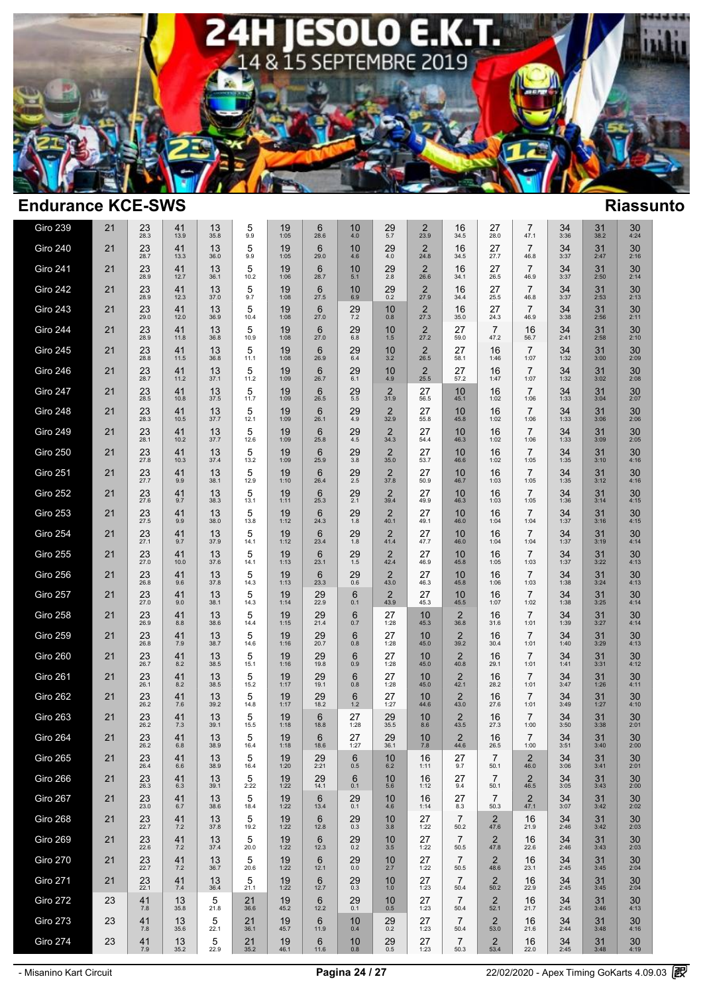

| Giro 239        | 21 | 23<br>28.3           | 41<br>13.9   | 13<br>35.8 | 5<br>9.9            | 19<br>1:05      | 6<br>28.6              | 10<br>$4.0$     | 29<br>5.7              | 2<br>23.9              | 16<br>34.5             | 27<br>28.0             | $\overline{7}$<br>47.1 | 34<br>3:36           | 31<br>38.2     | 30<br>4:24           |  |
|-----------------|----|----------------------|--------------|------------|---------------------|-----------------|------------------------|-----------------|------------------------|------------------------|------------------------|------------------------|------------------------|----------------------|----------------|----------------------|--|
| Giro 240        | 21 | 23<br>28.7           | 41<br>13.3   | 13<br>36.0 | 5<br>9.9            | 19<br>1:05      | 6<br>29.0              | 10<br>4.6       | 29<br>4.0              | $\overline{2}$<br>24.8 | 16<br>34.5             | 27<br>27.7             | $\overline{7}$<br>46.8 | 34<br>3:37           | 31<br>2:47     | 30<br>2:16           |  |
| <b>Giro 241</b> | 21 | 23<br>28.9           | 41<br>12.7   | 13<br>36.1 | 5<br>10.2           | 19<br>1:06      | 6<br>28.7              | 10<br>5.1       | 29<br>2.8              | $\overline{2}$<br>26.6 | 16<br>34.1             | 27<br>26.5             | $\overline{7}$<br>46.9 | 34<br>3:37           | 31<br>2:50     | 30<br>2:14           |  |
| Giro 242        | 21 | 23<br>28.9           | 41<br>12.3   | 13<br>37.0 | 5<br>9.7            | 19<br>1:08      | 6<br>27.5              | 10<br>6.9       | $^{29}_{0.2}$          | $\overline{2}$<br>27.9 | 16<br>34.4             | 27<br>25.5             | $\overline{7}$<br>46.8 | 34<br>3:37           | 31<br>2:53     | 30<br>2:13           |  |
| Giro 243        | 21 | 23<br>29.0           | 41<br>12.0   | 13<br>36.9 | 5<br>10.4           | 19<br>1:08      | 6<br>27.0              | 29<br>7.2       | 10<br>0.8              | 2<br>27.3              | 16<br>35.0             | 27<br>24.3             | $\overline{7}$<br>46.9 | 34<br>3:38           | 31<br>2:56     | 30<br>2:11           |  |
| Giro 244        | 21 | 23<br>28.9           | 41<br>11.8   | 13<br>36.8 | 5<br>10.9           | 19<br>1:08      | $6\phantom{1}$<br>27.0 | 29<br>6.8       | 10<br>1.5              | $\overline{2}$<br>27.2 | 27<br>59.0             | $\overline{7}$<br>47.2 | 16<br>56.7             | 34<br>2:41           | 31<br>2:58     | 30<br>2:10           |  |
| Giro 245        | 21 | 23<br>28.8           | 41<br>11.5   | 13<br>36.8 | $\mathbf 5$<br>11.1 | 19<br>1:08      | $6\phantom{1}$<br>26.9 | 29<br>6.4       | 10<br>3.2              | $\overline{2}$<br>26.5 | 27<br>58.1             | 16<br>1:46             | $\overline{7}$<br>1:07 | 34<br>1:32           | 31<br>3:00     | 30<br>2:09           |  |
| Giro 246        | 21 | $23$<br>$28.7$       | 41<br>11.2   | 13<br>37.1 | 5<br>11.2           | 19<br>1:09      | 6<br>26.7              | $^{29}_{6.1}$   | 10<br>4.9              | 2<br>25.5              | 27<br>57.2             | 16<br>1:47             | $\overline{7}$<br>1:07 | $34$<br>1:32         | 31<br>3:02     | 30<br>2:08           |  |
| Giro 247        | 21 | $23$ <sub>28.5</sub> | 41<br>10.8   | 13<br>37.5 | 5<br>11.7           | 19<br>1:09      | 6<br>26.5              | $^{29}_{\,5.5}$ | $\frac{2}{31.9}$       | 27<br>56.5             | 10<br>45.1             | 16<br>1:02             | $\overline{7}$<br>1:06 | $34$ <sub>1:33</sub> | 31<br>3:04     | $30$ <sub>2:07</sub> |  |
| Giro 248        | 21 | $23$ <sub>28.3</sub> | $41$<br>10.5 | 13<br>37.7 | 5<br>12.1           | 19<br>1:09      | 6<br>26.1              | $^{29}_{4.9}$   | $\frac{2}{32.9}$       | 27<br>55.8             | 10<br>45.8             | 16<br>1:02             | $\overline{7}$<br>1:06 | $34$<br>1:33         | 31<br>3:06     | $30$<br>$2:06$       |  |
| <b>Giro 249</b> | 21 | 23<br>28.1           | 41<br>10.2   | 13<br>37.7 | 5<br>12.6           | 19<br>1:09      | 6<br>25.8              | 29<br>4.5       | $\overline{2}$<br>34.3 | 27<br>54.4             | 10<br>46.3             | 16<br>1:02             | $\overline{7}$<br>1:06 | 34<br>1:33           | 31<br>3:09     | 30<br>2:05           |  |
| Giro 250        | 21 | 23<br>27.8           | 41<br>10.3   | 13<br>37.4 | 5<br>13.2           | 19<br>1:09      | 6<br>25.9              | 29<br>3.8       | $\overline{2}$<br>35.0 | 27<br>53.7             | 10<br>46.6             | 16<br>1:02             | $\overline{7}$<br>1:05 | 34<br>1:35           | 31<br>3:10     | 30<br>4:16           |  |
| Giro 251        | 21 | 23<br>27.7           | 41<br>9.9    | 13<br>38.1 | 5<br>12.9           | 19<br>1:10      | 6<br>26.4              | 29<br>$2.5\,$   | $\overline{2}$<br>37.8 | 27<br>50.9             | 10<br>46.7             | 16<br>1:03             | $\overline{7}$<br>1:05 | 34<br>1:35           | 31<br>3:12     | 30<br>4:16           |  |
| Giro 252        | 21 | 23<br>27.6           | 41<br>9.7    | 13<br>38.3 | 5<br>13.1           | 19<br>1:11      | 6<br>25.3              | 29<br>2.1       | $\overline{2}$<br>39.4 | 27<br>49.9             | 10<br>46.3             | 16<br>1:03             | $\overline{7}$<br>1:05 | 34<br>1:36           | 31<br>3:14     | 30<br>4:15           |  |
| Giro 253        | 21 | 23<br>27.5           | 41<br>9.9    | 13<br>38.0 | 5<br>13.8           | 19<br>1:12      | $6\phantom{1}$<br>24.3 | 29<br>1.8       | $\overline{2}$<br>40.1 | 27<br>49.1             | 10<br>46.0             | 16<br>1:04             | $\overline{7}$<br>1:04 | 34<br>1:37           | 31<br>3:16     | 30<br>4:15           |  |
| Giro 254        | 21 | 23<br>27.1           | 41<br>9.7    | 13<br>37.9 | 5<br>14.1           | 19<br>1:12      | 6<br>23.4              | 29<br>1.8       | $\overline{2}$<br>41.4 | 27<br>47.7             | 10<br>46.0             | 16<br>1:04             | $\overline{7}$<br>1:04 | 34<br>1:37           | 31<br>3:19     | 30<br>4:14           |  |
| Giro 255        | 21 | 23<br>27.0           | 41<br>10.0   | 13<br>37.6 | 5<br>14.1           | 19<br>1:13      | $6\phantom{1}$<br>23.1 | $^{29}_{1.5}$   | $\overline{2}$<br>42.4 | 27<br>46.9             | 10<br>45.8             | 16<br>1:05             | $\overline{7}$<br>1:03 | 34<br>1:37           | 31<br>3:22     | 30<br>4:13           |  |
| Giro 256        | 21 | 23<br>26.8           | 41<br>9.6    | 13<br>37.8 | 5<br>14.3           | 19<br>1:13      | 6<br>23.3              | 29<br>0.6       | $\overline{2}$<br>43.0 | 27<br>46.3             | 10<br>45.8             | 16<br>1:06             | $\overline{7}$<br>1:03 | 34<br>1:38           | 31<br>3:24     | 30<br>4:13           |  |
| Giro 257        | 21 | $23 \over 27.0$      | 41<br>9.0    | 13<br>38.1 | 5<br>14.3           | 19<br>1:14      | $\frac{29}{22.9}$      | 6<br>0.1        | $\frac{2}{43.9}$       | 27<br>45.3             | 10<br>45.5             | 16<br>1:07             | $\overline{7}$<br>1:02 | $34$ <sub>1:38</sub> | 31<br>3:25     | $30$<br>4:14         |  |
| Giro 258        | 21 | 23<br>26.9           | 41<br>8.8    | 13<br>38.6 | 5<br>14.4           | 19<br>1:15      | $^{29}_{21.4}$         | 6<br>0.7        | 27<br>1:28             | 10<br>45.3             | $\overline{2}$<br>36.8 | 16<br>31.6             | $\overline{7}$<br>1:01 | $34$<br>1:39         | 31<br>3:27     | $30$<br>4:14         |  |
| Giro 259        | 21 | 23<br>26.8           | 41<br>7.9    | 13<br>38.7 | 5<br>14.6           | 19<br>1:16      | 29<br>20.7             | 6<br>0.8        | 27<br>1:28             | 10<br>45.0             | $\overline{2}$<br>39.2 | 16<br>30.4             | $\overline{7}$<br>1:01 | 34<br>1:40           | 31<br>3:29     | 30<br>4:13           |  |
| Giro 260        | 21 | 23<br>26.7           | 41<br>8.2    | 13<br>38.5 | 5<br>15.1           | 19<br>1:16      | 29<br>19.8             | 6<br>0.9        | 27<br>1:28             | 10<br>45.0             | $\overline{2}$<br>40.8 | 16<br>29.1             | $\overline{7}$<br>1:01 | 34<br>1:41           | 31<br>3:31     | 30<br>4:12           |  |
| Giro 261        | 21 | 23<br>26.1           | 41<br>8.2    | 13<br>38.5 | 5<br>15.2           | 19<br>1:17      | 29<br>19.1             | 6<br>0.8        | 27<br>1:28             | 10<br>45.0             | $\overline{2}$<br>42.1 | 16<br>28.2             | $\overline{7}$<br>1:01 | 34<br>3:47           | 31<br>1:26     | 30<br>4:11           |  |
| Giro 262        | 21 | 23<br>26.2           | 41<br>7.6    | 13<br>39.2 | 5<br>14.8           | 19<br>1:17      | 29<br>18.2             | 6<br>1.2        | 27<br>1:27             | 10<br>44.6             | $\overline{2}$<br>43.0 | 16<br>27.6             | $\overline{7}$<br>1:01 | 34<br>3:49           | 31<br>1:27     | 30<br>4:10           |  |
| Giro 263        | 21 | 23<br>26.2           | 41<br>7.3    | 13<br>39.1 | 5<br>15.5           | 19<br>1:18      | 6<br>18.8              | 27<br>1:28      | $29_{35.5}$            | 10<br>8.6              | $\overline{2}$<br>43.5 | 16<br>27.3             | $\overline{7}$<br>1:00 | 34<br>3:50           | 31<br>3:38     | 30<br>2:01           |  |
| Giro 264        | 21 | 23<br>26.2           | 41<br>6.8    | 13<br>38.9 | 5<br>16.4           | 19<br>1:18      | 6<br>18.6              | 27<br>1:27      | 29<br>36.1             | 10<br>7.8              | $\overline{2}$<br>44.6 | 16<br>26.5             | $\overline{7}$<br>1:00 | 34<br>3:51           | 31<br>3:40     | 30<br>2:00           |  |
| Giro 265        | 21 | 23<br>26.4           | 41<br>6.6    | 13<br>38.9 | 5<br>16.4           | 19<br>1:20      | 29<br>2:21             | 6<br>0.5        | 10<br>6.2              | 16<br>1:11             | 27<br>9.7              | $\overline{7}$<br>50.1 | $\overline{2}$<br>46.0 | 34<br>3:06           | 31<br>3:41     | 30<br>2:01           |  |
| Giro 266        | 21 | 23<br>26.3           | 41<br>6.3    | 13<br>39.1 | 5<br>2:22           | 19<br>1:22      | 29<br>14.1             | 6<br>0.1        | 10<br>5.6              | 16<br>1:12             | 27<br>9.4              | $\overline{7}$<br>50.1 | $\overline{2}$<br>46.5 | 34<br>3:05           | 31<br>3:43     | 30<br>2:00           |  |
| Giro 267        | 21 | $23 \atop 23.0$      | 41<br>6.7    | 13<br>38.6 | 5<br>18.4           | $19 \atop 1:22$ | 6<br>13.4              | $^{29}_{0.1}$   | 10<br>4.6              | 16<br>1:14             | 27<br>8.3              | $\overline{7}$<br>50.3 | $\frac{2}{47.1}$       | $34$<br>$3:07$       | $31$<br>$3:42$ | $30$<br>$2:02$       |  |
| Giro 268        | 21 | 23<br>22.7           | 41<br>7.2    | 13<br>37.8 | 5<br>19.2           | 19<br>1:22      | 6<br>12.8              | 29<br>0.3       | 10<br>3.8              | 27<br>1:22             | $\overline{7}$<br>50.2 | 2<br>47.6              | 16<br>21.9             | 34<br>2:46           | 31<br>3:42     | 30<br>2:03           |  |
| Giro 269        | 21 | 23<br>22.6           | 41<br>7.2    | 13<br>37.4 | 5<br>20.0           | 19<br>1:22      | 6<br>12.3              | 29<br>0.2       | 10<br>3.5              | 27<br>1:22             | $\overline{7}$<br>50.5 | 2<br>47.8              | 16<br>22.6             | 34<br>2:46           | 31<br>3:43     | 30<br>2:03           |  |
| <b>Giro 270</b> | 21 | 23<br>22.7           | 41<br>7.2    | 13<br>36.7 | 5<br>20.6           | 19<br>1:22      | 6<br>12.1              | 29<br>$0.0\,$   | 10<br>2.7              | 27<br>1:22             | $\overline{7}$<br>50.5 | $\overline{2}$<br>48.6 | 16<br>23.1             | 34<br>2:45           | 31<br>3:45     | 30<br>2:04           |  |
| <b>Giro 271</b> | 21 | 23<br>22.1           | 41<br>7.4    | 13<br>36.4 | $\,$ 5 $\,$<br>21.1 | 19<br>1:22      | 6<br>12.7              | 29<br>0.3       | 10<br>1.0              | 27<br>1:23             | $\overline{7}$<br>50.4 | $\overline{2}$<br>50.2 | 16<br>22.9             | 34<br>2:45           | 31<br>3:45     | 30<br>2:04           |  |
| <b>Giro 272</b> | 23 | 41<br>7.8            | 13<br>35.8   | 5<br>21.8  | 21<br>36.6          | 19<br>45.2      | 6<br>12.2              | $^{29}_{0.1}$   | 10<br>0.5              | 27<br>1:23             | 7<br>50.4              | $\overline{2}$<br>52.1 | 16<br>21.7             | 34<br>2:45           | 31<br>3:46     | 30<br>4:13           |  |
| Giro 273        | 23 | 41<br>7.8            | 13<br>35.6   | 5<br>22.1  | 21<br>36.1          | 19<br>45.7      | 6<br>11.9              | 10<br>0.4       | 29<br>0.2              | 27<br>1:23             | $\overline{7}$<br>50.4 | 2<br>53.0              | 16<br>21.6             | 34<br>2:44           | 31<br>3:48     | 30<br>4:16           |  |
| Giro 274        | 23 | 41<br>$7.9$          | 13<br>35.2   | 5<br>22.9  | 21<br>35.2          | 19<br>46.1      | 6<br>11.6              | 10<br>0.8       | 29<br>0.5              | 27<br>1:23             | $\overline{7}$<br>50.3 | $\overline{2}$<br>53.4 | 16<br>22.0             | 34<br>2:45           | 31<br>3:48     | 30<br>4:19           |  |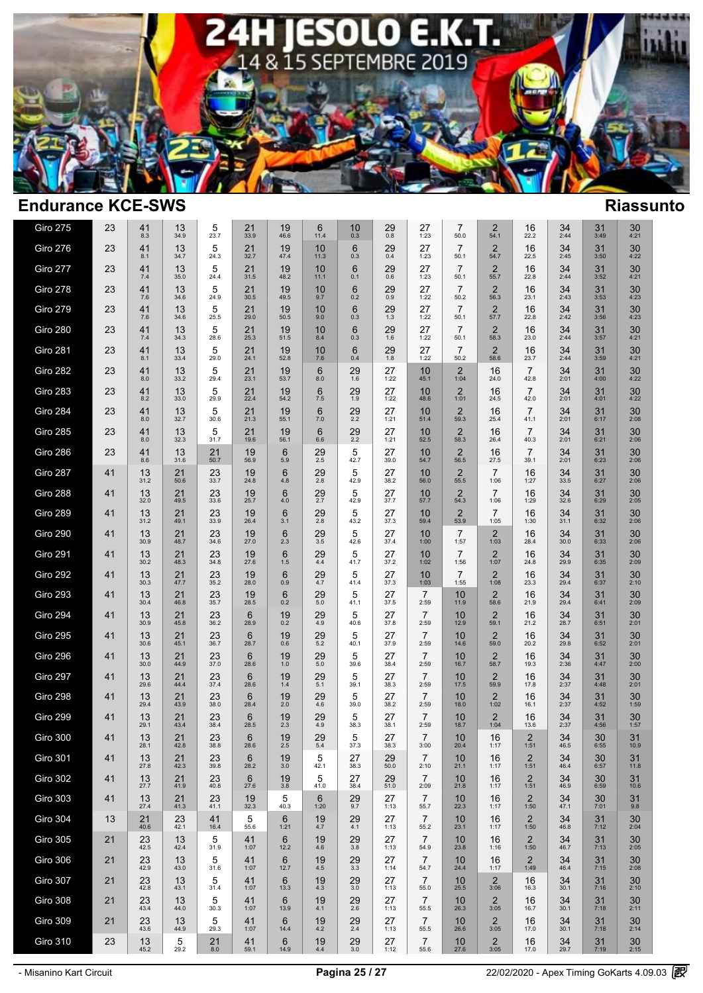

| <b>Giro 275</b> | 23       | 41<br>8.3      | 13<br>34.9 | 5<br>23.7       | 21<br>33.9           | 19<br>46.6           | 6<br>11.4     | 10<br>0.3     | 29<br>$0.8\,$ | 27<br>1:23                               | 7<br>50.0              | $\overline{2}$<br>54.1      | 16<br>22.2                      | 34<br>2:44     | 31<br>3:49           | 30<br>4:21     |  |
|-----------------|----------|----------------|------------|-----------------|----------------------|----------------------|---------------|---------------|---------------|------------------------------------------|------------------------|-----------------------------|---------------------------------|----------------|----------------------|----------------|--|
| Giro 276        | 23       | 41<br>8.1      | 13<br>34.7 | 5<br>24.3       | 21<br>32.7           | 19<br>47.4           | 10<br>11.3    | 6<br>0.3      | 29<br>0.4     | 27<br>1:23                               | $\overline{7}$<br>50.1 | 2<br>54.7                   | 16<br>22.5                      | 34<br>2:45     | 31<br>3:50           | 30<br>4:22     |  |
| Giro 277        | 23       | 41<br>7.4      | 13<br>35.0 | 5<br>24.4       | 21<br>31.5           | 19<br>48.2           | 10<br>11.1    | 6<br>0.1      | 29<br>0.6     | 27<br>1:23                               | $\overline{7}$<br>50.1 | $\overline{2}$<br>55.7      | 16<br>22.8                      | 34<br>2:44     | 31<br>3:52           | 30<br>4:21     |  |
| Giro 278        | 23       | 41<br>7.6      | 13<br>34.6 | 5<br>24.9       | 21<br>30.5           | 19<br>49.5           | 10<br>9.7     | 6<br>0.2      | 29<br>0.9     | 27<br>1:22                               | $\overline{7}$<br>50.2 | $\overline{2}$<br>56.3      | 16<br>23.1                      | 34<br>2:43     | 31<br>3:53           | 30<br>4:23     |  |
| <b>Giro 279</b> | 23       | 41<br>7.6      | 13<br>34.6 | 5<br>25.5       | 21<br>29.0           | 19<br>50.5           | 10<br>9.0     | 6<br>0.3      | 29<br>1.3     | 27<br>1:22                               | $\overline{7}$<br>50.1 | $\overline{2}$<br>57.7      | 16<br>22.8                      | 34<br>2:42     | 31<br>3:56           | 30<br>4:23     |  |
| Giro 280        | 23       | 41<br>7.4      | 13<br>34.3 | 5<br>28.6       | 21<br>25.3           | 19<br>51.5           | 10<br>8.4     | 6<br>0.3      | 29<br>1.6     | 27<br>1:22                               | $\overline{7}$<br>50.1 | 2<br>58.3                   | 16<br>23.0                      | 34<br>2:44     | 31<br>3:57           | 30<br>4:21     |  |
| Giro 281        | 23       | 41<br>8.1      | 13<br>33.4 | 5<br>29.0       | 21<br>24.1           | 19<br>52.8           | 10<br>$7.6\,$ | 6<br>0.4      | 29<br>1.8     | 27<br>1:22                               | $\overline{7}$<br>50.2 | $\overline{2}$<br>58.6      | 16<br>23.7                      | 34<br>2:44     | 31<br>3:59           | 30<br>4:21     |  |
| Giro 282        | 23       | 41<br>8.0      | 13<br>33.2 | 5<br>29.4       | 21<br>23.1           | 19<br>53.7           | 6<br>8.0      | 29<br>1.6     | 27<br>1:22    | 10<br>45.1                               | 2<br>1:04              | 16<br>24.0                  | $\overline{7}$<br>42.8          | 34<br>2:01     | 31<br>4:00           | $30$<br>4:22   |  |
| Giro 283        | 23       | $41_{8.2}$     | 13<br>33.0 | 5<br>29.9       | $21$ <sub>22.4</sub> | $19$ <sub>54.2</sub> | 6<br>7.5      | $^{29}_{1.9}$ | 27<br>1:22    | 10<br>48.6                               | $\overline{2}$<br>1:01 | 16<br>24.5                  | $\overline{7}$<br>42.0          | $34$<br>2:01   | 31<br>4:01           | $30$<br>4:22   |  |
| Giro 284        | 23       | 41<br>8.0      | 13<br>32.7 | 5<br>30.6       | 21<br>21.3           | 19<br>55.1           | 6<br>7.0      | $^{29}_{2.2}$ | 27<br>1:21    | 10<br>51.4                               | 2<br>59.3              | 16<br>25.4                  | $\overline{7}$<br>41.1          | $34$<br>2:01   | 31<br>6:17           | $30$<br>$2:08$ |  |
| <b>Giro 285</b> | 23       | 41<br>8.0      | 13<br>32.3 | 5<br>31.7       | 21<br>19.6           | 19<br>56.1           | 6<br>6.6      | 29<br>2.2     | 27<br>1:21    | 10<br>52.5                               | 2<br>58.3              | 16<br>26.4                  | $\overline{7}$<br>40.3          | 34<br>2:01     | 31<br>6:21           | 30<br>2:06     |  |
| Giro 286        | 23       | 41<br>8.6      | 13<br>31.6 | 21<br>50.7      | 19<br>56.9           | 6<br>5.9             | 29<br>2.5     | 5<br>42.7     | 27<br>39.0    | 10<br>54.7                               | $\overline{2}$<br>56.5 | 16<br>27.5                  | $\overline{7}$<br>39.1          | 34<br>2:01     | 31<br>6:23           | 30<br>2:06     |  |
| Giro 287        | 41       | 13<br>31.2     | 21<br>50.6 | 23<br>33.7      | 19<br>24.8           | 6<br>4.8             | 29<br>2.8     | 5<br>42.9     | 27<br>38.2    | 10<br>56.0                               | $\overline{2}$<br>55.5 | $\overline{7}$<br>1:06      | 16<br>1:27                      | 34<br>33.5     | 31<br>6:27           | 30<br>2:06     |  |
| Giro 288        | 41       | 13<br>32.0     | 21<br>49.5 | 23<br>33.6      | 19<br>25.7           | 6<br>4.0             | 29<br>2.7     | 5<br>42.9     | 27<br>37.7    | 10<br>57.7                               | 2<br>54.3              | $\overline{7}$<br>1:06      | 16<br>1:29                      | 34<br>32.6     | 31<br>6:29           | 30<br>2:05     |  |
| <b>Giro 289</b> | 41       | 13<br>31.2     | 21<br>49.1 | 23<br>33.9      | 19<br>26.4           | 6<br>3.1             | 29<br>2.8     | 5<br>43.2     | 27<br>37.3    | 10<br>59.4                               | $\overline{2}$<br>53.9 | $\overline{7}$<br>1:05      | 16<br>1:30                      | 34<br>31.1     | 31<br>6:32           | 30<br>2:06     |  |
| Giro 290        | 41       | 13<br>30.9     | 21<br>48.7 | 23<br>34.6      | 19<br>27.0           | 6<br>2.3             | 29<br>$3.5\,$ | 5<br>42.6     | 27<br>37.4    | 10<br>1:00                               | $\overline{7}$<br>1:57 | $\overline{2}$<br>1:03      | 16<br>28.4                      | 34<br>30.0     | 31<br>6:33           | 30<br>2:06     |  |
| <b>Giro 291</b> | 41       | 13<br>30.2     | 21<br>48.3 | 23<br>34.8      | 19<br>27.6           | 6<br>1.5             | $^{29}_{4.4}$ | 5<br>41.7     | 27<br>37.2    | 10 <sup>1</sup><br>1:02                  | $\overline{7}$<br>1:56 | $\overline{2}$<br>1:07      | 16<br>24.8                      | 34<br>29.9     | 31<br>6:35           | 30<br>2:09     |  |
| Giro 292        | 41       | 13<br>30.3     | 21<br>47.7 | 23<br>35.2      | 19<br>28.0           | 6<br>0.9             | 29<br>4.7     | 5<br>41.4     | 27<br>37.3    | 10<br>1:03                               | $\overline{7}$<br>1:55 | 2<br>1:08                   | 16<br>23.3                      | 34<br>29.4     | 31<br>6:37           | 30<br>2:10     |  |
| Giro 293        | 41       | 13<br>30.4     | 21<br>46.8 | 23<br>35.7      | 19<br>28.5           | 6<br>0.2             | 29<br>5.0     | 5<br>41.1     | 27<br>37.5    | $\overline{7}$<br>2:59                   | 10<br>11.9             | $\overline{2}$<br>58.6      | 16<br>21.9                      | $34$<br>$29.4$ | 31<br>6:41           | $30$<br>$2:09$ |  |
| Giro 294        | 41       | 13<br>30.9     | 21<br>45.8 | $23 \over 36.2$ | 6<br>28.9            | 19<br>0.2            | 29<br>4.9     | 5<br>40.6     | 27<br>37.8    | $\overline{7}$<br>2:59                   | 10<br>12.9             | $\overline{2}$<br>59.1      | 16<br>21.2                      | 34<br>28.7     | 31<br>6:51           | 30<br>2:01     |  |
| Giro 295        | 41       | 13<br>30.6     | 21<br>45.1 | 23<br>36.7      | 6<br>28.7            | 19<br>0.6            | 29<br>5.2     | 5<br>40.1     | 27<br>37.9    | $\overline{7}$<br>2:59                   | 10<br>14.6             | $\overline{2}$<br>59.0      | 16<br>20.2                      | 34<br>29.8     | 31<br>6:52           | 30<br>2:01     |  |
| Giro 296        | 41       | 13<br>30.0     | 21<br>44.9 | 23<br>37.0      | 6<br>28.6            | 19<br>$1.0\,$        | 29<br>$5.0\,$ | 5<br>39.6     | 27<br>38.4    | $\overline{7}$<br>2:59                   | 10<br>16.7             | $\overline{2}$<br>58.7      | 16<br>19.3                      | 34<br>2:36     | 31<br>4:47           | 30<br>2:00     |  |
| <b>Giro 297</b> | 41       | 13<br>29.6     | 21<br>44.4 | 23<br>37.4      | 6<br>28.6            | 19<br>$1.4$          | 29<br>5.1     | 5<br>39.1     | 27<br>38.3    | $\overline{7}$<br>2:59                   | 10<br>17.5             | 2<br>59.9                   | 16<br>17.8                      | 34<br>2:37     | 31<br>4:48           | 30<br>2:01     |  |
| Giro 298        | 41       | 13<br>29.4     | 21<br>43.9 | 23<br>38.0      | 6<br>28.4            | 19<br>2.0            | 29<br>4.6     | 5<br>39.0     | 27<br>38.2    | $\overline{7}$<br>2:59                   | 10<br>18.0             | $\overline{2}$<br>1:02      | 16<br>16.1                      | 34<br>2:37     | 31<br>4:52           | 30<br>1:59     |  |
| Giro 299        | 41       | 13<br>29.1     | 21<br>43.4 | 23<br>38.4      | 6<br>28.5            | 19<br>2.3            | 29<br>4.9     | 5<br>38.3     | 27<br>38.1    | $\overline{7}$<br>2:59                   | 10<br>18.7             | $\overline{2}$<br>1:04      | 16<br>13.6                      | 34<br>2:37     | 31<br>4:56           | 30<br>1:57     |  |
| Giro 300        | 41       | 13<br>28.1     | 21<br>42.8 | 23<br>38.8      | 6<br>28.6            | 19<br>2.5            | 29<br>$5.4\,$ | 5<br>37.3     | 27<br>38.3    | $\overline{7}$<br>3:00                   | 10<br>20.4             | 16<br>1:17                  | $\overline{2}$<br>1:51          | 34<br>46.5     | 30<br>6:55           | 31<br>10.9     |  |
| <b>Giro 301</b> | 41       | 13<br>27.8     | 21<br>42.3 | 23<br>39.8      | 6<br>28.2            | 19<br>3.0            | 5<br>42.1     | 27<br>38.3    | 29<br>50.0    | $\overline{7}$<br>2:10                   | 10<br>21.1             | 16<br>1:17                  | $\overline{2}$<br>1:51          | 34<br>46.4     | 30<br>6:57           | 31<br>11.8     |  |
| <b>Giro 302</b> | 41       | 13<br>27.7     | 21<br>41.9 | 23<br>40.8      | 6<br>27.6            | 19<br>3.8            | 5<br>41.0     | 27<br>38.4    | 29<br>51.0    | $\overline{7}$<br>2:09                   | 10<br>21.8             | 16<br>1:17                  | $\overline{2}$<br>1:51          | 34<br>46.9     | 30<br>6:59           | 31<br>10.6     |  |
| Giro 303        | 41       | 13<br>27.4     | 21<br>41.3 | 23<br>41.1      | 19<br>32.3           | 5<br>40.3            | 6<br>1:20     | $^{29}_{9.7}$ | 27<br>1:13    | 7<br>55.7                                | 10<br>22.3             | 16<br>1:17                  | $\overline{\mathbf{c}}$<br>1:50 | $34$<br>47.1   | $30$ <sub>7:01</sub> | $31_{9.8}$     |  |
| Giro 304        | 13       | 21<br>40.6     | 23<br>42.1 | 41<br>16.4      | 5<br>55.6            | 6<br>1:21            | 19<br>4.7     | 29<br>4.1     | 27<br>1:13    | $\overline{7}$<br>55.2                   | 10<br>23.1             | 16<br>1:17                  | $\overline{2}$<br>1:50          | 34<br>46.8     | 31<br>7:12           | 30<br>2:04     |  |
| <b>Giro 305</b> | 21       | 23<br>42.5     | 13<br>42.4 | 5<br>31.9       | 41<br>1:07           | 6<br>12.2            | 19<br>4.6     | 29<br>3.8     | 27<br>1:13    | $\overline{7}$<br>54.9                   | 10<br>23.8             | 16<br>1:16                  | 2<br>1:50                       | 34<br>46.7     | 31<br>7:13           | 30<br>2:05     |  |
| Giro 306        | 21<br>21 | 23<br>42.9     | 13<br>43.0 | 5<br>31.6       | 41<br>1:07           | 6<br>12.7            | 19<br>4.5     | 29<br>3.3     | 27<br>1:14    | $\overline{7}$<br>54.7                   | 10<br>24.4             | 16<br>1:17                  | $\overline{2}$<br>1:49          | 34<br>46.4     | 31<br>7:15           | 30<br>2:08     |  |
| Giro 307        |          | 23<br>42.8     | 13<br>43.1 | 5<br>31.4       | 41<br>1:07           | 6<br>13.3            | 19<br>4.3     | 29<br>3.0     | 27<br>1:13    | 7<br>55.0                                | 10<br>25.5             | $\overline{2}$<br>3:06      | 16<br>16.3                      | 34<br>30.1     | 31<br>7:16           | 30<br>2:10     |  |
| Giro 308        | 21       | $23$<br>$43.4$ | 13<br>44.0 | 5<br>30.3       | 41<br>1:07           | 6<br>13.9            | 19<br>4.1     | $^{29}_{2.6}$ | 27<br>1:13    | $\overline{7}$<br>55.5<br>$\overline{7}$ | 10<br>26.3             | $\overline{2}$<br>3:05<br>2 | 16<br>16.7                      | 34<br>30.1     | 31<br>7:18           | 30<br>2:11     |  |
| Giro 309        | 21       | 23<br>43.6     | 13<br>44.9 | 5<br>29.3       | 41<br>1:07           | 6<br>14.4            | 19<br>$4.2\,$ | 29<br>2.4     | 27<br>1:13    | 55.5<br>$\overline{7}$                   | 10<br>26.6             | 3:05                        | 16<br>17.0                      | 34<br>30.1     | 31<br>7:18           | 30<br>2:14     |  |
| <b>Giro 310</b> | 23       | 13<br>45.2     | 5<br>29.2  | 21<br>8.0       | 41<br>59.1           | 6<br>14.9            | 19<br>4.4     | 29<br>3.0     | 27<br>1:12    | 55.6                                     | 10<br>27.6             | $\overline{2}$<br>3:05      | 16<br>17.0                      | $34$<br>$29.7$ | 31<br>7:19           | $30$<br>$2:15$ |  |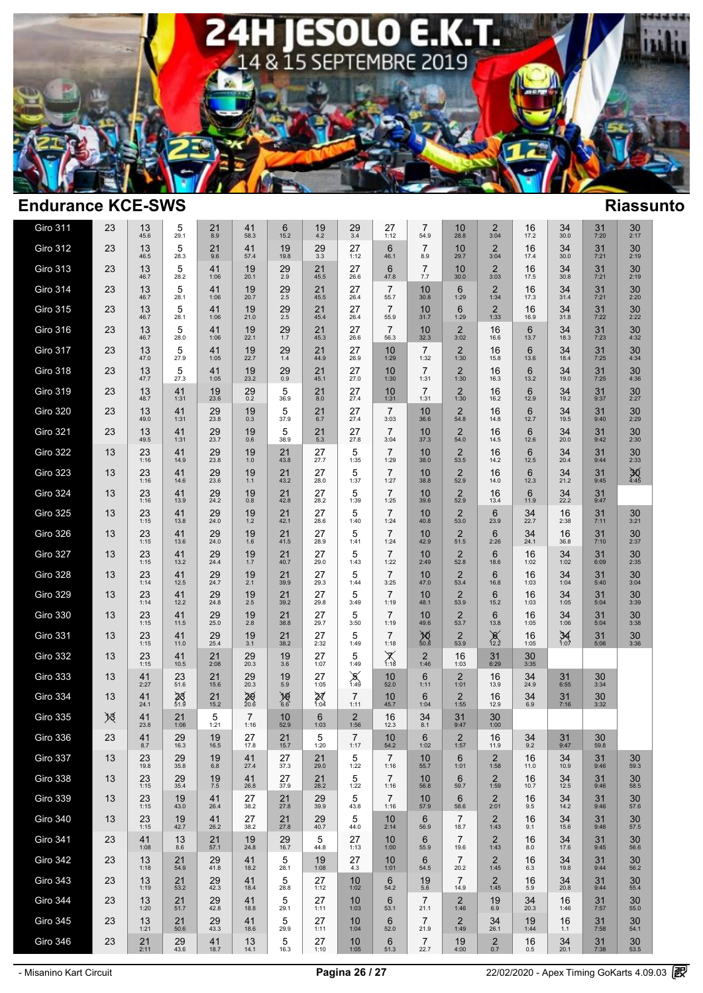

| <b>Giro 311</b> | 23  | 13<br>45.6      | 5<br>29.1            | 21<br>8.9         | 41<br>58.3             | 6<br>15.2            | 19<br>$4.2\,$     | $^{29}_{3.4}$          | 27<br>1:12             | $\overline{7}$<br>54.9 | 10<br>28.8                      | $\overline{2}$<br>3:04        | 16<br>17.2              | 34<br>30.0           | 31<br>7:20     | 30<br>2:17                    |  |
|-----------------|-----|-----------------|----------------------|-------------------|------------------------|----------------------|-------------------|------------------------|------------------------|------------------------|---------------------------------|-------------------------------|-------------------------|----------------------|----------------|-------------------------------|--|
| <b>Giro 312</b> | 23  | 13<br>46.5      | 5<br>28.3            | 21<br>9.6         | 41<br>57.4             | 19<br>19.8           | 29<br>3.3         | 27<br>1:12             | 6<br>46.1              | $\overline{7}$<br>8.9  | 10<br>29.7                      | $\overline{2}$<br>3:04        | 16<br>17.4              | 34<br>30.0           | 31<br>7:21     | 30<br>2:19                    |  |
| <b>Giro 313</b> | 23  | 13<br>46.7      | 5<br>28.2            | 41<br>1:06        | 19<br>20.1             | 29<br>2.9            | 21<br>45.5        | 27<br>26.6             | 6<br>47.8              | $\overline{7}$<br>7.7  | 10<br>30.0                      | $\overline{2}$<br>3:03        | 16<br>17.5              | 34<br>30.8           | 31<br>7:21     | 30<br>2:19                    |  |
| Giro 314        | 23  | 13<br>46.7      | 5<br>28.1            | 41<br>1:06        | 19<br>20.7             | 29<br>2.5            | 21<br>45.5        | 27<br>26.4             | $\overline{7}$<br>55.7 | 10<br>30.8             | 6<br>1:29                       | $\overline{2}$<br>1:34        | 16<br>17.3              | 34<br>31.4           | 31<br>7:21     | $30$<br>$2:20$                |  |
| <b>Giro 315</b> | 23  | 13<br>46.7      | 5<br>28.1            | 41<br>1:06        | 19<br>21.0             | 29<br>$2.5\,$        | 21<br>45.4        | 27<br>26.4             | $\overline{7}$<br>55.9 | 10<br>31.7             | 6<br>1:29                       | $\overline{2}$<br>1:33        | 16<br>16.9              | 34<br>31.8           | 31<br>7:22     | 30<br>2:22                    |  |
| Giro 316        | 23  | 13<br>46.7      | 5<br>28.0            | 41<br>1:06        | 19<br>22.1             | 29<br>1.7            | 21<br>45.3        | 27<br>26.6             | $\overline{7}$<br>56.3 | 10<br>32.3             | $\overline{2}$<br>3:02          | 16<br>16.6                    | 6<br>13.7               | 34<br>18.3           | 31<br>7:23     | $30$<br>4:32                  |  |
| Giro 317        | 23  | 13<br>47.0      | $\,$ 5 $\,$<br>27.9  | 41<br>1:05        | 19<br>22.7             | 29<br>1.4            | 21<br>44.9        | 27<br>26.9             | 10<br>1:29             | $\overline{7}$<br>1:32 | $\overline{2}$<br>1:30          | 16<br>15.8                    | $6\phantom{1}6$<br>13.6 | 34<br>18.4           | 31<br>7:25     | 30<br>4:34                    |  |
| Giro 318        | 23  | 13<br>47.7      | $\frac{5}{27.3}$     | $41$<br>1:05      | $19_{23.2}$            | $^{29}_{0.9}$        | $21$<br>45.1      | 27<br>27.0             | 10<br>1:30             | $\overline{7}$<br>1:31 | $2$ <sub>1:30</sub>             | 16<br>16.3                    | 6<br>13.2               | $34$<br>19.0         | $31$<br>$7:25$ | $30$<br>4:36                  |  |
| <b>Giro 319</b> | 23  | $13 \over 48.7$ | $41$<br>1:31         | $19_{23.6}$       | $^{29}_{0.2}$          | $\frac{5}{36.9}$     | $^{21}_{8.0}$     | $\frac{27}{27.4}$      | 10<br>1:31             | $\overline{7}$<br>1:31 | $2$ <sub>1:30</sub>             | 16<br>16.2                    | 6<br>12.9               | $34$<br>19.2         | $31$<br>9:37   | $30$<br>$2:27$                |  |
| <b>Giro 320</b> | 23  | 13<br>49.0      | $41$<br>1:31         | $\frac{29}{23.8}$ | $19_{0.3}$             | $\frac{5}{37.9}$     | $21_{6.7}$        | 27<br>27.4             | $\overline{7}$<br>3:03 | 10<br>36.6             | $\frac{2}{54.8}$                | 16<br>14.8                    | $6 \atop 12.7}$         | $34$<br>19.5         | $31$<br>9:40   | $30$<br>$2:29$                |  |
| <b>Giro 321</b> | 23  | 13<br>49.5      | 41<br>1:31           | 29<br>23.7        | 19<br>0.6              | 5<br>38.9            | 21<br>5.3         | 27<br>27.8             | $\overline{7}$<br>3:04 | 10<br>37.3             | $\overline{2}$<br>54.0          | 16<br>14.5                    | 6<br>12.6               | 34<br>20.0           | 31<br>9:42     | 30<br>2:30                    |  |
| <b>Giro 322</b> | 13  | 23<br>1:16      | 41<br>14.9           | 29<br>23.8        | 19<br>1.0              | 21<br>43.8           | 27<br>27.7        | 5<br>1:35              | $\overline{7}$<br>1:29 | 10<br>38.0             | $\overline{2}$<br>53.5          | 16<br>14.2                    | 6<br>12.5               | 34<br>20.4           | 31<br>9:44     | $30\,$<br>2:33                |  |
| <b>Giro 323</b> | 13  | 23<br>1:16      | 41<br>14.6           | 29<br>23.6        | 19<br>$1.1$            | 21<br>43.2           | 27<br>28.0        | 5<br>1:37              | $\overline{7}$<br>1:27 | 10<br>38.8             | $\overline{2}$<br>52.9          | 16<br>14.0                    | 6<br>12.3               | 34<br>21.2           | 31<br>9:45     | 30/4:45                       |  |
| <b>Giro 324</b> | 13  | 23<br>1:16      | 41<br>13.9           | 29<br>24.2        | 19<br>0.8              | 21<br>42.8           | 27<br>28.2        | 5<br>1:39              | $\overline{7}$<br>1:25 | 10<br>39.6             | 2<br>52.9                       | 16<br>13.4                    | $6\phantom{1}6$<br>11.9 | $34$<br>$22.2$       | 31<br>9:47     |                               |  |
| <b>Giro 325</b> | 13  | 23<br>1:15      | 41<br>13.8           | 29<br>24.0        | 19<br>1.2              | 21<br>42.1           | 27<br>28.6        | 5<br>1:40              | $\overline{7}$<br>1:24 | 10<br>40.8             | $\overline{2}$<br>53.0          | 6<br>23.9                     | 34<br>22.7              | 16<br>2:38           | 31<br>7:11     | 30<br>3:21                    |  |
| Giro 326        | 13  | 23<br>1:15      | 41<br>13.6           | 29<br>24.0        | 19<br>1.6              | 21<br>41.5           | 27<br>28.9        | $\mathbf 5$<br>1:41    | 7<br>1:24              | 10<br>42.9             | $\overline{\mathbf{c}}$<br>51.5 | $6\phantom{1}6$<br>2:26       | 34<br>24.1              | 16<br>36.8           | 31<br>7:10     | $30\,$<br>2:37                |  |
| <b>Giro 327</b> | 13  | $23$<br>1:15    | 41<br>13.2           | $29_{24.4}$       | $19 \atop 1.7$         | $21$<br>40.7         | 27<br>29.0        | 5<br>1:43              | $\overline{7}$<br>1:22 | 10<br>2:49             | $\overline{2}$<br>52.8          | $6\phantom{1}$<br>18.6        | 16<br>1:02              | $34$<br>1:02         | 31<br>6:09     | 30<br>2:35                    |  |
| Giro 328        | 13  | 23<br>1:14      | 41<br>12.5           | 29<br>24.7        | 19<br>2.1              | 21<br>39.9           | 27<br>29.3        | 5<br>1:44              | $\overline{7}$<br>3:25 | 10<br>47.0             | $\overline{2}$<br>53.4          | 6<br>16.8                     | 16<br>1:03              | $34$<br>1:04         | 31<br>5:40     | 30<br>3:04                    |  |
| <b>Giro 329</b> | 13  | $23$<br>1:14    | $41$<br>12.2         | $^{29}_{24.8}$    | $19 \atop 2.5$         | $21$ <sub>39.2</sub> | 27<br>29.8        | 5<br>3:49              | $\overline{7}$<br>1:19 | 10<br>48.1             | $\overline{2}$<br>53.9          | 6<br>15.2                     | 16<br>1:03              | $34$<br>1:05         | $31$<br>5:04   | $30\n3:39$                    |  |
| <b>Giro 330</b> | 13  | 23<br>1:15      | 41<br>11.5           | 29<br>25.0        | 19<br>2.8              | 21<br>38.8           | 27<br>29.7        | 5<br>3:50              | $\overline{7}$<br>1:19 | 10<br>49.6             | $\frac{2}{53.7}$                | $6\phantom{1}$<br>13.8        | 16<br>1:05              | $34$<br>1:06         | 31<br>5:04     | $30\n3:38$                    |  |
| Giro 331        | 13  | 23<br>1:15      | 41<br>11.0           | 29<br>25.4        | 19<br>3.1              | 21<br>38.2           | 27<br>2:32        | 5<br>1:49              | $\overline{7}$<br>1:18 | $M_{\frac{50.8}{}}$    | $\frac{2}{53.9}$                | $\underset{12.2}{\cancel{8}}$ | 16<br>1:05              | $34$ <sub>1:07</sub> | $31$<br>5:06   | $30\n3:36$                    |  |
| Giro 332        | 13  | 23<br>1:15      | 41<br>10.5           | 21<br>2:08        | 29<br>20.3             | 19<br>3.6            | 27<br>1:07        | 5<br>1:49              | $X_{1:18}$             | $\overline{2}$<br>1:46 | 16<br>1:03                      | 31<br>6:29                    | 30<br>3:35              |                      |                |                               |  |
| Giro 333        | 13  | 41<br>2:27      | 23<br>51.6           | 21<br>15.6        | 29<br>20.3             | 19<br>5.9            | 27<br>1:05        | $\frac{8}{1.49}$       | 10<br>52.0             | 6<br>1:11              | $\overline{2}$<br>1:01          | 16<br>13.9                    | 34<br>24.9              | 31<br>6:55           | 30<br>3:34     |                               |  |
| Giro 334        | 13  | 41<br>24.1      | $25$ <sub>51.9</sub> | 21<br>15.2        | 29/20.6                | $\cancel{10}_{6.6}$  | 27/1.04           | $\overline{7}$<br>1:11 | 10<br>45.7             | 6<br>1:04              | $\overline{c}$<br>1:55          | 16<br>12.9                    | 34<br>6.9               | 31<br>7:16           | 30<br>3:32     |                               |  |
| Giro 335        | $*$ | 41<br>23.8      | 21<br>1:06           | $\frac{5}{1:21}$  | $\overline{7}$<br>1:16 | 10<br>52.9           | 6<br>1:03         | $\frac{2}{1:56}$       | 16<br>12.3             | 34<br>8.1              | 31<br>9:47                      | 30<br>1:00                    |                         |                      |                |                               |  |
| Giro 336        | 23  | 41<br>8.7       | 29<br>16.3           | 19<br>16.5        | 27<br>17.8             | 21<br>15.7           | 5<br>1:20         | $\overline{7}$<br>1:17 | 10<br>54.2             | 6<br>1:02              | $\overline{2}$<br>1:57          | 16<br>11.9                    | 34<br>9.2               | 31<br>9:47           | 30<br>59.8     |                               |  |
| Giro 337        | 13  | 23<br>19.8      | 29<br>35.8           | 19<br>6.8         | 41<br>27.4             | 27<br>37.3           | 21<br>29.0        | 5<br>1:22              | $\overline{7}$<br>1:16 | 10<br>55.7             | 6<br>1:01                       | 2<br>1:58                     | 16<br>11.0              | 34<br>10.9           | 31<br>9:46     | 30<br>59.3                    |  |
| Giro 338        | 13  | 23<br>1:15      | 29<br>35.4           | 19<br>7.5         | 41<br>26.8             | 27<br>37.9           | 21<br>28.2        | 5<br>1:22              | $\overline{7}$<br>1:16 | 10<br>56.8             | 6<br>59.7                       | $\overline{2}$<br>1:59        | 16<br>10.7              | 34<br>12.5           | 31<br>9:46     | 30<br>58.5                    |  |
| Giro 339        | 13  | $23$<br>1:15    | 19<br>43.0           | 41<br>26.4        | $27 \over 38.2$        | $\frac{21}{27.8}$    | $\frac{29}{39.9}$ | 5<br>43.8              | $\frac{7}{1:16}$       | 10<br>57.9             | 6<br>58.6                       | 2.01                          | 16<br>9.5               | $34$<br>14.2         | 31<br>9:46     | $30$<br>$57.6$                |  |
| <b>Giro 340</b> | 13  | 23<br>1:15      | 19<br>42.7           | 41<br>26.2        | 27<br>38.2             | 21<br>27.8           | 29<br>40.7        | 5<br>44.0              | 10<br>2:14             | 6<br>56.9              | $\overline{7}$<br>18.7          | $\overline{2}$<br>1:43        | 16<br>9.1               | 34<br>15.6           | 31<br>9:46     | 30<br>57.5                    |  |
| <b>Giro 341</b> | 23  | 41<br>1:08      | 13<br>8.6            | 21<br>57.1        | 19<br>24.8             | 29<br>16.7           | 5<br>44.8         | 27<br>1:13             | 10<br>1:00             | 6<br>55.9              | $\overline{7}$<br>19.6          | 2<br>1:43                     | 16<br>8.0               | 34<br>17.6           | 31<br>9:45     | 30<br>56.6                    |  |
| Giro 342        | 23  | 13<br>1:18      | 21<br>54.9           | 29<br>41.8        | 41<br>18.2             | 5<br>28.1            | 19<br>1:08        | 27<br>4.3              | 10<br>1:01             | 6<br>54.5              | $\overline{7}$<br>20.2          | $\overline{2}$<br>1:45        | 16<br>6.3               | 34<br>19.8           | 31<br>9:44     | 30<br>56.2                    |  |
| <b>Giro 343</b> | 23  | 13<br>1:19      | 21<br>53.2           | 29<br>42.3        | 41<br>18.4             | 5<br>28.8            | 27<br>1:12        | 10<br>1:02             | 6<br>54.2              | 19<br>5.6              | $\overline{7}$<br>14.9          | $\overline{2}$<br>1:45        | 16<br>5.9               | 34<br>20.8           | 31<br>9:44     | 30<br>55.4                    |  |
| Giro 344        | 23  | 13<br>1:20      | 21<br>51.7           | $29$<br>$42.8$    | 41<br>18.8             | 5<br>29.1            | 27<br>1:11        | 10<br>1:03             | 6<br>53.1              | 7<br>21.1              | $\overline{2}$<br>1:46          | 19<br>6.9                     | 34<br>20.3              | 16<br>1:46           | 31<br>7:57     | 30<br>55.0                    |  |
| <b>Giro 345</b> | 23  | 13<br>1:21      | 21<br>50.6           | 29<br>43.3        | 41<br>18.6             | 5<br>29.9            | 27<br>1:11        | 10<br>1:04             | 6<br>52.0              | $\overline{7}$<br>21.9 | $\overline{2}$<br>1:49          | 34<br>26.1                    | 19<br>1:44              | 16<br>1.1            | 31<br>7:58     | 30<br>54.1                    |  |
| <b>Giro 346</b> | 23  | $21$<br>$2:11$  | $^{29}_{43.6}$       | $41$<br>18.7      | 13<br>14.1             | 5<br>16.3            | 27<br>1:10        | 10<br>1:05             | 6<br>51.3              | $\overline{7}$<br>22.7 | 19<br>4:00                      | $\underset{0.7}{2}$           | 16<br>0.5               | $34_{20.1}$          | 31<br>7:38     | $\mathbf{30}_{\mathbf{53.5}}$ |  |